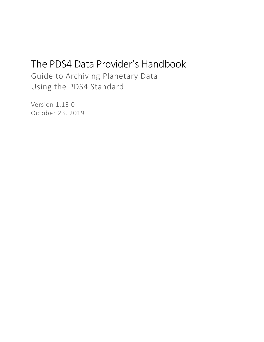# The PDS4 Data Provider's Handbook

Guide to Archiving Planetary Data Using the PDS4 Standard

Version 1.13.0 October 23, 2019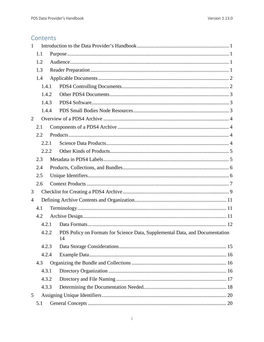## Contents

| $\mathbf{1}$   |       |  |                                                                                    |  |
|----------------|-------|--|------------------------------------------------------------------------------------|--|
|                | 1.1   |  |                                                                                    |  |
|                | 1.2   |  |                                                                                    |  |
|                | 1.3   |  |                                                                                    |  |
|                | 1.4   |  |                                                                                    |  |
|                | 1.4.1 |  |                                                                                    |  |
|                | 1.4.2 |  |                                                                                    |  |
|                | 1.4.3 |  |                                                                                    |  |
|                | 1.4.4 |  |                                                                                    |  |
| $\overline{2}$ |       |  |                                                                                    |  |
|                | 2.1   |  |                                                                                    |  |
|                | 2.2   |  |                                                                                    |  |
|                | 2.2.1 |  |                                                                                    |  |
|                | 2.2.2 |  |                                                                                    |  |
|                | 2.3   |  |                                                                                    |  |
|                | 2.4   |  |                                                                                    |  |
|                | 2.5   |  |                                                                                    |  |
|                | 2.6   |  |                                                                                    |  |
| 3              |       |  |                                                                                    |  |
| 4              |       |  |                                                                                    |  |
|                | 4.1   |  |                                                                                    |  |
|                | 4.2   |  |                                                                                    |  |
|                | 4.2.1 |  |                                                                                    |  |
|                | 4.2.2 |  | PDS Policy on Formats for Science Data, Supplemental Data, and Documentation<br>14 |  |
|                | 4.2.3 |  |                                                                                    |  |
|                | 4.2.4 |  |                                                                                    |  |
|                | 4.3   |  |                                                                                    |  |
|                | 4.3.1 |  |                                                                                    |  |
|                | 4.3.2 |  |                                                                                    |  |
|                | 4.3.3 |  |                                                                                    |  |
| 5              |       |  |                                                                                    |  |
|                | 5.1   |  |                                                                                    |  |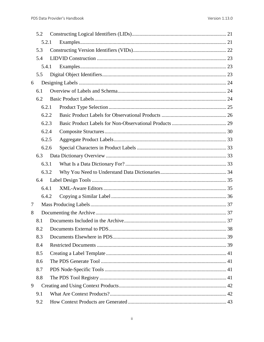|   | 5.2   |  |  |
|---|-------|--|--|
|   | 5.2.1 |  |  |
|   | 5.3   |  |  |
|   | 5.4   |  |  |
|   | 5.4.1 |  |  |
|   | 5.5   |  |  |
| 6 |       |  |  |
|   | 6.1   |  |  |
|   | 6.2   |  |  |
|   | 6.2.1 |  |  |
|   | 6.2.2 |  |  |
|   | 6.2.3 |  |  |
|   | 6.2.4 |  |  |
|   | 6.2.5 |  |  |
|   | 6.2.6 |  |  |
|   | 6.3   |  |  |
|   | 6.3.1 |  |  |
|   | 6.3.2 |  |  |
|   | 6.4   |  |  |
|   | 6.4.1 |  |  |
|   | 6.4.2 |  |  |
| 7 |       |  |  |
| 8 |       |  |  |
|   | 8.1   |  |  |
|   | 8.2   |  |  |
|   | 8.3   |  |  |
|   | 8.4   |  |  |
|   | 8.5   |  |  |
|   | 8.6   |  |  |
|   | 8.7   |  |  |
|   | 8.8   |  |  |
| 9 |       |  |  |
|   | 9.1   |  |  |
|   | 9.2   |  |  |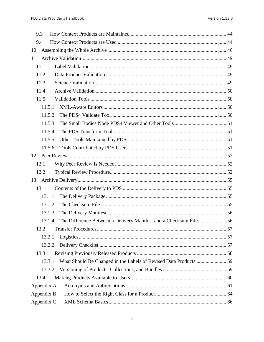| 9.3        |                                                                   |  |
|------------|-------------------------------------------------------------------|--|
| 9.4        |                                                                   |  |
| 10         |                                                                   |  |
| 11         |                                                                   |  |
| 11.1       |                                                                   |  |
| 11.2       |                                                                   |  |
| 11.3       |                                                                   |  |
| 11.4       |                                                                   |  |
| 11.5       |                                                                   |  |
| 11.5.1     |                                                                   |  |
| 11.5.2     |                                                                   |  |
| 11.5.3     |                                                                   |  |
| 11.5.4     |                                                                   |  |
| 11.5.5     |                                                                   |  |
| 11.5.6     |                                                                   |  |
| 12         |                                                                   |  |
| 12.1       |                                                                   |  |
| 12.2       |                                                                   |  |
|            |                                                                   |  |
| 13.1       |                                                                   |  |
| 13.1.1     |                                                                   |  |
| 13.1.2     |                                                                   |  |
| 13.1.3     |                                                                   |  |
| 13.1.4     | The Difference Between a Delivery Manifest and a Checksum File 56 |  |
| 13.2       |                                                                   |  |
| 13.2.1     |                                                                   |  |
| 13.2.2     |                                                                   |  |
| 13.3       |                                                                   |  |
| 13.3.1     |                                                                   |  |
| 13.3.2     |                                                                   |  |
| 13.4       |                                                                   |  |
| Appendix A |                                                                   |  |
| Appendix B |                                                                   |  |
| Appendix C |                                                                   |  |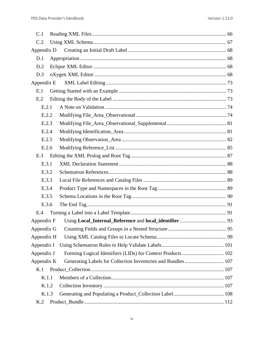| C.1        |                                                               |  |
|------------|---------------------------------------------------------------|--|
| C.2        |                                                               |  |
| Appendix D |                                                               |  |
| D.1        |                                                               |  |
| D.2        |                                                               |  |
| D.3        |                                                               |  |
| Appendix E |                                                               |  |
| E.1        |                                                               |  |
| E.2        |                                                               |  |
| E.2.1      |                                                               |  |
| E.2.2      |                                                               |  |
| E.2.3      |                                                               |  |
| E.2.4      |                                                               |  |
| E.2.5      |                                                               |  |
| E.2.6      |                                                               |  |
| E.3        |                                                               |  |
| E.3.1      |                                                               |  |
| E.3.2      |                                                               |  |
| E.3.3      |                                                               |  |
| E.3.4      |                                                               |  |
| E.3.5      |                                                               |  |
| E.3.6      |                                                               |  |
| E.4        |                                                               |  |
| Appendix F |                                                               |  |
| Appendix G |                                                               |  |
| Appendix H |                                                               |  |
| Appendix I |                                                               |  |
| Appendix J |                                                               |  |
| Appendix K | Generating Labels for Collection Inventories and Bundles  107 |  |
| K.1        |                                                               |  |
| K.1.1      |                                                               |  |
| K.1.2      |                                                               |  |
| K.1.3      |                                                               |  |
| K.2        |                                                               |  |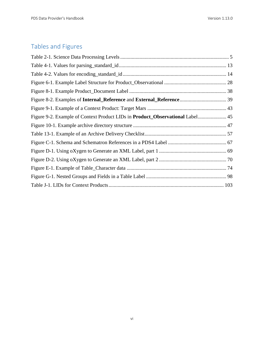## Tables and Figures

| Figure 9-2. Example of Context Product LIDs in Product_Observational Label 45 |  |
|-------------------------------------------------------------------------------|--|
|                                                                               |  |
|                                                                               |  |
|                                                                               |  |
|                                                                               |  |
|                                                                               |  |
|                                                                               |  |
|                                                                               |  |
|                                                                               |  |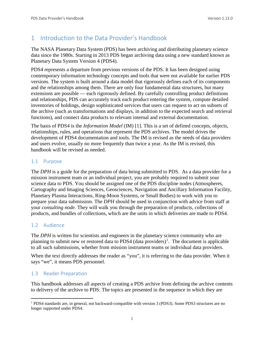## <span id="page-7-0"></span>1 Introduction to the Data Provider's Handbook

The NASA Planetary Data System (PDS) has been archiving and distributing planetary science data since the 1980s. Starting in 2013 PDS began archiving data using a new standard known as Planetary Data System Version 4 (PDS4).

PDS4 represents a departure from previous versions of the PDS. It has been designed using contemporary information technology concepts and tools that were not available for earlier PDS versions. The system is built around a data model that rigorously defines each of its components and the relationships among them. There are only four fundamental data structures, but many extensions are possible — each rigorously defined. By carefully controlling product definitions and relationships, PDS can accurately track each product entering the system, compute detailed inventories of holdings, design sophisticated services that users can request to act on subsets of the archive (such as transformations and displays, in addition to the expected search and retrieval functions), and connect data products to relevant internal and external documentation.

The basis of PDS4 is the *Information Model* (IM) [1]. This is a set of defined concepts, objects, relationships, rules, and operations that represent the PDS archives. The model drives the development of PDS4 documentation and tools. The IM is revised as the needs of data providers and users evolve, usually no more frequently than twice a year. As the IM is revised, this handbook will be revised as needed.

#### <span id="page-7-1"></span>1.1 Purpose

The *DPH* is a guide for the preparation of data being submitted to PDS. As a data provider for a mission instrument team or an individual project, you are probably required to submit your science data to PDS. You should be assigned one of the PDS discipline nodes (Atmospheres, Cartography and Imaging Sciences, Geosciences, Navigation and Ancillary Information Facility, Planetary Plasma Interactions, Ring-Moon Systems, or Small Bodies) to work with you to prepare your data submission. The *DPH* should be used in conjunction with advice from staff at your *consulting node*. They will walk you through the preparation of products, collections of products, and bundles of collections, which are the units in which deliveries are made to PDS4.

#### <span id="page-7-2"></span>1.2 Audience

The *DPH* is written for scientists and engineers in the planetary science community who are planning to submit new or restored data to PDS4 (data providers)<sup>[1](#page-7-4)</sup>. The document is applicable to all such submissions, whether from mission instrument teams or individual data providers.

When the text directly addresses the reader as "you", it is referring to the data provider. When it says "we", it means PDS personnel.

## <span id="page-7-3"></span>1.3 Reader Preparation

This handbook addresses all aspects of creating a PDS archive from defining the archive contents to delivery of the archive to PDS. The topics are presented in the sequence in which they are

<span id="page-7-4"></span><sup>&</sup>lt;sup>1</sup> PDS4 standards are, in general, not backward-compatible with version 3 (PDS3). Some PDS3 structures are no longer supported under PDS4.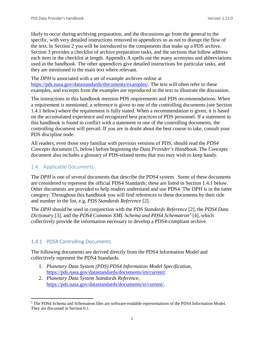likely to occur during archiving preparation, and the discussions go from the general to the specific, with very detailed instructions removed to appendices so as not to disrupt the flow of the text. In Section 2 you will be introduced to the components that make up a PDS archive. Section 3 provides a checklist of archive preparation tasks, and the sections that follow address each item in the checklist at length. Appendix A spells out the many acronyms and abbreviations used in the handbook. The other appendices give detailed instructions for particular tasks, and they are mentioned in the main text where relevant.

The *DPH* is associated with a set of example archives online at [https://pds.nasa.gov/datastandards/documents/examples/.](https://pds.nasa.gov/datastandards/documents/examples/) The text will often refer to these examples, and excerpts from the examples are reproduced in the text to illustrate the discussion.

The instructions in this handbook mention PDS requirements and PDS recommendations. When a requirement is mentioned, a reference is given to one of the controlling documents (see Section 1.4.1 below) where the requirement is fully stated. When a recommendation is given, it is based on the accumulated experience and recognized best practices of PDS personnel. If a statement in this handbook is found to conflict with a statement in one of the controlling documents, the controlling document will prevail. If you are in doubt about the best course to take, consult your PDS discipline node.

All readers, even those very familiar with previous versions of PDS, should read the *PDS4 Concepts* document [5, below] before beginning the *Data Provider's Handbook.* The *Concepts* document also includes a glossary of PDS-related terms that you may wish to keep handy.

## <span id="page-8-0"></span>1.4 Applicable Documents

The *DPH* is one of several documents that describe the PDS4 system. Some of these documents are considered to represent the official PDS4 Standards; these are listed in Section 1.4.1 below. Other documents are provided to help readers understand and use PDS4. The *DPH* is in the latter category. Throughout this handbook you will find references to these documents by their title and number in the list, e.g. *PDS Standards Reference* [2].

The *DPH* should be used in conjunction with the *PDS Standards Reference* [2], the *PDS4 Data Dictionary* [3], and the *PDS4 Common XML Schema and PDS4 Schematron*[2](#page-8-2) [4], which collectively provide the information necessary to develop a PDS4-compliant archive.

## <span id="page-8-1"></span>1.4.1 PDS4 Controlling Documents

The following documents are derived directly from the PDS4 Information Model and collectively represent the PDS4 Standards.

- 1. *Planetary Data System (PDS) PDS4 Information Model Specification*, [https://pds.nasa.gov/datastandards/documents/im/current/.](https://pds.nasa.gov/datastandards/documents/im/current/)
- 2. *Planetary Data System Standards Reference*, [https://pds.nasa.gov/datastandards/documents/sr/current/.](https://pds.nasa.gov/datastandards/documents/sr/current/)

<span id="page-8-2"></span><sup>&</sup>lt;sup>2</sup> The PDS4 Schema and Schematron files are software-readable representations of the PDS4 Information Model. They are discussed in Section 6.1.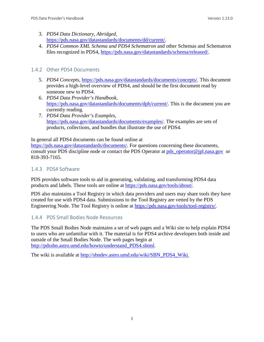- 3. *PDS4 Data Dictionary, Abridged*, [https://pds.nasa.gov/datastandards/documents/dd/current/.](https://pds.nasa.gov/datastandards/documents/dd/current/)
- 4. *PDS4 Common XML Schema and PDS4 Schematron* and other Schemas and Schematron files recognized in PDS4, [https://pds.nasa.gov/datastandards/schema/released/.](https://pds.nasa.gov/datastandards/schema/released/)

## <span id="page-9-0"></span>1.4.2 Other PDS4 Documents

- 5. *PDS4 Concepts*, [https://pds.nasa.gov/datastandards/documents/concepts/.](https://pds.nasa.gov/datastandards/documents/concepts/) This document provides a high-level overview of PDS4, and should be the first document read by someone new to PDS4.
- 6. *PDS4 Data Provider's Handbook*, [https://pds.nasa.gov/datastandards/documents/dph/current/.](https://pds.nasa.gov/datastandards/documents/dph/current/) This is the document you are currently reading.
- 7. *PDS4 Data Provider's Examples*, [https://pds.nasa.gov/datastandards/documents/examples/.](https://pds.nasa.gov/datastandards/documents/examples/) The examples are sets of products, collections, and bundles that illustrate the use of PDS4.

## In general all PDS4 documents can be found online at

[https://pds.nasa.gov/datastandards/documents/.](https://pds.nasa.gov/datastandards/documents/) For questions concerning these documents, consult your PDS discipline node or contact the PDS Operator at [pds\\_operator@jpl.nasa.gov](mailto:pds_operator@jpl.nasa.gov) or 818-393-7165.

## <span id="page-9-1"></span>1.4.3 PDS4 Software

PDS provides software tools to aid in generating, validating, and transforming PDS4 data products and labels. These tools are online at [https://pds.nasa.gov/tools/about/.](https://pds.nasa.gov/tools/about/)

PDS also maintains a Tool Registry in which data providers and users may share tools they have created for use with PDS4 data. Submissions to the Tool Registry are vetted by the PDS Engineering Node. The Tool Registry is online at [https://pds.nasa.gov/tools/tool-registry/.](https://pds.nasa.gov/tools/tool-registry/)

## <span id="page-9-2"></span>1.4.4 PDS Small Bodies Node Resources

The PDS Small Bodies Node maintains a set of web pages and a Wiki site to help explain PDS4 to users who are unfamiliar with it. The material is for PDS4 archive developers both inside and outside of the Small Bodies Node. The web pages begin at [http://pdssbn.astro.umd.edu/howto/understand\\_PDS4.shtml.](http://pdssbn.astro.umd.edu/howto/understand_PDS4.shtml)

The wiki is available at [http://sbndev.astro.umd.edu/wiki/SBN\\_PDS4\\_Wiki](http://sbndev.astro.umd.edu/wiki/SBN_PDS4_Wiki).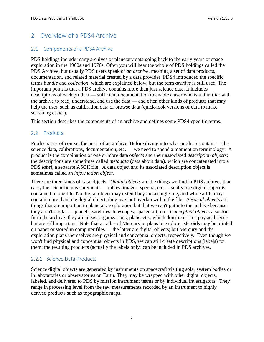## <span id="page-10-0"></span>2 Overview of a PDS4 Archive

#### <span id="page-10-1"></span>2.1 Components of a PDS4 Archive

PDS holdings include many archives of planetary data going back to the early years of space exploration in the 1960s and 1970s. Often you will hear the whole of PDS holdings called the PDS Archive, but usually PDS users speak of *an archive*, meaning a set of data products, documentation, and related material created by a data provider. PDS4 introduced the specific terms *bundle* and *collection*, which are explained below, but the term *archive* is still used. The important point is that a PDS archive contains more than just science data. It includes descriptions of each product — sufficient documentation to enable a user who is unfamiliar with the archive to read, understand, and use the data — and often other kinds of products that may help the user, such as calibration data or browse data (quick-look versions of data to make searching easier).

This section describes the components of an archive and defines some PDS4-specific terms.

#### <span id="page-10-2"></span>2.2 Products

Products are, of course, the heart of an archive. Before diving into what products contain — the science data, calibrations, documentation, etc. — we need to spend a moment on terminology. A product is the combination of one or more data *objects* and their associated *description objects*; the descriptions are sometimes called *metadata* (data about data), which are concatenated into a PDS *label*, a separate ASCII file. A data object and its associated description object is sometimes called an *information object*.

There are three kinds of data objects. *Digital objects* are the things we find in PDS archives that carry the scientific measurements — tables, images, spectra, etc. Usually one digital object is contained in one file. No digital object may extend beyond a single file, and while a file may contain more than one digital object, they may not overlap within the file. *Physical objects* are things that are important to planetary exploration but that we can't put into the archive because they aren't digital — planets, satellites, telescopes, spacecraft, etc. *Conceptual objects* also don't fit in the archive; they are ideas, organizations, plans, etc., which don't exist in a physical sense but are still important. Note that an atlas of Mercury or plans to explore asteroids may be printed on paper or stored in computer files — the latter are digital objects; but Mercury and the exploration plans themselves are physical and conceptual objects, respectively. Even though we won't find physical and conceptual objects in PDS, we can still create descriptions (labels) for them; the resulting products (actually the labels only) can be included in PDS archives.

## <span id="page-10-3"></span>2.2.1 Science Data Products

Science digital objects are generated by instruments on spacecraft visiting solar system bodies or in laboratories or observatories on Earth. They may be wrapped with other digital objects, labeled, and delivered to PDS by mission instrument teams or by individual investigators. They range in processing level from the raw measurements recorded by an instrument to highly derived products such as topographic maps.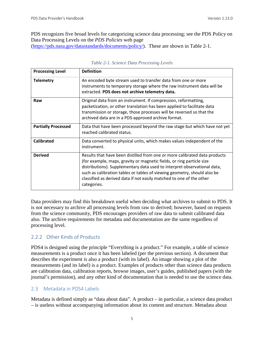PDS recognizes five broad levels for categorizing science data processing; see the PDS Policy on Data Processing Levels on the *PDS Policies* web page

[\(https://pds.nasa.gov/datastandards/documents/policy/\)](https://pds.nasa.gov/datastandards/documents/policy/). These are shown in Table 2-1.

| <b>Processing Level</b>    | <b>Definition</b>                                                                                                                                                                                                                                                                                                                                                                                  |
|----------------------------|----------------------------------------------------------------------------------------------------------------------------------------------------------------------------------------------------------------------------------------------------------------------------------------------------------------------------------------------------------------------------------------------------|
| <b>Telemetry</b>           | An encoded byte stream used to transfer data from one or more<br>instruments to temporary storage where the raw instrument data will be<br>extracted. PDS does not archive telemetry data.                                                                                                                                                                                                         |
| Raw                        | Original data from an instrument. If compression, reformatting,<br>packetization, or other translation has been applied to facilitate data<br>transmission or storage, those processes will be reversed so that the<br>archived data are in a PDS-approved archive format.                                                                                                                         |
| <b>Partially Processed</b> | Data that have been processed beyond the raw stage but which have not yet<br>reached calibrated status.                                                                                                                                                                                                                                                                                            |
| <b>Calibrated</b>          | Data converted to physical units, which makes values independent of the<br>instrument.                                                                                                                                                                                                                                                                                                             |
| <b>Derived</b>             | Results that have been distilled from one or more calibrated data products<br>(for example, maps, gravity or magnetic fields, or ring particle size<br>distributions). Supplementary data used to interpret observational data,<br>such as calibration tables or tables of viewing geometry, should also be<br>classified as derived data if not easily matched to one of the other<br>categories. |

*Table 2-1. Science Data Processing Levels*

Data providers may find this breakdown useful when deciding what archives to submit to PDS. It is not necessary to archive all processing levels from raw to derived; however, based on requests from the science community, PDS encourages providers of raw data to submit calibrated data also. The archive requirements for metadata and documentation are the same regardless of processing level.

## <span id="page-11-0"></span>2.2.2 Other Kinds of Products

PDS4 is designed using the principle "Everything is a product." For example, a table of science measurements is a product once it has been labeled (per the previous section). A document that describes the experiment is also a product (with its label). An image showing a plot of the measurements (and its label) is a product. Examples of products other than science data products are calibration data, calibration reports, browse images, user's guides, published papers (with the journal's permission), and any other kind of documentation that is needed to use the science data.

## <span id="page-11-1"></span>2.3 Metadata in PDS4 Labels

Metadata is defined simply as "data about data". A product – in particular, a science data product – is useless without accompanying information about its content and structure. Metadata about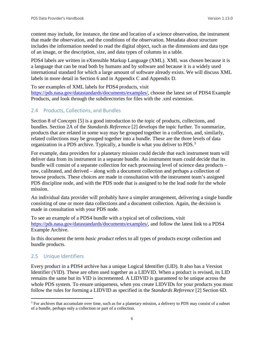content may include, for instance, the time and location of a science observation, the instrument that made the observation, and the conditions of the observation. Metadata about structure includes the information needed to read the digital object, such as the dimensions and data type of an image, or the description, size, and data types of columns in a table.

PDS4 labels are written in eXtensible Markup Language (XML). XML was chosen because it is a language that can be read both by humans and by software and because it is a widely used international standard for which a large amount of software already exists. We will discuss XML labels in more detail in Section 6 and in Appendix C and Appendix D.

#### To see examples of XML labels for PDS4 products, visit

[https://pds.nasa.gov/datastandards/documents/examples/,](https://pds.nasa.gov/datastandards/documents/examples/) choose the latest set of PDS4 Example Products, and look through the subdirectories for files with the .xml extension.

## <span id="page-12-0"></span>2.4 Products, Collections, and Bundles

Section 8 of *Concepts* [5] is a good introduction to the topic of products, collections, and bundles. Section 2A of the *Standards Reference* [2] develops the topic further. To summarize, products that are related in some way may be grouped together in a collection, and, similarly, related collections may be grouped together into a bundle. These are the three levels of data organization in a PDS archive. Typically, a bundle is what you deliver to PDS.[3](#page-12-2)

For example, data providers for a planetary mission could decide that each instrument team will deliver data from its instrument in a separate bundle. An instrument team could decide that its bundle will consist of a separate collection for each processing level of science data products – raw, calibrated, and derived – along with a document collection and perhaps a collection of browse products. These choices are made in consultation with the instrument team's assigned PDS discipline node, and with the PDS node that is assigned to be the lead node for the whole mission.

An individual data provider will probably have a simpler arrangement, delivering a single bundle consisting of one or more data collections and a document collection. Again, the decision is made in consultation with your PDS node.

To see an example of a PDS4 bundle with a typical set of collections, visit [https://pds.nasa.gov/datastandards/documents/examples/,](https://pds.nasa.gov/datastandards/documents/examples/) and follow the latest link to a PDS4 Example Archive.

In this document the term *basic product* refers to all types of products except collection and bundle products.

## <span id="page-12-1"></span>2.5 Unique Identifiers

Every product in a PDS4 archive has a unique Logical Identifier (LID). It also has a Version Identifier (VID). These are often used together as a LIDVID. When a product is revised, its LID remains the same but its VID is incremented. A LIDVID is guaranteed to be unique across the whole PDS system. To ensure uniqueness, when you create LIDVIDs for your products you must follow the rules for forming a LIDVID as specified in the *Standards Reference* [2] Section 6D.

<span id="page-12-2"></span><sup>&</sup>lt;sup>3</sup> For archives that accumulate over time, such as for a planetary mission, a delivery to PDS may consist of a subset of a bundle, perhaps only a collection or part of a collection.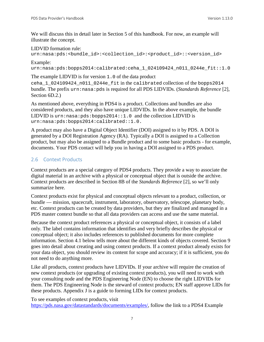We will discuss this in detail later in Section 5 of this handbook. For now, an example will illustrate the concept.

LIDVID formation rule:

urn:nasa:pds:<bundle\_id>:<collection\_id>:<product\_id>::<version\_id>

Example:

urn:nasa:pds:bopps2014:calibrated:ceha\_1\_024109424\_n011\_0244e\_fit::1.0

The example LIDVID is for version 1.0 of the data product

ceha\_1\_024109424\_n011\_0244e\_fit in the calibrated collection of the bopps2014 bundle. The prefix urn:nasa:pds is required for all PDS LIDVIDs. (*Standards Reference* [2], Section 6D.2.)

As mentioned above, everything in PDS4 is a product. Collections and bundles are also considered products, and they also have unique LIDVIDs. In the above example, the bundle LIDVID is  $urn: nasa: pds: bopps2014::1.0$  and the collection LIDVID is urn:nasa:pds:bopps2014:calibrated::1.0.

A product may also have a Digital Object Identifier (DOI) assigned to it by PDS. A DOI is generated by a DOI Registration Agency (RA). Typically a DOI is assigned to a Collection product, but may also be assigned to a Bundle product and to some basic products - for example, documents. Your PDS contact will help you in having a DOI assigned to a PDS product.

## <span id="page-13-0"></span>2.6 Context Products

Context products are a special category of PDS4 products. They provide a way to associate the digital material in an archive with a physical or conceptual object that is outside the archive. Context products are described in Section 8B of the *Standards Reference* [2], so we'll only summarize here.

Context products exist for physical and conceptual objects relevant to a product, collection, or bundle — mission, spacecraft, instrument, laboratory, observatory, telescope, planetary body, etc. Context products can be created by data providers, but they are finalized and managed in a PDS master context bundle so that all data providers can access and use the same material.

Because the context product references a physical or conceptual object, it consists of a label only. The label contains information that identifies and very briefly describes the physical or conceptual object; it also includes references to published documents for more complete information. Section 4.1 below tells more about the different kinds of objects covered. Section 9 goes into detail about creating and using context products. If a context product already exists for your data object, you should review its content for scope and accuracy; if it is sufficient, you do not need to do anything more.

Like all products, context products have LIDVIDs. If your archive will require the creation of new context products (or upgrading of existing context products), you will need to work with your consulting node and the PDS Engineering Node (EN) to choose the right LIDVIDs for them. The PDS Engineering Node is the steward of context products; EN staff approve LIDs for these products. Appendix J is a guide to forming LIDs for context products.

To see examples of context products, visit [https://pds.nasa.gov/datastandards/documents/examples/,](https://pds.nasa.gov/datastandards/documents/examples/) follow the link to a PDS4 Example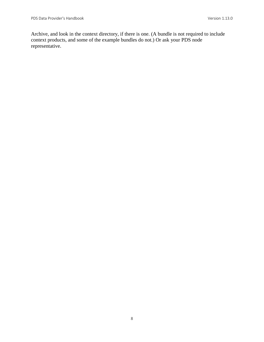Archive, and look in the context directory, if there is one. (A bundle is not required to include context products, and some of the example bundles do not.) Or ask your PDS node representative.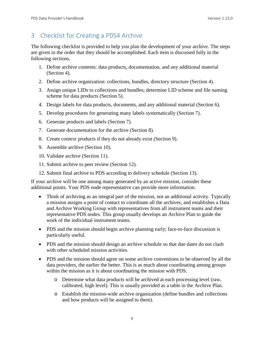## <span id="page-15-0"></span>3 Checklist for Creating a PDS4 Archive

The following checklist is provided to help you plan the development of your archive. The steps are given in the order that they should be accomplished. Each item is discussed fully in the following sections.

- 1. Define archive contents: data products, documentation, and any additional material (Section 4).
- 2. Define archive organization: collections, bundles, directory structure (Section 4).
- 3. Assign unique LIDs to collections and bundles; determine LID scheme and file naming scheme for data products (Section 5).
- 4. Design labels for data products, documents, and any additional material (Section 6).
- 5. Develop procedures for generating many labels systematically (Section 7).
- 6. Generate products and labels (Section 7).
- 7. Generate documentation for the archive (Section 8).
- 8. Create context products if they do not already exist (Section 9).
- 9. Assemble archive (Section 10).
- 10. Validate archive (Section 11).
- 11. Submit archive to peer review (Section 12).
- 12. Submit final archive to PDS according to delivery schedule (Section 13).

If your archive will be one among many generated by an active mission, consider these additional points. Your PDS node representative can provide more information.

- Think of archiving as an integral part of the mission, not an additional activity. Typically a mission assigns a point of contact to coordinate all the archives, and establishes a Data and Archive Working Group with representatives from all instrument teams and their representative PDS nodes. This group usually develops an Archive Plan to guide the work of the individual instrument teams.
- PDS and the mission should begin archive planning early; face-to-face discussion is particularly useful.
- PDS and the mission should design an archive schedule so that due dates do not clash with other scheduled mission activities.
- PDS and the mission should agree on some archive conventions to be observed by all the data providers, the earlier the better. This is as much about coordinating among groups within the mission as it is about coordinating the mission with PDS.
	- o Determine what data products will be archived at each processing level (raw, calibrated, high level). This is usually provided as a table in the Archive Plan.
	- o Establish the mission-wide archive organization (define bundles and collections and how products will be assigned to them).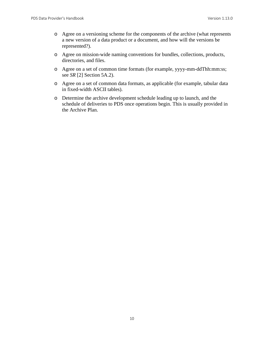- o Agree on a versioning scheme for the components of the archive (what represents a new version of a data product or a document, and how will the versions be represented?).
- o Agree on mission-wide naming conventions for bundles, collections, products, directories, and files.
- o Agree on a set of common time formats (for example, yyyy-mm-ddThh:mm:ss; see *SR* [2] Section 5A.2).
- o Agree on a set of common data formats, as applicable (for example, tabular data in fixed-width ASCII tables).
- o Determine the archive development schedule leading up to launch, and the schedule of deliveries to PDS once operations begin. This is usually provided in the Archive Plan.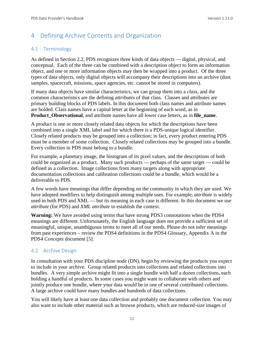## <span id="page-17-0"></span>4 Defining Archive Contents and Organization

## <span id="page-17-1"></span>4.1 Terminology

As defined in Section 2.2, PDS recognizes three kinds of data objects — digital, physical, and conceptual. Each of the three can be combined with a description object to form an information object, and one or more information objects may then be wrapped into a product. Of the three types of data objects, only digital objects will accompany their descriptions into an archive (dust samples, spacecraft, missions, space agencies, etc. cannot be stored in computers).

If many data objects have similar characteristics, we can group them into a *class,* and the common characteristics are the defining *attributes* of that class. Classes and attributes are primary building blocks of PDS labels. In this document both class names and attribute names are bolded. Class names have a capital letter at the beginning of each word, as in **Product\_Observational**, and attribute names have all lower case letters, as in **file\_name**.

A product is one or more closely related data objects for which the descriptions have been combined into a single XML label and for which there is a PDS-unique logical identifier. Closely related products may be grouped into a collection; in fact, every product entering PDS must be a member of some collection. Closely related collections may be grouped into a bundle. Every collection in PDS must belong to a bundle.

For example, a planetary image, the histogram of its pixel values, and the descriptions of both could be organized as a product. Many such products — perhaps of the same target — could be defined as a collection. Image collections from many targets along with appropriate documentation collections and calibration collections could be a bundle, which would be a deliverable to PDS.

A few words have meanings that differ depending on the community in which they are used. We have adopted modifiers to help distinguish among multiple uses. For example, *attribute* is widely used in both PDS and XML — but its meaning in each case is different. In this document we use *attribute* (for PDS) and *XML attribute* to establish the context.

**Warning:** We have avoided using terms that have strong PDS3 connotations when the PDS4 meanings are different. Unfortunately, the English language does not provide a sufficient set of meaningful, unique, unambiguous terms to meet all of our needs. Please do not infer meanings from past experiences – review the PDS4 definitions in the PDS4 Glossary, Appendix A in the PDS4 *Concepts* document [5].

## <span id="page-17-2"></span>4.2 Archive Design

In consultation with your PDS discipline node (DN), begin by reviewing the products you expect to include in your archive. Group related products into collections and related collections into bundles. A very simple archive might fit into a single bundle with half a dozen collections, each holding a handful of products. In some cases you might want to collaborate with others and jointly produce one bundle, where your data would be in one of several contributed collections. A large archive could have many bundles and hundreds of data collections.

You will likely have at least one data collection and probably one document collection. You may also want to include other material such as browse products, which are reduced-size images of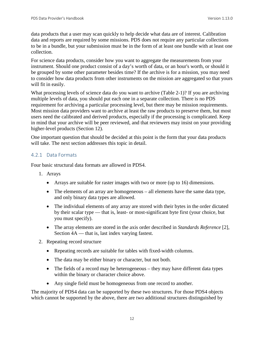data products that a user may scan quickly to help decide what data are of interest. Calibration data and reports are required by some missions. PDS does not require any particular collections to be in a bundle, but your submission must be in the form of at least one bundle with at least one collection.

For science data products, consider how you want to aggregate the measurements from your instrument. Should one product consist of a day's worth of data, or an hour's worth, or should it be grouped by some other parameter besides time? If the archive is for a mission, you may need to consider how data products from other instruments on the mission are aggregated so that yours will fit in easily.

What processing levels of science data do you want to archive (Table 2-1)? If you are archiving multiple levels of data, you should put each one in a separate collection. There is no PDS requirement for archiving a particular processing level, but there may be mission requirements. Most mission data providers want to archive at least the raw products to preserve them, but most users need the calibrated and derived products, especially if the processing is complicated. Keep in mind that your archive will be peer reviewed, and that reviewers may insist on your providing higher-level products (Section 12).

One important question that should be decided at this point is the form that your data products will take. The next section addresses this topic in detail.

#### <span id="page-18-0"></span>4.2.1 Data Formats

Four basic structural data formats are allowed in PDS4.

- 1. Arrays
	- Arrays are suitable for raster images with two or more (up to 16) dimensions.
	- The elements of an array are homogeneous all elements have the same data type, and only binary data types are allowed.
	- The individual elements of any array are stored with their bytes in the order dictated by their scalar type — that is, least- or most-significant byte first (your choice, but you must specify).
	- The array elements are stored in the axis order described in *Standards Reference* [2], Section 4A — that is, last index varying fastest.
- 2. Repeating record structure
	- Repeating records are suitable for tables with fixed-width columns.
	- The data may be either binary or character, but not both.
	- The fields of a record may be heterogeneous they may have different data types within the binary or character choice above.
	- Any single field must be homogeneous from one record to another.

The majority of PDS4 data can be supported by these two structures. For those PDS4 objects which cannot be supported by the above, there are two additional structures distinguished by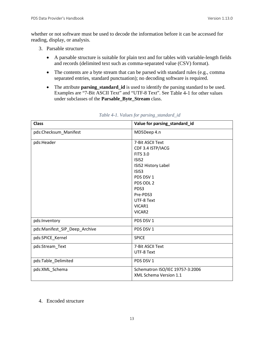whether or not software must be used to decode the information before it can be accessed for reading, display, or analysis.

- 3. Parsable structure
	- A parsable structure is suitable for plain text and for tables with variable-length fields and records (delimited text such as comma-separated value (CSV) format).
	- The contents are a byte stream that can be parsed with standard rules (e.g., comma separated entries, standard punctuation); no decoding software is required.
	- The attribute **parsing\_standard\_id** is used to identify the parsing standard to be used. Examples are "7-Bit ASCII Text" and "UTF-8 Text". See Table 4-1 for other values under subclasses of the **Parsable\_Byte\_Stream** class.

| <b>Class</b>                  | Value for parsing_standard_id   |
|-------------------------------|---------------------------------|
| pds:Checksum_Manifest         | MD5Deep 4.n                     |
| pds:Header                    | 7-Bit ASCII Text                |
|                               | CDF 3.4 ISTP/IACG               |
|                               | <b>FITS 3.0</b>                 |
|                               | ISIS <sub>2</sub>               |
|                               | ISIS2 History Label             |
|                               | ISIS <sub>3</sub>               |
|                               | PDS DSV 1                       |
|                               | PDS ODL 2                       |
|                               | PDS3                            |
|                               | Pre-PDS3                        |
|                               | UTF-8 Text                      |
|                               | VICAR1                          |
|                               | VICAR2                          |
| pds:Inventory                 | PDS DSV 1                       |
| pds:Manifest_SIP_Deep_Archive | PDS DSV 1                       |
| pds:SPICE_Kernel              | <b>SPICE</b>                    |
| pds:Stream_Text               | 7-Bit ASCII Text                |
|                               | UTF-8 Text                      |
| pds:Table_Delimited           | PDS DSV 1                       |
| pds:XML_Schema                | Schematron ISO/IEC 19757-3:2006 |
|                               | XML Schema Version 1.1          |

#### *Table 4-1. Values for parsing\_standard\_id*

#### 4. Encoded structure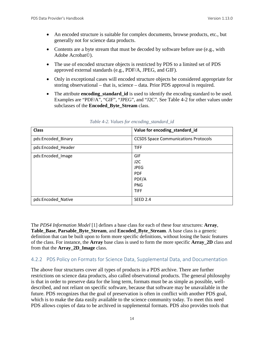- An encoded structure is suitable for complex documents, browse products, etc., but generally not for science data products.
- Contents are a byte stream that must be decoded by software before use (e.g., with Adobe Acrobat©).
- The use of encoded structure objects is restricted by PDS to a limited set of PDS approved external standards (e.g., PDF/A, JPEG, and GIF).
- Only in exceptional cases will encoded structure objects be considered appropriate for storing observational – that is, science – data. Prior PDS approval is required.
- The attribute **encoding\_standard\_id** is used to identify the encoding standard to be used. Examples are "PDF/A", "GIF", "JPEG", and "J2C". See Table 4-2 for other values under subclasses of the **Encoded\_Byte\_Stream** class.

| <b>Class</b>       | Value for encoding_standard_id              |
|--------------------|---------------------------------------------|
| pds:Encoded_Binary | <b>CCSDS Space Communications Protocols</b> |
| pds:Encoded Header | <b>TIFF</b>                                 |
| pds:Encoded Image  | GIF                                         |
|                    | J2C                                         |
|                    | <b>JPEG</b>                                 |
|                    | <b>PDF</b>                                  |
|                    | PDF/A                                       |
|                    | <b>PNG</b>                                  |
|                    | <b>TIFF</b>                                 |
| pds:Encoded_Native | <b>SEED 2.4</b>                             |

*Table 4-2. Values for encoding\_standard\_id*

The *PDS4 Information Model* [1] defines a base class for each of these four structures: **Array**, **Table\_Base**, **Parsable\_Byte\_Stream**, and **Encoded\_Byte\_Stream**. A base class is a generic definition that can be built upon to form more specific definitions, without losing the basic features of the class. For instance, the **Array** base class is used to form the more specific **Array\_2D** class and from that the **Array\_2D\_Image** class.

## <span id="page-20-0"></span>4.2.2 PDS Policy on Formats for Science Data, Supplemental Data, and Documentation

The above four structures cover all types of products in a PDS archive. There are further restrictions on science data products, also called observational products. The general philosophy is that in order to preserve data for the long term, formats must be as simple as possible, welldescribed, and not reliant on specific software, because that software may be unavailable in the future. PDS recognizes that the goal of preservation is often in conflict with another PDS goal, which is to make the data easily available to the science community today. To meet this need PDS allows copies of data to be archived in supplemental formats. PDS also provides tools that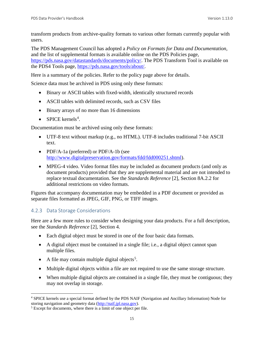transform products from archive-quality formats to various other formats currently popular with users.

The PDS Management Council has adopted a *Policy on Formats for Data and Documentation,* and the list of supplemental formats is available online on the PDS Policies page, [https://pds.nasa.gov/datastandards/documents/policy/.](https://pds.nasa.gov/datastandards/documents/policy/) The PDS Transform Tool is available on the PDS4 Tools page, [https://pds.nasa.gov/tools/about/.](https://pds.nasa.gov/tools/about/)

Here is a summary of the policies. Refer to the policy page above for details.

Science data must be archived in PDS using only these formats:

- Binary or ASCII tables with fixed-width, identically structured records
- ASCII tables with delimited records, such as CSV files
- Binary arrays of no more than 16 dimensions
- SPICE kernels<sup>[4](#page-21-1)</sup>.

Documentation must be archived using only these formats:

- UTF-8 text without markup (e.g., no HTML). UTF-8 includes traditional 7-bit ASCII text.
- PDF/A-1a (preferred) or PDF/A-1b (see [http://www.digitalpreservation.gov/formats/fdd/fdd000251.shtml\)](http://www.digitalpreservation.gov/formats/fdd/fdd000251.shtml).
- MPEG-4 video. Video format files may be included as document products (and only as document products) provided that they are supplemental material and are not intended to replace textual documentation. See the *Standards Reference* [2], Section 8A.2.2 for additional restrictions on video formats.

Figures that accompany documentation may be embedded in a PDF document or provided as separate files formatted as JPEG, GIF, PNG, or TIFF images.

## <span id="page-21-0"></span>4.2.3 Data Storage Considerations

Here are a few more rules to consider when designing your data products. For a full description, see the *Standards Reference* [2], Section 4.

- Each digital object must be stored in one of the four basic data formats.
- A digital object must be contained in a single file; i.e., a digital object cannot span multiple files.
- A file may contain multiple digital objects<sup>[5](#page-21-2)</sup>.
- Multiple digital objects within a file are not required to use the same storage structure.
- When multiple digital objects are contained in a single file, they must be contiguous; they may not overlap in storage.

<span id="page-21-1"></span><sup>&</sup>lt;sup>4</sup> SPICE kernels use a special format defined by the PDS NAIF (Navigation and Ancillary Information) Node for storing navigation and geometry data ( $\frac{http://nair.jpl.nasa.gov)}{http://nair.jpl.nasa.gov)}$ .

<span id="page-21-2"></span><sup>&</sup>lt;sup>5</sup> Except for documents, where there is a limit of one object per file.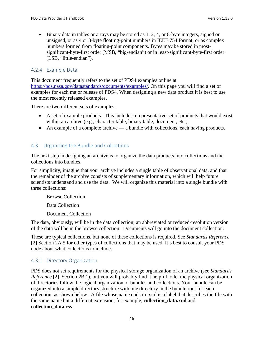• Binary data in tables or arrays may be stored as 1, 2, 4, or 8-byte integers, signed or unsigned, or as 4 or 8-byte floating-point numbers in IEEE 754 format, or as complex numbers formed from floating-point components. Bytes may be stored in mostsignificant-byte-first order (MSB, "big-endian") or in least-significant-byte-first order (LSB, "little-endian").

## <span id="page-22-0"></span>4.2.4 Example Data

This document frequently refers to the set of PDS4 examples online at [https://pds.nasa.gov/datastandards/documents/examples/.](https://pds.nasa.gov/datastandards/documents/examples/) On this page you will find a set of examples for each major release of PDS4. When designing a new data product it is best to use the most recently released examples.

There are two different sets of examples:

- A set of example products. This includes a representative set of products that would exist within an archive (e.g., character table, binary table, document, etc.).
- An example of a complete archive a bundle with collections, each having products.

## <span id="page-22-1"></span>4.3 Organizing the Bundle and Collections

The next step in designing an archive is to organize the data products into collections and the collections into bundles.

For simplicity, imagine that your archive includes a single table of observational data, and that the remainder of the archive consists of supplementary information, which will help future scientists understand and use the data. We will organize this material into a single bundle with three collections:

Browse Collection

Data Collection

Document Collection

The data, obviously, will be in the data collection; an abbreviated or reduced-resolution version of the data will be in the browse collection. Documents will go into the document collection.

These are typical collections, but none of these collections is required. See *Standards Reference* [2] Section 2A.5 for other types of collections that may be used. It's best to consult your PDS node about what collections to include.

## <span id="page-22-2"></span>4.3.1 Directory Organization

PDS does not set requirements for the physical storage organization of an archive (see *Standards Reference* [2], Section 2B.1), but you will probably find it helpful to let the physical organization of directories follow the logical organization of bundles and collections. Your bundle can be organized into a simple directory structure with one directory in the bundle root for each collection, as shown below. A file whose name ends in .xml is a label that describes the file with the same name but a different extension; for example, **collection\_data.xml** and **collection\_data.csv**.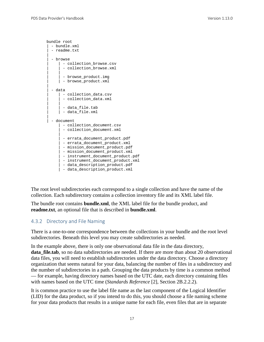```
bundle root
 | - bundle.xml
  - readme.txt
|
  - browse
     | - collection browse.csv
      - collection_browse.xml
| |
     | - browse_product.img
     | | - browse_product.xml
|
  | - data
     | - collection_data.csv
      - collection_data.xml
| |
      - data file.tab
     | - data_file.xml
|
  - document
       - collection_document.csv
       - collection_document.xml
|| || || || || ||
     | - errata document product.pdf
      | - errata_document_product.xml
      | - mission_document_product.pdf
       | - mission_document_product.xml
      - instrument_document_product.pdf
       | - instrument_document_product.xml
      - data_description_product.pdf
      | - data_description_product.xml
```
The root level subdirectories each correspond to a single collection and have the name of the collection. Each subdirectory contains a collection inventory file and its XML label file.

The bundle root contains **bundle.xml**, the XML label file for the bundle product, and **readme.txt**, an optional file that is described in **bundle.xml**.

#### <span id="page-23-0"></span>4.3.2 Directory and File Naming

There is a one-to-one correspondence between the collections in your bundle and the root level subdirectories. Beneath this level you may create subdirectories as needed.

In the example above, there is only one observational data file in the data directory, **data\_file.tab**, so no data subdirectories are needed. If there are more than about 20 observational data files, you will need to establish subdirectories under the data directory. Choose a directory organization that seems natural for your data, balancing the number of files in a subdirectory and the number of subdirectories in a path. Grouping the data products by time is a common method — for example, having directory names based on the UTC date, each directory containing files with names based on the UTC time (*Standards Reference* [2], Section 2B.2.2.2).

It is common practice to use the label file name as the last component of the Logical Identifier (LID) for the data product, so if you intend to do this, you should choose a file naming scheme for your data products that results in a unique name for each file, even files that are in separate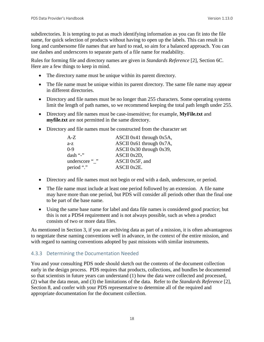subdirectories. It is tempting to put as much identifying information as you can fit into the file name, for quick selection of products without having to open up the labels. This can result in long and cumbersome file names that are hard to read, so aim for a balanced approach. You can use dashes and underscores to separate parts of a file name for readability.

Rules for forming file and directory names are given in *Standards Reference* [2], Section 6C. Here are a few things to keep in mind.

- The directory name must be unique within its parent directory.
- The file name must be unique within its parent directory. The same file name may appear in different directories.
- Directory and file names must be no longer than 255 characters. Some operating systems limit the length of path names, so we recommend keeping the total path length under 255.
- Directory and file names must be case-insensitive; for example, **MyFile.txt** and **myfile.txt** are not permitted in the same directory.
- Directory and file names must be constructed from the character set

| $A-Z$          | ASCII 0x41 through $0x5A$ ,   |
|----------------|-------------------------------|
| $a-z$          | ASCII 0x61 through $0x7A$ ,   |
| $0-9$          | ASCII $0x30$ through $0x39$ , |
| dash "-"       | ASCII 0x2D,                   |
| underscore " " | ASCII 0x5F, and               |
| period "."     | ASCII 0x2E.                   |

- Directory and file names must not begin or end with a dash, underscore, or period.
- The file name must include at least one period followed by an extension. A file name may have more than one period, but PDS will consider all periods other than the final one to be part of the base name.
- Using the same base name for label and data file names is considered good practice; but this is not a PDS4 requirement and is not always possible, such as when a product consists of two or more data files.

As mentioned in Section 3, if you are archiving data as part of a mission, it is often advantageous to negotiate these naming conventions well in advance, in the context of the entire mission, and with regard to naming conventions adopted by past missions with similar instruments.

## <span id="page-24-0"></span>4.3.3 Determining the Documentation Needed

You and your consulting PDS node should sketch out the contents of the document collection early in the design process. PDS requires that products, collections, and bundles be documented so that scientists in future years can understand (1) how the data were collected and processed, (2) what the data mean, and (3) the limitations of the data. Refer to the *Standards Reference* [2], Section 8, and confer with your PDS representative to determine all of the required and appropriate documentation for the document collection.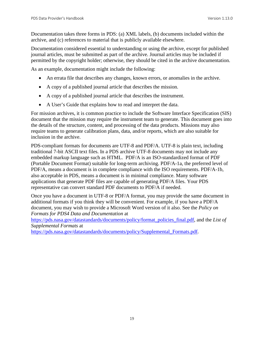Documentation takes three forms in PDS: (a) XML labels, (b) documents included within the archive, and (c) references to material that is publicly available elsewhere.

Documentation considered essential to understanding or using the archive, except for published journal articles, must be submitted as part of the archive. Journal articles may be included if permitted by the copyright holder; otherwise, they should be cited in the archive documentation.

As an example, documentation might include the following:

- An errata file that describes any changes, known errors, or anomalies in the archive.
- A copy of a published journal article that describes the mission.
- A copy of a published journal article that describes the instrument.
- A User's Guide that explains how to read and interpret the data.

For mission archives, it is common practice to include the Software Interface Specification (SIS) document that the mission may require the instrument team to generate. This document goes into the details of the structure, content, and processing of the data products. Missions may also require teams to generate calibration plans, data, and/or reports, which are also suitable for inclusion in the archive.

PDS-compliant formats for documents are UTF-8 and PDF/A. UTF-8 is plain text, including traditional 7-bit ASCII text files. In a PDS archive UTF-8 documents may not include any embedded markup language such as HTML. PDF/A is an ISO-standardized format of PDF (Portable Document Format) suitable for long-term archiving. PDF/A-1a, the preferred level of PDF/A, means a document is in complete compliance with the ISO requirements. PDF/A-1b, also acceptable in PDS, means a document is in minimal compliance. Many software applications that generate PDF files are capable of generating PDF/A files. Your PDS representative can convert standard PDF documents to PDF/A if needed.

Once you have a document in UTF-8 or PDF/A format, you may provide the same document in additional formats if you think they will be convenient. For example, if you have a PDF/A document, you may wish to provide a Microsoft Word version of it also. See the *Policy on Formats for PDS4 Data and Documentation* at

[https://pds.nasa.gov/datastandards/documents/policy/format\\_policies\\_final.pdf,](https://pds.nasa.gov/datastandards/documents/policy/format_policies_final.pdf) and the *List of Supplemental Formats* at

[https://pds.nasa.gov/datastandards/documents/policy/Supplemental\\_Formats.pdf.](https://pds.nasa.gov/datastandards/documents/policy/Supplemental_Formats.pdf)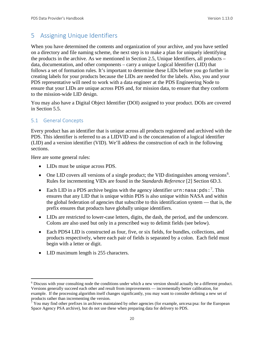## <span id="page-26-0"></span>5 Assigning Unique Identifiers

When you have determined the contents and organization of your archive, and you have settled on a directory and file naming scheme, the next step is to make a plan for uniquely identifying the products in the archive. As we mentioned in Section 2.5, Unique Identifiers, all products – data, documentation, and other components – carry a unique Logical Identifier (LID) that follows a set of formation rules. It's important to determine these LIDs before you go further in creating labels for your products because the LIDs are needed for the labels. Also, you and your PDS representative will need to work with a data engineer at the PDS Engineering Node to ensure that your LIDs are unique across PDS and, for mission data, to ensure that they conform to the mission-wide LID design.

You may also have a Digital Object Identifier (DOI) assigned to your product. DOIs are covered in Section 5.5.

## <span id="page-26-1"></span>5.1 General Concepts

Every product has an identifier that is unique across all products registered and archived with the PDS. This identifier is referred to as a LIDVID and is the concatenation of a logical identifier (LID) and a version identifier (VID). We'll address the construction of each in the following sections.

Here are some general rules:

- LIDs must be unique across PDS.
- One LID covers all versions of a single product; the VID distinguishes among versions<sup>[6](#page-26-2)</sup>. Rules for incrementing VIDs are found in the *Standards Reference* [2] Section 6D.3.
- Each LID in a PDS archive begins with the agency identifier  $urn:nas: pds:$ <sup>[7](#page-26-3)</sup>. This ensures that any LID that is unique within PDS is also unique within NASA and within the global federation of agencies that subscribe to this identification system — that is, the prefix ensures that products have globally unique identifiers.
- LIDs are restricted to lower-case letters, digits, the dash, the period, and the underscore. Colons are also used but only in a prescribed way to delimit fields (see below).
- Each PDS4 LID is constructed as four, five, or six fields, for bundles, collections, and products respectively, where each pair of fields is separated by a colon. Each field must begin with a letter or digit.
- LID maximum length is 255 characters.

<span id="page-26-2"></span> <sup>6</sup> Discuss with your consulting node the conditions under which a new version should actually be a different product. Versions generally succeed each other and result from improvements — incrementally better calibration, for example. If the processing algorithm itself changes significantly, you may want to consider defining a new set of products rather than incrementing the version.

<span id="page-26-3"></span> $7$  You may find other prefixes in archives maintained by other agencies (for example, urn:esa:psa: for the European Space Agency PSA archive), but do not use these when preparing data for delivery to PDS.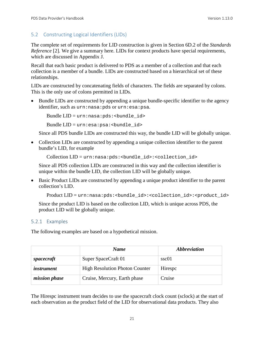## <span id="page-27-0"></span>5.2 Constructing Logical Identifiers (LIDs)

The complete set of requirements for LID construction is given in Section 6D.2 of the *Standards Reference* [2]. We give a summary here. LIDs for context products have special requirements, which are discussed in Appendix J.

Recall that each basic product is delivered to PDS as a member of a collection and that each collection is a member of a bundle. LIDs are constructed based on a hierarchical set of these relationships.

LIDs are constructed by concatenating fields of characters. The fields are separated by colons. This is the only use of colons permitted in LIDs.

• Bundle LIDs are constructed by appending a unique bundle-specific identifier to the agency identifier, such as urn:nasa:pds or urn:esa:psa.

Bundle  $LID = urn: nasa: pds: **bundle_id**$ 

Bundle  $LID = urn: esa: psa: **bundle** id>$ 

Since all PDS bundle LIDs are constructed this way, the bundle LID will be globally unique.

• Collection LIDs are constructed by appending a unique collection identifier to the parent bundle's LID, for example

Collection LID = urn:nasa:pds:<br/>cbundle\_id>:<collection\_id>

Since all PDS collection LIDs are constructed in this way and the collection identifier is unique within the bundle LID, the collection LID will be globally unique.

• Basic Product LIDs are constructed by appending a unique product identifier to the parent collection's LID.

Product LID = urn:nasa:pds:<br/>bundle\_id>:<collection\_id>:<product\_id>

Since the product LID is based on the collection LID, which is unique across PDS, the product LID will be globally unique.

#### <span id="page-27-1"></span>5.2.1 Examples

The following examples are based on a hypothetical mission.

|                      | <b>Name</b>                           | <i><b>Abbreviation</b></i> |
|----------------------|---------------------------------------|----------------------------|
| spacecraft           | Super SpaceCraft 01                   | ssc01                      |
| <i>instrument</i>    | <b>High Resolution Photon Counter</b> | Hirespc                    |
| <i>mission phase</i> | Cruise, Mercury, Earth phase          | Cruise                     |

The Hirespc instrument team decides to use the spacecraft clock count (sclock) at the start of each observation as the product field of the LID for observational data products. They also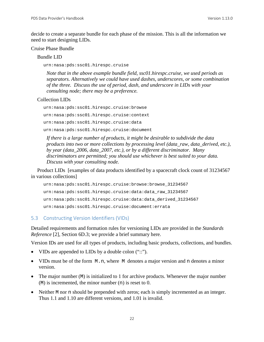decide to create a separate bundle for each phase of the mission. This is all the information we need to start designing LIDs.

#### Cruise Phase Bundle

Bundle LID

urn:nasa:pds:ssc01.hirespc.cruise

*Note that in the above example bundle field, ssc01.hirespc.cruise, we used periods as separators. Alternatively we could have used dashes, underscores, or some combination of the three. Discuss the use of period, dash, and underscore in LIDs with your consulting node; there may be a preference.*

#### Collection LIDs

urn:nasa:pds:ssc01.hirespc.cruise:browse urn:nasa:pds:ssc01.hirespc.cruise:context urn:nasa:pds:ssc01.hirespc.cruise:data urn:nasa:pds:ssc01.hirespc.cruise:document

*If there is a large number of products, it might be desirable to subdivide the data products into two or more collections by processing level (data\_raw, data\_derived, etc.), by year (data\_2006, data\_2007, etc.), or by a different discriminator. Many discriminators are permitted; you should use whichever is best suited to your data. Discuss with your consulting node.*

Product LIDs [examples of data products identified by a spacecraft clock count of 31234567 in various collections]

```
urn:nasa:pds:ssc01.hirespc.cruise:browse:browse_31234567
urn:nasa:pds:ssc01.hirespc.cruise:data:data_raw_31234567
urn:nasa:pds:ssc01.hirespc.cruise:data:data_derived_31234567
urn:nasa:pds:ssc01.hirespc.cruise:document:errata
```
## <span id="page-28-0"></span>5.3 Constructing Version Identifiers (VIDs)

Detailed requirements and formation rules for versioning LIDs are provided in the *Standards Reference* [2]*,* Section 6D.3; we provide a brief summary here.

Version IDs are used for all types of products, including basic products, collections, and bundles.

- VIDs are appended to LIDs by a double colon ("::").
- VIDs must be of the form M.n, where M denotes a major version and n denotes a minor version.
- The major number (M) is initialized to 1 for archive products. Whenever the major number  $(M)$  is incremented, the minor number  $(n)$  is reset to 0.
- Neither M nor n should be prepended with zeros; each is simply incremented as an integer. Thus 1.1 and 1.10 are different versions, and 1.01 is invalid.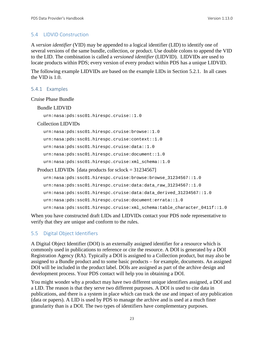## <span id="page-29-0"></span>5.4 LIDVID Construction

A *version identifier* (VID) may be appended to a logical identifier (LID) to identify one of several versions of the same bundle, collection, or product. Use double colons to append the VID to the LID. The combination is called a *versioned identifier* (LIDVID). LIDVIDs are used to locate products within PDS; every version of every product within PDS has a unique LIDVID.

The following example LIDVIDs are based on the example LIDs in Section 5.2.1. In all cases the VID is 1.0.

#### <span id="page-29-1"></span>5.4.1 Examples

#### Cruise Phase Bundle

Bundle LIDVID

urn:nasa:pds:ssc01.hirespc.cruise::1.0

#### Collection LIDVIDs

```
urn:nasa:pds:ssc01.hirespc.cruise:browse::1.0
urn:nasa:pds:ssc01.hirespc.cruise:context::1.0
urn:nasa:pds:ssc01.hirespc.cruise:data::1.0
urn:nasa:pds:ssc01.hirespc.cruise:document::1.0
urn:nasa:pds:ssc01.hirespc.cruise:xml_schema::1.0
```
Product LIDVIDs [data products for sclock = 31234567]

```
urn:nasa:pds:ssc01.hirespc.cruise:browse:browse_31234567::1.0
urn:nasa:pds:ssc01.hirespc.cruise:data:data_raw_31234567::1.0
urn:nasa:pds:ssc01.hirespc.cruise:data:data derived 31234567::1.0
urn:nasa:pds:ssc01.hirespc.cruise:document:errata::1.0
urn:nasa:pds:ssc01.hirespc.cruise:xml schema:table character 0411f::1.0
```
When you have constructed draft LIDs and LIDVIDs contact your PDS node representative to verify that they are unique and conform to the rules.

## <span id="page-29-2"></span>5.5 Digital Object Identifiers

A Digital Object Identifier (DOI) is an externally assigned identifier for a resource which is commonly used in publications to reference or cite the resource. A DOI is generated by a DOI Registration Agency (RA). Typically a DOI is assigned to a Collection product, but may also be assigned to a Bundle product and to some basic products – for example, documents. An assigned DOI will be included in the product label. DOIs are assigned as part of the archive design and development process. Your PDS contact will help you in obtaining a DOI.

You might wonder why a product may have two different unique identifiers assigned, a DOI and a LID. The reason is that they serve two different purposes. A DOI is used to cite data in publications, and there is a system in place which can track the use and impact of any publication (data or papers). A LID is used by PDS to manage the archive and is used at a much finer granularity than is a DOI. The two types of identifiers have complementary purposes.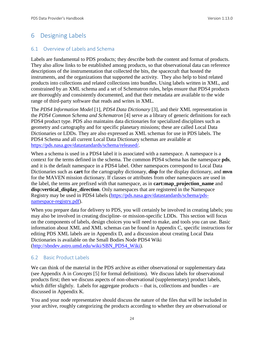## <span id="page-30-0"></span>6 Designing Labels

## <span id="page-30-1"></span>6.1 Overview of Labels and Schema

Labels are fundamental to PDS products; they describe both the content and format of products. They also allow links to be established among products, so that observational data can reference descriptions of the instrumentation that collected the bits, the spacecraft that hosted the instruments, and the organizations that supported the activity. They also help to bind related products into collections and related collections into bundles. Using labels written in XML, and constrained by an XML schema and a set of Schematron rules, helps ensure that PDS4 products are thoroughly and consistently documented, and that their metadata are available to the wide range of third-party software that reads and writes in XML.

The *PDS4 Information Model* [1], *PDS4 Data Dictionary* [3], and their XML representation in the *PDS4 Common Schema and Schematron* [4] serve as a library of generic definitions for each PDS4 product type. PDS also maintains data dictionaries for specialized disciplines such as geometry and cartography and for specific planetary missions; these are called Local Data Dictionaries or LDDs. They are also expressed as XML schemas for use in PDS labels. The PDS4 Schema and all current Local Data Dictionary schemas are available at [https://pds.nasa.gov/datastandards/schema/released/.](https://pds.nasa.gov/datastandards/schema/released/)

When a schema is used in a PDS4 label it is associated with a namespace. A namespace is a context for the terms defined in the schema. The common PDS4 schema has the namespace **pds**, and it is the default namespace in a PDS4 label. Other namespaces correspond to Local Data Dictionaries such as **cart** for the cartography dictionary, **disp** for the display dictionary, and **mvn** for the MAVEN mission dictionary. If classes or attributes from other namespaces are used in the label, the terms are prefixed with that namespace, as in **cart:map\_projection\_name** and **disp:vertical\_display\_direction**. Only namespaces that are registered in the Namespace Registry may be used in PDS4 labels [\(https://pds.nasa.gov/datastandards/schema/pds](https://pds.nasa.gov/datastandards/schema/pds-namespace-registry.pdf)[namespace-registry.pdf\)](https://pds.nasa.gov/datastandards/schema/pds-namespace-registry.pdf).

When you prepare data for delivery to PDS, you will certainly be involved in creating labels; you may also be involved in creating discipline- or mission-specific LDDs. This section will focus on the components of labels, design choices you will need to make, and tools you can use. Basic information about XML and XML schemas can be found in Appendix C, specific instructions for editing PDS XML labels are in Appendix D, and a discussion about creating Local Data Dictionaries is available on the Small Bodies Node PDS4 Wiki [\(http://sbndev.astro.umd.edu/wiki/SBN\\_PDS4\\_Wiki\)](http://sbndev.astro.umd.edu/wiki/SBN_PDS4_Wiki).

## <span id="page-30-2"></span>6.2 Basic Product Labels

We can think of the material in the PDS archive as either observational or supplementary data (see Appendix A in *Concepts* [5] for formal definitions). We discuss labels for observational products first; then we discuss aspects of non-observational (supplementary) product labels, which differ slightly. Labels for aggregate products – that is, collections and bundles – are discussed in Appendix K.

You and your node representative should discuss the nature of the files that will be included in your archive, roughly categorizing the products according to whether they are observational or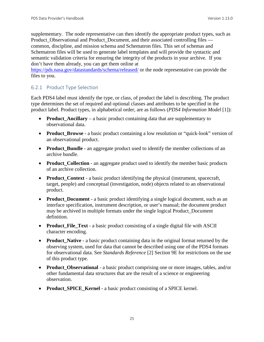supplementary. The node representative can then identify the appropriate product types, such as Product Observational and Product Document, and their associated controlling files common, discipline, and mission schema and Schematron files. This set of schemas and Schematron files will be used to generate label templates and will provide the syntactic and semantic validation criteria for ensuring the integrity of the products in your archive. If you don't have them already, you can get them online at

<https://pds.nasa.gov/datastandards/schema/released/> or the node representative can provide the files to you.

## <span id="page-31-0"></span>6.2.1 Product Type Selection

Each PDS4 label must identify the type, or class, of product the label is describing. The product type determines the set of required and optional classes and attributes to be specified in the product label. Product types, in alphabetical order, are as follows (*PDS4 Information Model* [1]):

- **Product\_Ancillary** a basic product containing data that are supplementary to observational data.
- **Product Browse** a basic product containing a low resolution or "quick-look" version of an observational product.
- **Product\_Bundle** an aggregate product used to identify the member collections of an archive bundle.
- **Product\_Collection** an aggregate product used to identify the member basic products of an archive collection.
- **Product\_Context** a basic product identifying the physical (instrument, spacecraft, target, people) and conceptual (investigation, node) objects related to an observational product.
- **Product\_Document** a basic product identifying a single logical document, such as an interface specification, instrument description, or user's manual; the document product may be archived in multiple formats under the single logical Product\_Document definition.
- **Product\_File\_Text** a basic product consisting of a single digital file with ASCII character encoding.
- **Product\_Native** a basic product containing data in the original format returned by the observing system, used for data that cannot be described using one of the PDS4 formats for observational data. See *Standards Reference* [2] Section 9E for restrictions on the use of this product type.
- **Product Observational** a basic product comprising one or more images, tables, and/or other fundamental data structures that are the result of a science or engineering observation.
- **Product\_SPICE\_Kernel** a basic product consisting of a SPICE kernel.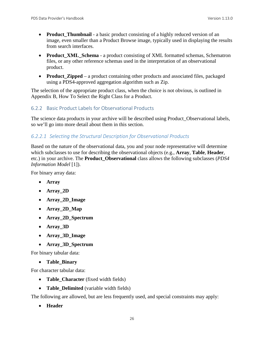- **Product\_Thumbnail** a basic product consisting of a highly reduced version of an image, even smaller than a Product Browse image, typically used in displaying the results from search interfaces.
- **Product XML Schema** a product consisting of XML formatted schemas, Schematron files, or any other reference schemas used in the interpretation of an observational product.
- **Product Zipped** a product containing other products and associated files, packaged using a PDS4-approved aggregation algorithm such as Zip.

The selection of the appropriate product class, when the choice is not obvious, is outlined in Appendix B, How To Select the Right Class for a Product.

## <span id="page-32-0"></span>6.2.2 Basic Product Labels for Observational Products

The science data products in your archive will be described using Product\_Observational labels, so we'll go into more detail about them in this section.

## *6.2.2.1 Selecting the Structural Description for Observational Products*

Based on the nature of the observational data, you and your node representative will determine which subclasses to use for describing the observational objects (e.g., **Array**, **Table**, **Header**, etc.) in your archive. The **Product\_Observational** class allows the following subclasses (*PDS4 Information Model* [1]).

For binary array data:

- **Array**
- **Array\_2D**
- **Array\_2D\_Image**
- **Array\_2D\_Map**
- **Array\_2D\_Spectrum**
- **Array\_3D**
- **Array\_3D\_Image**
- **Array\_3D\_Spectrum**

For binary tabular data:

• **Table\_Binary**

For character tabular data:

- **Table\_Character** (fixed width fields)
- **Table Delimited** (variable width fields)

The following are allowed, but are less frequently used, and special constraints may apply:

• **Header**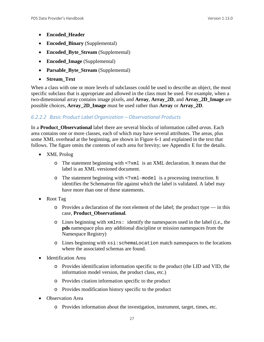- **Encoded\_Header**
- **Encoded\_Binary** (Supplemental)
- **Encoded\_Byte\_Stream** (Supplemental)
- **Encoded\_Image** (Supplemental)
- **Parsable\_Byte\_Stream** (Supplemental)
- **Stream\_Text**

When a class with one or more levels of subclasses could be used to describe an object, the most specific subclass that is appropriate and allowed in the class must be used. For example, when a two-dimensional array contains image pixels, and **Array**, **Array\_2D**, and **Array\_2D\_Image** are possible choices, **Array\_2D\_Image** must be used rather than **Array** or **Array\_2D**.

#### *6.2.2.2 Basic Product Label Organization – Observational Products*

In a **Product\_Observational** label there are several blocks of information called *areas*. Each area contains one or more classes, each of which may have several attributes. The areas, plus some XML overhead at the beginning, are shown in Figure 6-1 and explained in the text that follows. The figure omits the contents of each area for brevity; see Appendix E for the details.

- XML Prolog
	- o The statement beginning with <?xml is an XML declaration. It means that the label is an XML versioned document.
	- o The statement beginning with <?xml-model is a processing instruction. It identifies the Schematron file against which the label is validated. A label may have more than one of these statements.
- Root Tag
	- $\circ$  Provides a declaration of the root element of the label; the product type in this case, **Product\_Observational**.
	- o Lines beginning with xmlns: identify the namespaces used in the label (i.e., the **pds** namespace plus any additional discipline or mission namespaces from the Namespace Registry)
	- o Lines beginning with xsi:schemaLocation match namespaces to the locations where the associated schemas are found.
- Identification Area
	- o Provides identification information specific to the product (the LID and VID, the information model version, the product class, etc.)
	- o Provides citation information specific to the product
	- o Provides modification history specific to the product
- Observation Area
	- o Provides information about the investigation, instrument, target, times, etc.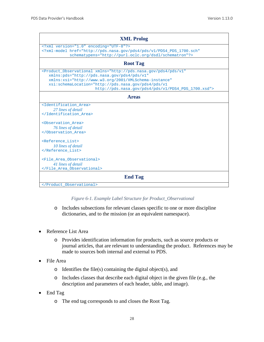| <b>XML Prolog</b>                                                                                                           |
|-----------------------------------------------------------------------------------------------------------------------------|
| xml version="1.0" encoding="UTF-8"?                                                                                         |
| xml-model href="http://pds.nasa.gov/pds4/pds/v1/PDS4_PDS_1700.sch"<br schematypens="http://purl.oclc.org/dsdl/schematron"?> |
|                                                                                                                             |
| <b>Root Tag</b>                                                                                                             |
| <product <="" observational="" td="" xmlns="http://pds.nasa.gov/pds4/pds/v1"></product>                                     |
| xmlns: pds="http://pds.nasa.qov/pds4/pds/v1"                                                                                |
| xmlns:xsi="http://www.w3.org/2001/XMLSchema-instance"                                                                       |
| xsi:schemaLocation="http://pds.nasa.qov/pds4/pds/vl<br>http://pds.nasa.gov/pds4/pds/v1/PDS4_PDS_1700.xsd">                  |
|                                                                                                                             |
| <b>Areas</b>                                                                                                                |
| <identification area=""></identification>                                                                                   |
| 27 lines of detail                                                                                                          |
|                                                                                                                             |
| <observation area=""></observation>                                                                                         |
| 76 lines of detail                                                                                                          |
|                                                                                                                             |
| <reference list=""></reference>                                                                                             |
| 10 lines of detail                                                                                                          |
|                                                                                                                             |
|                                                                                                                             |
| <file_area_observational></file_area_observational>                                                                         |
| 41 lines of detail                                                                                                          |
|                                                                                                                             |
| <b>End Tag</b>                                                                                                              |
|                                                                                                                             |

*Figure 6-1. Example Label Structure for Product\_Observational*

- o Includes subsections for relevant classes specific to one or more discipline dictionaries, and to the mission (or an equivalent namespace).
- Reference List Area
	- o Provides identification information for products, such as source products or journal articles, that are relevant to understanding the product. References may be made to sources both internal and external to PDS.
- File Area
	- $\circ$  Identifies the file(s) containing the digital object(s), and
	- o Includes classes that describe each digital object in the given file (e.g., the description and parameters of each header, table, and image).
- End Tag
	- o The end tag corresponds to and closes the Root Tag.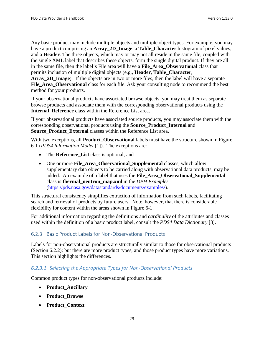Any basic product may include multiple objects and multiple object types. For example, you may have a product comprising an **Array\_2D\_Image**, a **Table\_Character** histogram of pixel values, and a **Header**. The three objects, which may or may not all reside in the same file, coupled with the single XML label that describes these objects, form the single digital product. If they are all in the same file, then the label's File area will have a **File\_Area\_Observational** class that permits inclusion of multiple digital objects (e.g., **Header**, **Table\_Character**,

**Array\_2D\_Image**). If the objects are in two or more files, then the label will have a separate **File\_Area\_Observational** class for each file. Ask your consulting node to recommend the best method for your products.

If your observational products have associated browse objects, you may treat them as separate browse products and associate them with the corresponding observational products using the **Internal\_Reference** class within the Reference List area.

If your observational products have associated source products, you may associate them with the corresponding observational products using the **Source\_Product\_Internal** and **Source Product External classes within the Reference List area.** 

With two exceptions, all **Product\_Observational** labels must have the structure shown in Figure 6-1 (*PDS4 Information Model* [1]). The exceptions are:

- The **Reference** List class is optional; and
- One or more **File\_Area\_Observational\_Supplemental** classes, which allow supplementary data objects to be carried along with observational data products, may be added. An example of a label that uses the **File\_Area\_Observational\_Supplemental** class is **thermal\_neutron\_map.xml** in the *DPH Examples*  [\(https://pds.nasa.gov/datastandards/documents/examples/\)](https://pds.nasa.gov/datastandards/documents/examples/).

This structural consistency simplifies extraction of information from such labels, facilitating search and retrieval of products by future users. Note, however, that there is considerable flexibility for content within the areas shown in Figure 6-1.

For additional information regarding the definitions and *cardinality* of the attributes and classes used within the definition of a basic product label, consult the *PDS4 Data Dictionary* [3].

## <span id="page-35-0"></span>6.2.3 Basic Product Labels for Non-Observational Products

Labels for non-observational products are structurally similar to those for observational products (Section 6.2.2); but there are more product types, and those product types have more variations. This section highlights the differences.

## *6.2.3.1 Selecting the Appropriate Types for Non-Observational Products*

Common product types for non-observational products include:

- **Product\_Ancillary**
- **Product\_Browse**
- **Product\_Context**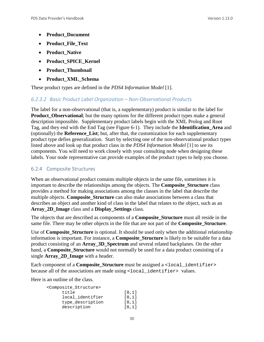- **Product\_Document**
- **Product\_File\_Text**
- **Product\_Native**
- **Product\_SPICE\_Kernel**
- **Product\_Thumbnail**
- **Product\_XML\_Schema**

These product types are defined in the *PDS4 Information Model* [1].

#### *6.2.3.2 Basic Product Label Organization – Non-Observational Products*

The label for a non-observational (that is, a supplementary) product is similar to the label for **Product Observational**; but the many options for the different product types make a general description impossible. Supplementary product labels begin with the XML Prolog and Root Tag, and they end with the End Tag (see Figure 6-1). They include the **Identification\_Area** and (optionally) the **Reference\_List**; but, after that, the customization for each supplementary product type defies generalization. Start by selecting one of the non-observational product types listed above and look up that product class in the *PDS4 Information Model* [1] to see its components. You will need to work closely with your consulting node when designing these labels. Your node representative can provide examples of the product types to help you choose.

#### 6.2.4 Composite Structures

When an observational product contains multiple objects in the same file, sometimes it is important to describe the relationships among the objects. The **Composite\_Structure** class provides a method for making associations among the classes in the label that describe the multiple objects. **Composite Structure** can also make associations between a class that describes an object and another kind of class in the label that relates to the object, such as an **Array\_2D\_Image** class and a **Display\_Settings** class.

The objects that are described as components of a **Composite\_Structure** must all reside in the same file. There may be other objects in the file that are not part of the **Composite\_Structure**.

Use of **Composite Structure** is optional. It should be used only when the additional relationship information is important. For instance, a **Composite\_Structure** is likely to be suitable for a data product consisting of an **Array\_3D\_Spectrum** and several related backplanes. On the other hand, a **Composite Structure** would not normally be used for a data product consisting of a single **Array\_2D\_Image** with a header.

Each component of a **Composite\_Structure** must be assigned a <local\_identifier> because all of the associations are made using <local identifier> values.

Here is an outline of the class.

| <composite_structure></composite_structure> |                     |
|---------------------------------------------|---------------------|
| title                                       | [0,1]               |
| local identifier                            | [0,1]               |
| type_description                            | $\lceil 0.1 \rceil$ |
| description                                 | [0,1]               |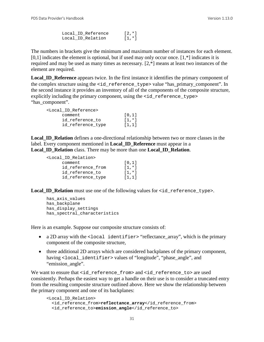Local\_ID\_Reference [2,\*]<br>Local\_ID\_Relation [1,\*] Local\_ID\_Relation

The numbers in brackets give the minimum and maximum number of instances for each element.  $[0,1]$  indicates the element is optional, but if used may only occur once.  $[1, *]$  indicates it is required and may be used as many times as necessary. [2,\*] means at least two instances of the element are required.

**Local\_ID\_Reference** appears twice. In the first instance it identifies the primary component of the complex structure using the  $\leq$ id reference type> value "has primary component". In the second instance it provides an inventory of all of the components of the composite structure, explicitly including the primary component, using the  $\langle id \rangle$  reference type> "has component".

| [0,1]    |
|----------|
| $[1, *]$ |
| [1,1]    |
|          |

**Local ID Relation** defines a one-directional relationship between two or more classes in the label. Every component mentioned in **Local\_ID\_Reference** must appear in a **Local\_ID\_Relation** class. There may be more than one **Local\_ID\_Relation**.

```
<Local_ID_Relation>
       comment [0,1]<br>id reference from [1,*]
        id_reference_from [1,*]<br>id_reference_to [1,*]
        id_reference_to [1,*]<br>id_reference_type [1,1]
        id_reference_type
```
**Local ID Relation** must use one of the following values for  $\leq$  id reference type>.

```
has_axis_values
has_backplane
has_display_settings
has spectral characteristics
```
Here is an example. Suppose our composite structure consists of:

- a 2D array with the <local identifier> "reflectance\_array", which is the primary component of the composite structure,
- three additional 2D arrays which are considered backplanes of the primary component, having <local\_identifier> values of "longitude", "phase\_angle", and "emission\_angle".

We want to ensure that <id\_reference\_from> and <id\_reference\_to> are used consistently. Perhaps the easiest way to get a handle on their use is to consider a truncated entry from the resulting composite structure outlined above. Here we show the relationship between the primary component and one of its backplanes:

<Local\_ID\_Relation> <id\_reference\_from>**reflectance\_array**</id\_reference\_from> <id\_reference\_to>**emission\_angle**</id\_reference\_to>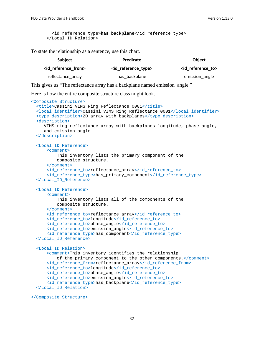```
 <id_reference_type>has_backplane</id_reference_type>
</Local_ID_Relation>
```
To state the relationship as a sentence, use this chart.

| Subject                        | <b>Predicate</b>                        | <b>Object</b>                |
|--------------------------------|-----------------------------------------|------------------------------|
| <id from="" reference=""></id> | <id_reference_type></id_reference_type> | <id reference="" to=""></id> |
| reflectance array              | has backplane                           | emission angle               |

This gives us "The reflectance array has a backplane named emission\_angle."

Here is how the entire composite structure class might look.

```
<Composite_Structure>
 <title>Cassini VIMS Ring Reflectance 0001</title>
  <local_identifier>Cassini_VIMS_Ring_Reflectance_0001</local_identifier>
  <type_description>2D array with backplanes</type_description>
  <description>
     VIMS ring reflectance array with backplanes longitude, phase angle,
     and emission angle
  </description>
  <Local_ID_Reference>
       <comment>
           This inventory lists the primary component of the 
           composite structure.
       </comment>
       <id_reference_to>reflectance_array</id_reference_to>
       <id_reference_type>has_primary_component</id_reference_type>
   </Local_ID_Reference>
  <Local_ID_Reference>
       <comment>
           This inventory lists all of the components of the 
           composite structure.
       </comment>
       <id_reference_to>reflectance_array</id_reference_to>
       <id_reference_to>longitude</id_reference_to>
       <id_reference_to>phase_angle</id_reference_to>
       <id_reference_to>emission_angle</id_reference_to>
       <id_reference_type>has_component</id_reference_type>
  </Local_ID_Reference>
   <Local_ID_Relation>
       <comment>This inventory identifies the relationship
           of the primary component to the other components.</comment>
       <id_reference_from>reflectance_array</id_reference_from>
       <id_reference_to>longitude</id_reference_to>
       <id_reference_to>phase_angle</id_reference_to>
       <id_reference_to>emission_angle</id_reference_to>
       <id_reference_type>has_backplane</id_reference_type>
  </Local_ID_Relation>
```

```
</Composite_Structure>
```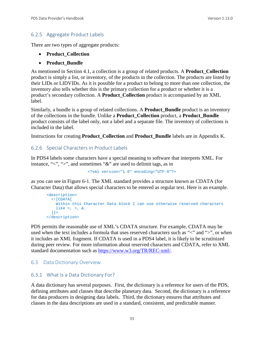#### 6.2.5 Aggregate Product Labels

There are two types of aggregate products:

- **Product\_Collection**
- **Product\_Bundle**

As mentioned in Section 4.1, a collection is a group of related products. A **Product\_Collection** product is simply a list, or inventory, of the products in the collection. The products are listed by their LIDs or LIDVIDs. As it is possible for a product to belong to more than one collection, the inventory also tells whether this is the primary collection for a product or whether it is a product's secondary collection. A **Product\_Collection** product is accompanied by an XML label.

Similarly, a bundle is a group of related collections. A **Product\_Bundle** product is an inventory of the collections in the bundle. Unlike a **Product\_Collection** product, a **Product\_Bundle** product consists of the label only, not a label and a separate file. The inventory of collections is included in the label.

Instructions for creating **Product\_Collection** and **Product\_Bundle** labels are in Appendix K.

#### 6.2.6 Special Characters in Product Labels

In PDS4 labels some characters have a special meaning to software that interprets XML. For instance, "<", ">", and sometimes "&" are used to delimit tags, as in

```
<?xml version="1.0" encoding="UTF-8"?>
```
as you can see in Figure 6-1. The XML standard provides a structure known as CDATA (for Character Data) that allows special characters to be entered as regular text. Here is an example.

```
<description>
   <![CDATA[
    Within this Character Data block I can use otherwise reserved characters 
    like \langle , \rangle, &.
  11</description>
```
PDS permits the reasonable use of XML's CDATA structure. For example, CDATA may be used when the text includes a formula that uses reserved characters such as "<" and ">", or when it includes an XML fragment. If CDATA is used in a PDS4 label, it is likely to be scrutinized during peer review. For more information about reserved characters and CDATA, refer to XML standard documentation such as [https://www.w3.org/TR/REC-xml/.](https://www.w3.org/TR/REC-xml/)

#### 6.3 Data Dictionary Overview

#### 6.3.1 What Is a Data Dictionary For?

A data dictionary has several purposes. First, the dictionary is a reference for users of the PDS, defining attributes and classes that describe planetary data. Second, the dictionary is a reference for data producers in designing data labels. Third, the dictionary ensures that attributes and classes in the data descriptions are used in a standard, consistent, and predictable manner.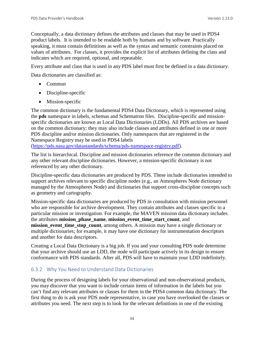Conceptually, a data dictionary defines the attributes and classes that may be used in PDS4 product labels. It is intended to be readable both by humans and by software. Practically speaking, it must contain definitions as well as the syntax and semantic constraints placed on values of attributes. For classes, it provides the explicit list of attributes defining the class and indicates which are required, optional, and repeatable.

Every attribute and class that is used in any PDS label must first be defined in a data dictionary.

Data dictionaries are classified as:

- Common
- Discipline-specific
- Mission-specific

The common dictionary is the fundamental PDS4 Data Dictionary, which is represented using the **pds** namespace in labels, schemas and Schematron files. Discipline-specific and missionspecific dictionaries are known as Local Data Dictionaries (LDDs). All PDS archives are based on the common dictionary; they may also include classes and attributes defined in one or more PDS discipline and/or mission dictionaries. Only namespaces that are registered in the Namespace Registry may be used in PDS4 labels

[\(https://pds.nasa.gov/datastandards/schema/pds-namespace-registry.pdf\)](https://pds.nasa.gov/datastandards/schema/pds-namespace-registry.pdf).

The list is hierarchical. Discipline and mission dictionaries reference the common dictionary and any other relevant discipline dictionaries. However, a mission-specific dictionary is not referenced by any other dictionary.

Discipline-specific data dictionaries are produced by PDS. These include dictionaries intended to support archives relevant to specific discipline nodes (e.g., an Atmospheres Node dictionary managed by the Atmospheres Node) and dictionaries that support cross-discipline concepts such as geometry and cartography.

Mission-specific data dictionaries are produced by PDS in consultation with mission personnel who are responsible for archive development. They contain attributes and classes specific to a particular mission or investigation. For example, the MAVEN mission data dictionary includes the attributes **mission\_phase\_name**, **mission\_event\_time\_start\_count**, and **mission\_event\_time\_stop\_count**, among others. A mission may have a single dictionary or multiple dictionaries; for example, it may have one dictionary for instrumentation descriptors and another for data descriptors.

Creating a Local Data Dictionary is a big job. If you and your consulting PDS node determine that your archive should use an LDD, the node will participate actively in its design to ensure conformance with PDS standards. After all, PDS will have to maintain your LDD indefinitely.

#### 6.3.2 Why You Need to Understand Data Dictionaries

During the process of designing labels for your observational and non-observational products, you may discover that you want to include certain items of information in the labels but you can't find any relevant attributes or classes for them in the PDS4 common data dictionary. The first thing to do is ask your PDS node representative, in case you have overlooked the classes or attributes you need. The next step is to look for the relevant definitions in one of the existing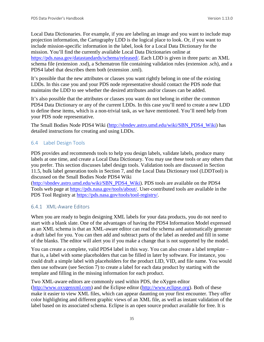Local Data Dictionaries. For example, if you are labeling an image and you want to include map projection information, the Cartography LDD is the logical place to look. Or, if you want to include mission-specific information in the label, look for a Local Data Dictionary for the mission. You'll find the currently available Local Data Dictionaries online at [https://pds.nasa.gov/datastandards/schema/released/.](https://pds.nasa.gov/datastandards/schema/released/) Each LDD is given in three parts: an XML schema file (extension .xsd), a Schematron file containing validation rules (extension .sch), and a PDS4 label that describes them both (extension .xml).

It's possible that the new attributes or classes you want rightly belong in one of the existing LDDs. In this case you and your PDS node representative should contact the PDS node that maintains the LDD to see whether the desired attributes and/or classes can be added.

It's also possible that the attributes or classes you want do not belong in either the common PDS4 Data Dictionary or any of the current LDDs. In this case you'll need to create a new LDD to define these items, which is a non-trivial task, as we have mentioned. You'll need help from your PDS node representative.

The Small Bodies Node PDS4 Wiki [\(http://sbndev.astro.umd.edu/wiki/SBN\\_PDS4\\_Wiki\)](http://sbndev.astro.umd.edu/wiki/SBN_PDS4_Wiki) has detailed instructions for creating and using LDDs.

## 6.4 Label Design Tools

PDS provides and recommends tools to help you design labels, validate labels, produce many labels at one time, and create a Local Data Dictionary. You may use these tools or any others that you prefer. This section discusses label design tools. Validation tools are discussed in Section 11.5, bulk label generation tools in Section 7, and the Local Data Dictionary tool (LDDTool) is discussed on the Small Bodies Node PDS4 Wiki

[\(http://sbndev.astro.umd.edu/wiki/SBN\\_PDS4\\_Wiki\)](http://sbndev.astro.umd.edu/wiki/SBN_PDS4_Wiki). PDS tools are available on the PDS4 Tools web page at [https://pds.nasa.gov/tools/about/.](https://pds.nasa.gov/tools/about/) User-contributed tools are available in the PDS Tool Registry at [https://pds.nasa.gov/tools/tool-registry/.](https://pds.nasa.gov/tools/tool-registry/)

## 6.4.1 XML-Aware Editors

When you are ready to begin designing XML labels for your data products, you do not need to start with a blank slate. One of the advantages of having the PDS4 Information Model expressed as an XML schema is that an XML-aware editor can read the schema and automatically generate a draft label for you. You can then add and subtract parts of the label as needed and fill in some of the blanks. The editor will alert you if you make a change that is not supported by the model.

You can create a complete, valid PDS4 label in this way. You can also create a label *template* – that is, a label with some placeholders that can be filled in later by software. For instance, you could draft a simple label with placeholders for the product LID, VID, and file name. You would then use software (see Section 7) to create a label for each data product by starting with the template and filling in the missing information for each product.

Two XML-aware editors are commonly used within PDS, the oXygen editor [\(http://www.oxygenxml.com\)](http://www.oxygenxml.com/) and the Eclipse editor [\(http://www.eclipse.org\)](http://www.eclipse.org/). Both of these make it easier to view XML files, which can appear daunting on your first encounter. They offer color highlighting and different graphic views of an XML file, as well as instant validation of the label based on its associated schema. Eclipse is an open source product available for free. It is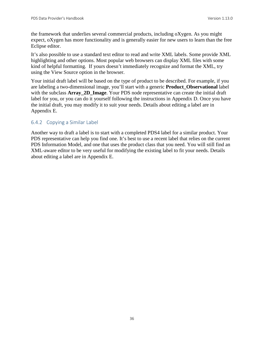the framework that underlies several commercial products, including oXygen. As you might expect, oXygen has more functionality and is generally easier for new users to learn than the free Eclipse editor.

It's also possible to use a standard text editor to read and write XML labels. Some provide XML highlighting and other options. Most popular web browsers can display XML files with some kind of helpful formatting. If yours doesn't immediately recognize and format the XML, try using the View Source option in the browser.

Your initial draft label will be based on the type of product to be described. For example, if you are labeling a two-dimensional image, you'll start with a generic **Product\_Observational** label with the subclass **Array** 2D Image. Your PDS node representative can create the initial draft label for you, or you can do it yourself following the instructions in Appendix D. Once you have the initial draft, you may modify it to suit your needs. Details about editing a label are in Appendix E.

## 6.4.2 Copying a Similar Label

Another way to draft a label is to start with a completed PDS4 label for a similar product. Your PDS representative can help you find one. It's best to use a recent label that relies on the current PDS Information Model, and one that uses the product class that you need. You will still find an XML-aware editor to be very useful for modifying the existing label to fit your needs. Details about editing a label are in Appendix E.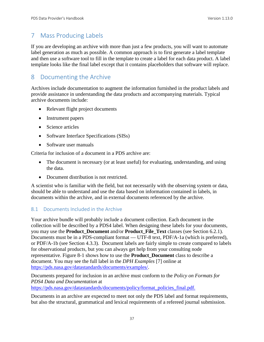# 7 Mass Producing Labels

If you are developing an archive with more than just a few products, you will want to automate label generation as much as possible. A common approach is to first generate a label template and then use a software tool to fill in the template to create a label for each data product. A label template looks like the final label except that it contains placeholders that software will replace.

# 8 Documenting the Archive

Archives include documentation to augment the information furnished in the product labels and provide assistance in understanding the data products and accompanying materials. Typical archive documents include:

- Relevant flight project documents
- Instrument papers
- Science articles
- Software Interface Specifications (SISs)
- Software user manuals

Criteria for inclusion of a document in a PDS archive are:

- The document is necessary (or at least useful) for evaluating, understanding, and using the data.
- Document distribution is not restricted.

A scientist who is familiar with the field, but not necessarily with the observing system or data, should be able to understand and use the data based on information contained in labels, in documents within the archive, and in external documents referenced by the archive.

#### 8.1 Documents Included in the Archive

Your archive bundle will probably include a document collection. Each document in the collection will be described by a PDS4 label. When designing these labels for your documents, you may use the **Product\_Document** and/or **Product\_File\_Text** classes (see Section 6.2.1). Documents must be in a PDS-compliant format — UTF-8 text, PDF/A-1a (which is preferred), or PDF/A-1b (see Section 4.3.3). Document labels are fairly simple to create compared to labels for observational products, but you can always get help from your consulting node representative. Figure 8-1 shows how to use the **Product\_Document** class to describe a document. You may see the full label in the *DPH Examples* [7] online at [https://pds.nasa.gov/datastandards/documents/examples/.](https://pds.nasa.gov/datastandards/documents/examples/)

Documents prepared for inclusion in an archive must conform to the *Policy on Formats for PDS4 Data and Documentation* at [https://pds.nasa.gov/datastandards/documents/policy/format\\_policies\\_final.pdf.](https://pds.nasa.gov/datastandards/documents/policy/format_policies_final.pdf)

Documents in an archive are expected to meet not only the PDS label and format requirements, but also the structural, grammatical and lexical requirements of a refereed journal submission.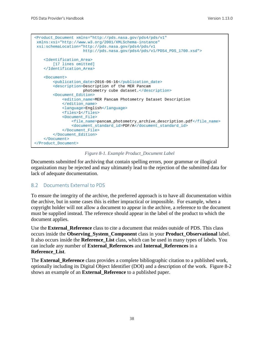```
<Product_Document xmlns="http://pds.nasa.gov/pds4/pds/v1"
xmlns:xsi="http://www.w3.org/2001/XMLSchema-instance"
xsi:schemaLocation="http://pds.nasa.gov/pds4/pds/v1 
                      http://pds.nasa.gov/pds4/pds/v1/PDS4_PDS_1700.xsd">
    <Identification_Area> 
       [17 lines omitted]
     </Identification_Area>
     <Document>
         <publication_date>2016-06-16</publication_date>
         <description>Description of the MER Pancam 
                      photometry cube dataset.</description>
         <Document_Edition>
            <edition_name>MER Pancam Photometry Dataset Description
             </edition_name>
             <language>English</language>
             <files>1</files>
             <Document_File>
                 <file_name>pancam_photometry_archive_description.pdf</file_name>
                 <document_standard_id>PDF/A</document_standard_id>
            </Document_File>
         </Document_Edition>
     </Document>
</Product_Document>
```
*Figure 8-1. Example Product\_Document Label*

Documents submitted for archiving that contain spelling errors, poor grammar or illogical organization may be rejected and may ultimately lead to the rejection of the submitted data for lack of adequate documentation.

#### 8.2 Documents External to PDS

To ensure the integrity of the archive, the preferred approach is to have all documentation within the archive, but in some cases this is either impractical or impossible. For example, when a copyright holder will not allow a document to appear in the archive, a reference to the document must be supplied instead. The reference should appear in the label of the product to which the document applies.

Use the **External\_Reference** class to cite a document that resides outside of PDS. This class occurs inside the **Observing\_System\_Component** class in your **Product\_Observational** label. It also occurs inside the **Reference\_List** class, which can be used in many types of labels. You can include any number of **External\_References** and **Internal\_References** in a **Reference\_List**.

The **External\_Reference** class provides a complete bibliographic citation to a published work, optionally including its Digital Object Identifier (DOI) and a description of the work. Figure 8-2 shows an example of an **External\_Reference** to a published paper.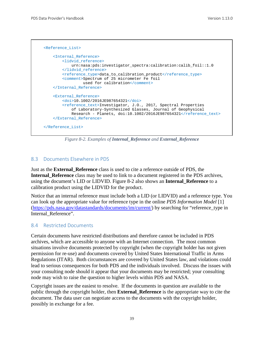```
 <Reference_List>
     <Internal_Reference>
        <lidvid_reference>
             urn:nasa:pds:investigator_spectra:calibration:calib_foil::1.0
        </lidvid_reference>
        <reference_type>data_to_calibration_product</reference_type>
        <comment>Spectrum of 25 micrometer Fe foil 
                  used for calibration</comment>
     </Internal_Reference>
     <External_Reference>
        <doi>10.1002/2016JE987654321</doi>
         <reference_text>Investigator, J.O., 2017, Spectral Properties 
             of Laboratory-Synthesized Glasses, Journal of Geophysical 
            Research - Planets, doi:10.1002/2016JE987654321</reference_text>
     </External_Reference>
 </Reference_List>
```
*Figure 8-2. Examples of Internal\_Reference and External\_Reference*

#### 8.3 Documents Elsewhere in PDS

Just as the **External\_Reference** class is used to cite a reference outside of PDS, the **Internal\_Reference** class may be used to link to a document registered in the PDS archives, using the document's LID or LIDVID. Figure 8-2 also shows an **Internal\_Reference** to a calibration product using the LIDVID for the product.

Notice that an internal reference must include both a LID (or LIDVID) and a reference type. You can look up the appropriate value for reference type in the online *PDS Information Model* [1] [\(https://pds.nasa.gov/datastandards/documents/im/current/\)](https://pds.nasa.gov/datastandards/documents/im/current/) by searching for "reference\_type in Internal Reference".

#### 8.4 Restricted Documents

Certain documents have restricted distributions and therefore cannot be included in PDS archives, which are accessible to anyone with an Internet connection. The most common situations involve documents protected by copyright (when the copyright holder has not given permission for re-use) and documents covered by United States International Traffic in Arms Regulations (ITAR). Both circumstances are covered by United States law, and violations could lead to serious consequences for both PDS and the individuals involved. Discuss the issues with your consulting node should it appear that your documents may be restricted; your consulting node may wish to raise the question to higher levels within PDS and NASA.

Copyright issues are the easiest to resolve. If the documents in question are available to the public through the copyright holder, then **External\_Reference** is the appropriate way to cite the document. The data user can negotiate access to the documents with the copyright holder, possibly in exchange for a fee.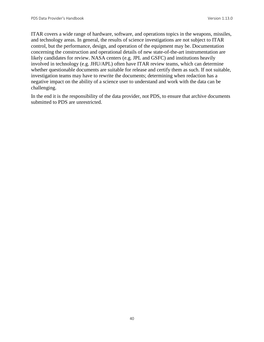ITAR covers a wide range of hardware, software, and operations topics in the weapons, missiles, and technology areas. In general, the results of science investigations are not subject to ITAR control, but the performance, design, and operation of the equipment may be. Documentation concerning the construction and operational details of new state-of-the-art instrumentation are likely candidates for review. NASA centers (e.g. JPL and GSFC) and institutions heavily involved in technology (e.g. JHU/APL) often have ITAR review teams, which can determine whether questionable documents are suitable for release and certify them as such. If not suitable, investigation teams may have to rewrite the documents; determining when redaction has a negative impact on the ability of a science user to understand and work with the data can be challenging.

In the end it is the responsibility of the data provider, not PDS, to ensure that archive documents submitted to PDS are unrestricted.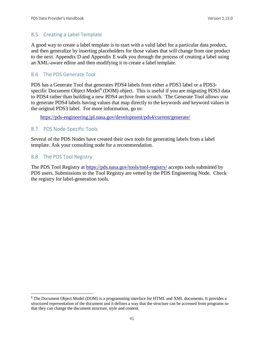#### 8.5 Creating a Label Template

A good way to create a label template is to start with a valid label for a particular data product, and then generalize by inserting placeholders for those values that will change from one product to the next. Appendix D and Appendix E walk you through the process of creating a label using an XML-aware editor and then modifying it to create a label template.

#### 8.6 The PDS Generate Tool

PDS has a Generate Tool that generates PDS4 labels from either a PDS3 label or a PDS3- specific Document Object Model<sup>[8](#page-47-0)</sup> (DOM) object. This is useful if you are migrating PDS3 data to PDS4 rather than building a new PDS4 archive from scratch. The Generate Tool allows you to generate PDS4 labels having values that map directly to the keywords and keyword values in the original PDS3 label. For more information, go to:

<https://pds-engineering.jpl.nasa.gov/development/pds4/current/generate/>

#### 8.7 PDS Node-Specific Tools

Several of the PDS Nodes have created their own tools for generating labels from a label template. Ask your consulting node for a recommendation.

#### 8.8 The PDS Tool Registry

The PDS Tool Registry at<https://pds.nasa.gov/tools/tool-registry/> accepts tools submitted by PDS users. Submissions to the Tool Registry are vetted by the PDS Engineering Node. Check the registry for label-generation tools.

<span id="page-47-0"></span> <sup>8</sup> The Document Object Model (DOM) is a programming interface for HTML and XML documents. It provides a structured representation of the document and it defines a way that the structure can be accessed from programs so that they can change the document structure, style and content.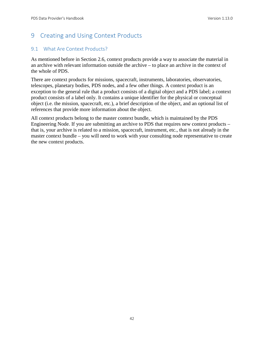# 9 Creating and Using Context Products

## 9.1 What Are Context Products?

As mentioned before in Section 2.6, context products provide a way to associate the material in an archive with relevant information outside the archive – to place an archive in the context of the whole of PDS.

There are context products for missions, spacecraft, instruments, laboratories, observatories, telescopes, planetary bodies, PDS nodes, and a few other things. A context product is an exception to the general rule that a product consists of a digital object and a PDS label; a context product consists of a label only. It contains a unique identifier for the physical or conceptual object (i.e. the mission, spacecraft, etc.), a brief description of the object, and an optional list of references that provide more information about the object.

All context products belong to the master context bundle, which is maintained by the PDS Engineering Node. If you are submitting an archive to PDS that requires new context products – that is, your archive is related to a mission, spacecraft, instrument, etc., that is not already in the master context bundle – you will need to work with your consulting node representative to create the new context products.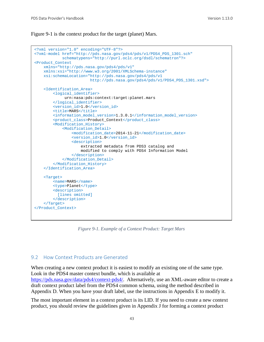Figure 9-1 is the context product for the target (planet) Mars.

```
<?xml version="1.0" encoding="UTF-8"?>
<?xml-model href="http://pds.nasa.gov/pds4/pds/v1/PDS4_PDS_1301.sch"
             schematypens="http://purl.oclc.org/dsdl/schematron"?>
<Product_Context 
    xmlns="http://pds.nasa.gov/pds4/pds/v1"
    xmlns:xsi="http://www.w3.org/2001/XMLSchema-instance"
    xsi:schemaLocation="http://pds.nasa.gov/pds4/pds/v1 
                         http://pds.nasa.gov/pds4/pds/v1/PDS4_PDS_1301.xsd">
     <Identification_Area>
         <logical_identifier>
              urn:nasa:pds:context:target:planet.mars
         </logical_identifier>
        <version_id>1.0</version_id>
        <title>MARS</title>
        <information_model_version>1.3.0.1</information_model_version>
         <product_class>Product_Context</product_class>
         <Modification_History>
             <Modification_Detail>
                 <modification_date>2014-11-21</modification_date>
                 <version_id>1.0</version_id>
                 <description>
                     extracted metadata from PDS3 catalog and
                    modified to comply with PDS4 Information Model
                 </description>
             </Modification_Detail>
         </Modification_History>
     </Identification_Area>
     <Target>
        <name>MARS</name>
        <type>Planet</type>
         <description>
          [lines omitted]
        </description>
     </Target>
</Product_Context>
```
*Figure 9-1. Example of a Context Product: Target Mars*

#### 9.2 How Context Products are Generated

When creating a new context product it is easiest to modify an existing one of the same type. Look in the PDS4 master context bundle, which is available at [https://pds.nasa.gov/data/pds4/context-pds4/.](https://pds.nasa.gov/data/pds4/context-pds4/) Alternatively, use an XML-aware editor to create a draft context product label from the PDS4 common schema, using the method described in Appendix D. When you have your draft label, use the instructions in Appendix E to modify it.

The most important element in a context product is its LID. If you need to create a new context product, you should review the guidelines given in Appendix J for forming a context product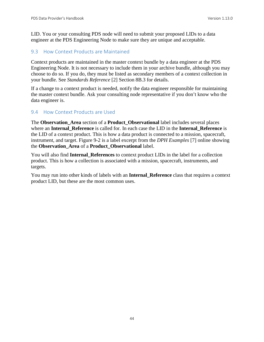LID. You or your consulting PDS node will need to submit your proposed LIDs to a data engineer at the PDS Engineering Node to make sure they are unique and acceptable.

#### 9.3 How Context Products are Maintained

Context products are maintained in the master context bundle by a data engineer at the PDS Engineering Node. It is not necessary to include them in your archive bundle, although you may choose to do so. If you do, they must be listed as secondary members of a context collection in your bundle. See *Standards Reference* [2] Section 8B.3 for details.

If a change to a context product is needed, notify the data engineer responsible for maintaining the master context bundle. Ask your consulting node representative if you don't know who the data engineer is.

#### 9.4 How Context Products are Used

The **Observation\_Area** section of a **Product\_Observational** label includes several places where an **Internal\_Reference** is called for. In each case the LID in the **Internal\_Reference** is the LID of a context product. This is how a data product is connected to a mission, spacecraft, instrument, and target. Figure 9-2 is a label excerpt from the *DPH Examples* [7] online showing the **Observation\_Area** of a **Product\_Observational** label.

You will also find **Internal\_References** to context product LIDs in the label for a collection product. This is how a collection is associated with a mission, spacecraft, instruments, and targets.

You may run into other kinds of labels with an **Internal\_Reference** class that requires a context product LID, but these are the most common uses.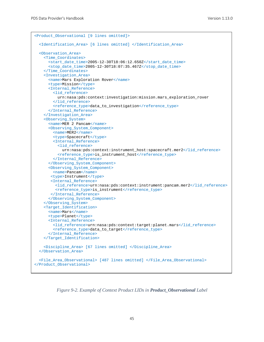```
<Product_Observational [9 lines omitted]>
   <Identification_Area> [6 lines omitted] </Identification_Area>
  <Observation_Area>
    <Time_Coordinates>
      <start_date_time>2005-12-30T18:06:12.650Z</start_date_time>
       <stop_date_time>2005-12-30T18:07:35.467Z</stop_date_time>
     </Time_Coordinates>
     <Investigation_Area>
       <name>Mars Exploration Rover</name>
       <type>Mission</type>
       <Internal_Reference>
         <lid_reference>
           urn:nasa:pds:context:investigation:mission.mars_exploration_rover
         </lid_reference>
         <reference_type>data_to_investigation</reference_type>
      </Internal_Reference>
     </Investigation_Area>
     <Observing_System>
     <name>MER 2 Pancam</name>
      <Observing_System_Component>
        <name>MER2</name>
         <type>Spacecraft</type>
         <Internal_Reference>
           <lid_reference>
             urn:nasa:pds:context:instrument_host:spacecraft.mer2</lid_reference>
           <reference_type>is_instrument_host</reference_type>
         </Internal_Reference>
       </Observing_System_Component>
       <Observing_System_Component>
         <name>Pancam</name>
        <type>Instrument</type>
        <Internal_Reference>
          <lid_reference>urn:nasa:pds:context:instrument:pancam.mer2</lid_reference>
          <reference_type>is_instrument</reference_type>
        </Internal_Reference>
       </Observing_System_Component>
     </Observing_System>
     <Target_Identification>
       <name>Mars</name>
       <type>Planet</type>
       <Internal_Reference>
         <lid_reference>urn:nasa:pds:context:target:planet.mars</lid_reference>
         <reference_type>data_to_target</reference_type>
       </Internal_Reference>
     </Target_Identification>
     <Discipline_Area> [67 lines omitted] </Discipline_Area>
   </Observation_Area>
   <File_Area_Observational> [487 lines omitted] </File_Area_Observational>
</Product_Observational>
```
*Figure 9-2. Example of Context Product LIDs in Product\_Observational Label*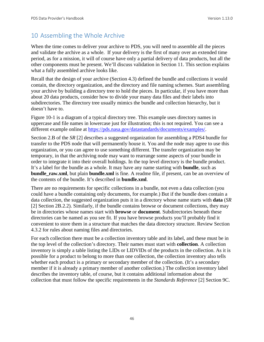# 10 Assembling the Whole Archive

When the time comes to deliver your archive to PDS, you will need to assemble all the pieces and validate the archive as a whole. If your delivery is the first of many over an extended time period, as for a mission, it will of course have only a partial delivery of data products, but all the other components must be present. We'll discuss validation in Section 11. This section explains what a fully assembled archive looks like.

Recall that the design of your archive (Section 4.3) defined the bundle and collections it would contain, the directory organization, and the directory and file naming schemes. Start assembling your archive by building a directory tree to hold the pieces. In particular, if you have more than about 20 data products, consider how to divide your many data files and their labels into subdirectories. The directory tree usually mimics the bundle and collection hierarchy, but it doesn't have to.

Figure 10-1 is a diagram of a typical directory tree. This example uses directory names in uppercase and file names in lowercase just for illustration; this is not required. You can see a different example online at [https://pds.nasa.gov/datastandards/documents/examples/.](https://pds.nasa.gov/datastandards/documents/examples/)

Section 2.B of the *SR* [2] describes a suggested organization for assembling a PDS4 bundle for transfer to the PDS node that will permanently house it. You and the node may agree to use this organization, or you can agree to use something different. The transfer organization may be temporary, in that the archiving node may want to rearrange some aspects of your bundle in order to integrate it into their overall holdings. In the top level directory is the bundle product. It's a label for the bundle as a whole. It may have any name starting with **bundle**, such as **bundle raw.xml**, but plain **bundle.xml** is fine. A readme file, if present, can be an overview of the contents of the bundle. It's described in **bundle.xml**.

There are no requirements for specific collections in a bundle, not even a data collection (you could have a bundle containing only documents, for example.) But if the bundle does contain a data collection, the suggested organization puts it in a directory whose name starts with **data** (*SR* [2] Section 2B.2.2). Similarly, if the bundle contains browse or document collections, they may be in directories whose names start with **browse** or **document**. Subdirectories beneath these directories can be named as you see fit. If you have browse products you'll probably find it convenient to store them in a structure that matches the data directory structure. Review Section 4.3.2 for rules about naming files and directories.

For each collection there must be a collection inventory table and its label, and these must be in the top level of the collection's directory. Their names must start with **collection**. A collection inventory is simply a table listing the LIDs or LIDVIDs of the products in the collection. As it is possible for a product to belong to more than one collection, the collection inventory also tells whether each product is a primary or secondary member of the collection. (It's a secondary member if it is already a primary member of another collection.) The collection inventory label describes the inventory table, of course, but it contains additional information about the collection that must follow the specific requirements in the *Standards Reference* [2] Section 9C.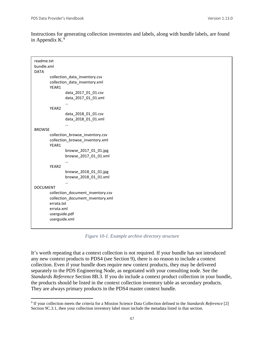Instructions for generating collection inventories and labels, along with bundle labels, are found in Appendix K. $9$ 

| readme.txt<br>bundle.xml<br><b>DATA</b>                                                                                                                 |  |
|---------------------------------------------------------------------------------------------------------------------------------------------------------|--|
| collection_data_inventory.csv<br>collection_data_inventory.xml<br>YEAR1                                                                                 |  |
| data_2017_01_01.csv<br>data_2017_01_01.xml                                                                                                              |  |
| YEAR2<br>data_2018_01_01.csv<br>data 2018 01 01.xml                                                                                                     |  |
| <br><b>BROWSE</b>                                                                                                                                       |  |
| collection_browse_inventory.csv<br>collection_browse_inventory.xml<br>YEAR1<br>browse_2017_01_01.jpg<br>browse_2017_01_01.xml<br><br>YEAR2              |  |
| browse_2018_01_01.jpg<br>browse_2018_01_01.xml<br>                                                                                                      |  |
| <b>DOCUMENT</b><br>collection_document_inventory.csv<br>collection_document_inventory.xml<br>errata.txt<br>errata.xml<br>userguide.pdf<br>userguide.xml |  |

*Figure 10-1. Example archive directory structure*

It's worth repeating that a context collection is not required. If your bundle has not introduced any new context products to PDS4 (see Section 9), there is no reason to include a context collection. Even if your bundle does require new context products, they may be delivered separately to the PDS Engineering Node, as negotiated with your consulting node. See the *Standards Reference* Section 8B.3. If you do include a context product collection in your bundle, the products should be listed in the context collection inventory table as secondary products. They are always primary products in the PDS4 master context bundle.

<span id="page-53-0"></span> <sup>9</sup> If your collection meets the criteria for a Mission Science Data Collection defined in the *Standards Reference* [2] Section 9C.3.1, then your collection inventory label must include the metadata listed in that section.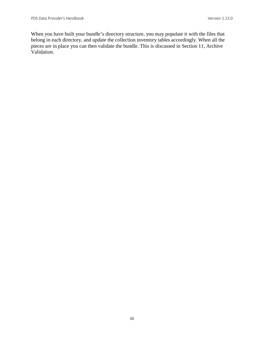When you have built your bundle's directory structure, you may populate it with the files that belong in each directory, and update the collection inventory tables accordingly. When all the pieces are in place you can then validate the bundle. This is discussed in Section 11, Archive Validation.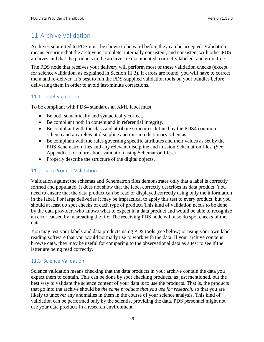# 11 Archive Validation

Archives submitted to PDS must be shown to be valid before they can be accepted. Validation means ensuring that the archive is complete, internally consistent, and consistent with other PDS archives and that the products in the archive are documented, correctly labeled, and error-free.

The PDS node that receives your delivery will perform most of these validation checks (except for science validation, as explained in Section 11.3). If errors are found, you will have to correct them and re-deliver. It's best to run the PDS-supplied validation tools on your bundles before delivering them in order to avoid last-minute corrections.

#### 11.1 Label Validation

To be compliant with PDS4 standards an XML label must:

- Be both semantically and syntactically correct.
- Be compliant both in content and in referential integrity.
- Be compliant with the class and attribute structures defined by the PDS4 common schema and any relevant discipline and mission dictionary schemas.
- Be compliant with the rules governing specific attributes and their values as set by the PDS Schematron files and any relevant discipline and mission Schematron files. (See Appendix I for more about validation using Schematron files.)
- Properly describe the structure of the digital objects.

#### 11.2 Data Product Validation

Validation against the schemas and Schematron files demonstrates only that a label is correctly formed and populated; it does not show that the label correctly describes its data product. You need to ensure that the data product can be read or displayed correctly using only the information in the label. For large deliveries it may be impractical to apply this test to every product, but you should at least do spot checks of each type of product. This kind of validation needs to be done by the data provider, who knows what to expect in a data product and would be able to recognize an error caused by misreading the file. The receiving PDS node will also do spot checks of the data.

You may test your labels and data products using PDS tools (see below) or using your own labelreading software that you would normally use to work with the data. If your archive contains browse data, they may be useful for comparing to the observational data as a test to see if the latter are being read correctly.

#### 11.3 Science Validation

Science validation means checking that the data products in your archive contain the data you expect them to contain. This can be done by spot checking products, as just mentioned, but the best way to validate the science content of your data is to use the products. That is, the products that go into the archive should be *the same products that you use for research*, so that you are likely to uncover any anomalies in them in the course of your science analysis. This kind of validation can be performed only by the scientist providing the data. PDS personnel might not use your data products in a research environment.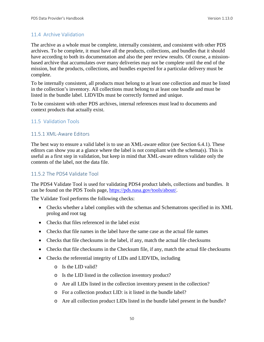#### 11.4 Archive Validation

The archive as a whole must be complete, internally consistent, and consistent with other PDS archives. To be complete, it must have all the products, collections, and bundles that it should have according to both its documentation and also the peer review results. Of course, a missionbased archive that accumulates over many deliveries may not be complete until the end of the mission, but the products, collections, and bundles expected for a particular delivery must be complete.

To be internally consistent, all products must belong to at least one collection and must be listed in the collection's inventory. All collections must belong to at least one bundle and must be listed in the bundle label. LIDVIDs must be correctly formed and unique.

To be consistent with other PDS archives, internal references must lead to documents and context products that actually exist.

#### 11.5 Validation Tools

#### 11.5.1 XML-Aware Editors

The best way to ensure a valid label is to use an XML-aware editor (see Section 6.4.1). These editors can show you at a glance where the label is not compliant with the schema(s). This is useful as a first step in validation, but keep in mind that XML-aware editors validate only the contents of the label, not the data file.

#### 11.5.2 The PDS4 Validate Tool

The PDS4 Validate Tool is used for validating PDS4 product labels, collections and bundles. It can be found on the PDS Tools page, [https://pds.nasa.gov/tools/about/.](https://pds.nasa.gov/tools/about/)

The Validate Tool performs the following checks:

- Checks whether a label complies with the schemas and Schematrons specified in its XML prolog and root tag
- Checks that files referenced in the label exist
- Checks that file names in the label have the same case as the actual file names
- Checks that file checksums in the label, if any, match the actual file checksums
- Checks that file checksums in the Checksum file, if any, match the actual file checksums
- Checks the referential integrity of LIDs and LIDVIDs, including
	- o Is the LID valid?
	- o Is the LID listed in the collection inventory product?
	- o Are all LIDs listed in the collection inventory present in the collection?
	- o For a collection product LID: is it listed in the bundle label?
	- o Are all collection product LIDs listed in the bundle label present in the bundle?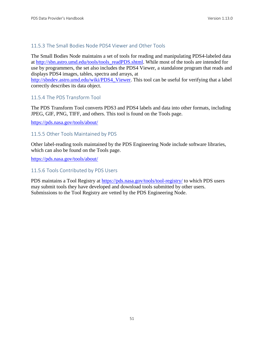#### 11.5.3 The Small Bodies Node PDS4 Viewer and Other Tools

The Small Bodies Node maintains a set of tools for reading and manipulating PDS4-labeled data at [http://sbn.astro.umd.edu/tools/tools\\_readPDS.shtml.](http://sbn.astro.umd.edu/tools/tools_readPDS.shtml) While most of the tools are intended for use by programmers, the set also includes the PDS4 Viewer, a standalone program that reads and displays PDS4 images, tables, spectra and arrays, at

[http://sbndev.astro.umd.edu/wiki/PDS4\\_Viewer.](http://sbndev.astro.umd.edu/wiki/PDS4_Viewer) This tool can be useful for verifying that a label correctly describes its data object.

#### 11.5.4 The PDS Transform Tool

The PDS Transform Tool converts PDS3 and PDS4 labels and data into other formats, including JPEG, GIF, PNG, TIFF, and others. This tool is found on the Tools page.

<https://pds.nasa.gov/tools/about/>

#### 11.5.5 Other Tools Maintained by PDS

Other label-reading tools maintained by the PDS Engineering Node include software libraries, which can also be found on the Tools page.

<https://pds.nasa.gov/tools/about/>

#### 11.5.6 Tools Contributed by PDS Users

PDS maintains a Tool Registry at<https://pds.nasa.gov/tools/tool-registry/> to which PDS users may submit tools they have developed and download tools submitted by other users. Submissions to the Tool Registry are vetted by the PDS Engineering Node.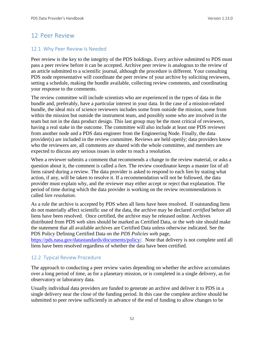## 12 Peer Review

#### 12.1 Why Peer Review Is Needed

Peer review is the key to the integrity of the PDS holdings. Every archive submitted to PDS must pass a peer review before it can be accepted. Archive peer review is analogous to the review of an article submitted to a scientific journal, although the procedure is different. Your consulting PDS node representative will coordinate the peer review of your archive by soliciting reviewers, setting a schedule, making the bundle available, collecting review comments, and coordinating your response to the comments.

The review committee will include scientists who are experienced in the types of data in the bundle and, preferably, have a particular interest in your data. In the case of a mission-related bundle, the ideal mix of science reviewers includes some from outside the mission, some from within the mission but outside the instrument team, and possibly some who are involved in the team but not in the data product design. This last group may be the most critical of reviewers, having a real stake in the outcome. The committee will also include at least one PDS reviewer from another node and a PDS data engineer from the Engineering Node. Finally, the data provider(s) are included in the review committee. Reviews are held openly; data providers know who the reviewers are, all comments are shared with the whole committee, and members are expected to discuss any serious issues in order to reach a resolution.

When a reviewer submits a comment that recommends a change to the review material, or asks a question about it, the comment is called a *lien*. The review coordinator keeps a master list of all liens raised during a review. The data provider is asked to respond to each lien by stating what action, if any, will be taken to resolve it. If a recommendation will not be followed, the data provider must explain why, and the reviewer may either accept or reject that explanation. The period of time during which the data provider is working on the review recommendations is called *lien resolution*.

As a rule the archive is accepted by PDS when all liens have been resolved. If outstanding liens do not materially affect scientific use of the data, the archive may be declared *certified* before all liens have been resolved. Once certified, the archive may be released online. Archives distributed from PDS web sites should be marked as Certified Data, or the web site should make the statement that all available archives are Certified Data unless otherwise indicated. See the PDS Policy Defining Certified Data on the *PDS Policies* web page,

[https://pds.nasa.gov/datastandards/documents/policy/.](https://pds.nasa.gov/datastandards/documents/policy/) Note that delivery is not complete until all liens have been resolved regardless of whether the data have been certified.

#### 12.2 Typical Review Procedure

The approach to conducting a peer review varies depending on whether the archive accumulates over a long period of time, as for a planetary mission, or is completed in a single delivery, as for observatory or laboratory data.

Usually individual data providers are funded to generate an archive and deliver it to PDS in a single delivery near the close of the funding period. In this case the complete archive should be submitted to peer review sufficiently in advance of the end of funding to allow changes to be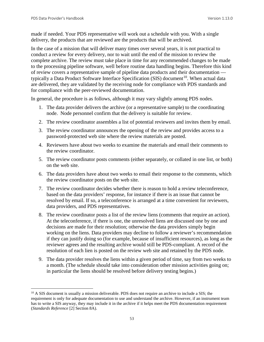made if needed. Your PDS representative will work out a schedule with you. With a single delivery, the products that are reviewed are the products that will be archived.

In the case of a mission that will deliver many times over several years, it is not practical to conduct a review for every delivery, nor to wait until the end of the mission to review the complete archive. The review must take place in time for any recommended changes to be made to the processing pipeline software, well before routine data handling begins. Therefore this kind of review covers a representative sample of pipeline data products and their documentation typically a Data Product Software Interface Specification (SIS) document<sup>10</sup>. When actual data are delivered, they are validated by the receiving node for compliance with PDS standards and for compliance with the peer-reviewed documentation.

In general, the procedure is as follows, although it may vary slightly among PDS nodes.

- 1. The data provider delivers the archive (or a representative sample) to the coordinating node. Node personnel confirm that the delivery is suitable for review.
- 2. The review coordinator assembles a list of potential reviewers and invites them by email.
- 3. The review coordinator announces the opening of the review and provides access to a password-protected web site where the review materials are posted.
- 4. Reviewers have about two weeks to examine the materials and email their comments to the review coordinator.
- 5. The review coordinator posts comments (either separately, or collated in one list, or both) on the web site.
- 6. The data providers have about two weeks to email their response to the comments, which the review coordinator posts on the web site.
- 7. The review coordinator decides whether there is reason to hold a review teleconference, based on the data providers' response, for instance if there is an issue that cannot be resolved by email. If so, a teleconference is arranged at a time convenient for reviewers, data providers, and PDS representatives.
- 8. The review coordinator posts a list of the review liens (comments that require an action). At the teleconference, if there is one, the unresolved liens are discussed one by one and decisions are made for their resolution; otherwise the data providers simply begin working on the liens. Data providers may decline to follow a reviewer's recommendation if they can justify doing so (for example, because of insufficient resources), as long as the reviewer agrees and the resulting archive would still be PDS-compliant. A record of the resolution of each lien is posted on the review web site and retained by the PDS node.
- 9. The data provider resolves the liens within a given period of time, say from two weeks to a month. (The schedule should take into consideration other mission activities going on; in particular the liens should be resolved before delivery testing begins.)

<span id="page-59-0"></span><sup>&</sup>lt;sup>10</sup> A SIS document is usually a mission deliverable. PDS does not require an archive to include a SIS; the requirement is only for adequate documentation to use and understand the archive. However, if an instrument team has to write a SIS anyway, they may include it in the archive if it helps meet the PDS documentation requirement (*Standards Reference* [2] Section 8A).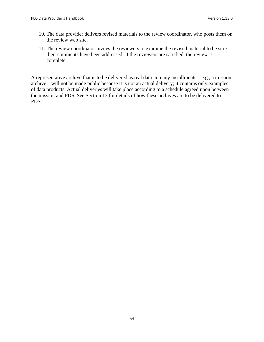- 10. The data provider delivers revised materials to the review coordinator, who posts them on the review web site.
- 11. The review coordinator invites the reviewers to examine the revised material to be sure their comments have been addressed. If the reviewers are satisfied, the review is complete.

A representative archive that is to be delivered as real data in many installments  $-e.g.,$  a mission archive – will not be made public because it is not an actual delivery; it contains only examples of data products. Actual deliveries will take place according to a schedule agreed upon between the mission and PDS. See Section 13 for details of how these archives are to be delivered to PDS.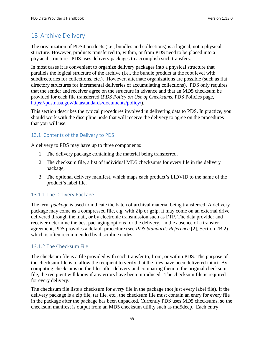# 13 Archive Delivery

The organization of PDS4 products (i.e., bundles and collections) is a logical, not a physical, structure. However, products transferred to, within, or from PDS need to be placed into a physical structure. PDS uses delivery packages to accomplish such transfers.

In most cases it is convenient to organize delivery packages into a physical structure that parallels the logical structure of the archive (i.e., the bundle product at the root level with subdirectories for collections, etc.). However, alternate organizations are possible (such as flat directory structures for incremental deliveries of accumulating collections). PDS only requires that the sender and receiver agree on the structure in advance and that an MD5 checksum be provided for each file transferred (*PDS Policy on Use of Checksums*, PDS Policies page, [https://pds.nasa.gov/datastandards/documents/policy/\)](https://pds.nasa.gov/datastandards/documents/policy/).

This section describes the typical procedures involved in delivering data to PDS. In practice, you should work with the discipline node that will receive the delivery to agree on the procedures that you will use.

#### 13.1 Contents of the Delivery to PDS

A delivery to PDS may have up to three components:

- 1. The delivery package containing the material being transferred,
- 2. The checksum file, a list of individual MD5 checksums for every file in the delivery package,
- 3. The optional delivery manifest, which maps each product's LIDVID to the name of the product's label file.

#### 13.1.1 The Delivery Package

The term *package* is used to indicate the batch of archival material being transferred. A delivery package may come as a compressed file, e.g. with Zip or gzip. It may come on an external drive delivered through the mail, or by electronic transmission such as FTP. The data provider and receiver determine the best packaging options for the delivery. In the absence of a transfer agreement, PDS provides a default procedure (see *PDS Standards Reference* [2], Section 2B.2) which is often recommended by discipline nodes.

#### 13.1.2 The Checksum File

The checksum file is a file provided with each transfer to, from, or within PDS. The purpose of the checksum file is to allow the recipient to verify that the files have been delivered intact. By computing checksums on the files after delivery and comparing them to the original checksum file, the recipient will know if any errors have been introduced. The checksum file is required for every delivery.

The checksum file lists a checksum for *every* file in the package (not just every label file). If the delivery package is a zip file, tar file, etc., the checksum file must contain an entry for every file in the package after the package has been unpacked. Currently PDS uses MD5 checksums, so the checksum manifest is output from an MD5 checksum utility such as md5deep. Each entry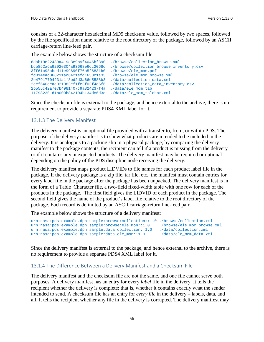consists of a 32-character hexadecimal MD5 checksum value, followed by two spaces, followed by the file specification name relative to the root directory of the package, followed by an ASCII carriage-return line-feed pair.

The example below shows the structure of a checksum file:

```
6dab19e22439a419e3e9b9f4046bf390 ./browse/collection_browse.xml
                                        ./browse/collection_browse_inventory.csv<br>./browse/ele_mom.pdf
3ff61c98cbed11e99690f76b5f6831b0 ./browse/ele_mom.pdf
fd014ead868211ac6421efd1633c1a33 ./browse/ele_mom_browse.xml
2e47917704231a1f8bd2d3a66e5588b3<br>2cef640ecac021083ef1fe3f03f4c6f6
                                        ./data/collection_data_inventory.csv<br>./data/ele mom.tab
2b555c42a7e7b4981407c9a824237f4a
117982301d1b009b842104b134d86d3d ./data/ele_mom_tblchar.xml
```
Since the checksum file is external to the package, and hence external to the archive, there is no requirement to provide a separate PDS4 XML label for it.

#### 13.1.3 The Delivery Manifest

The delivery manifest is an optional file provided with a transfer to, from, or within PDS. The purpose of the delivery manifest is to show what products are intended to be included in the delivery. It is analogous to a packing slip in a physical package; by comparing the delivery manifest to the package contents, the recipient can tell if a product is missing from the delivery or if it contains any unexpected products. The delivery manifest may be required or optional depending on the policy of the PDS discipline node receiving the delivery.

The delivery manifest maps product LIDVIDs to file names for each product label file in the package. If the delivery package is a zip file, tar file, etc., the manifest must contain entries for every label file in the package after the package has been unpacked. The delivery manifest is in the form of a Table\_Character file, a two-field fixed-width table with one row for each of the products in the package. The first field gives the LIDVID of each product in the package. The second field gives the name of the product's label file relative to the root directory of the package. Each record is delimited by an ASCII carriage-return line-feed pair.

The example below shows the structure of a delivery manifest:

```
urn:nasa:pds:example.dph.sample:browse:collection::1.0 ./browse/collection.xml<br>urn:nasa:pds:example.dph.sample:browse:ele_mon::1.0 ./browse/ele_mom_browse.xml
urn:nasa:pds:example.dph.sample:browse:ele_mon::1.0 ./browse/ele_mom_brow<br>urn:nasa:pds:example.dph.sample:data:collection::1.0 ./data/collection.xml
urn:nasa:pds:example.dph.sample:data:collection::1.0 ./data/collection.xml<br>urn:nasa:pds:example.dph.sample:data:ele_mon::1.0 ./data/ele_mom_data.xml
urn:nasa:pds:example.dph.sample:data:ele_mon::1.0
```
Since the delivery manifest is external to the package, and hence external to the archive, there is no requirement to provide a separate PDS4 XML label for it.

#### 13.1.4 The Difference Between a Delivery Manifest and a Checksum File

The delivery manifest and the checksum file are not the same, and one file cannot serve both purposes. A delivery manifest has an entry for every *label* file in the delivery. It tells the recipient whether the delivery is complete; that is, whether it contains exactly what the sender intended to send. A checksum file has an entry for *every file* in the delivery – labels, data, and all. It tells the recipient whether any file in the delivery is corrupted. The delivery manifest may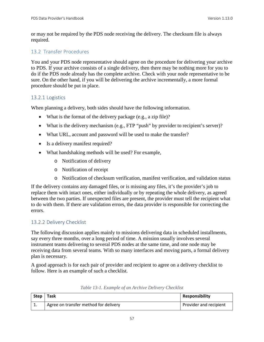or may not be required by the PDS node receiving the delivery. The checksum file is always required.

## 13.2 Transfer Procedures

You and your PDS node representative should agree on the procedure for delivering your archive to PDS. If your archive consists of a single delivery, then there may be nothing more for you to do if the PDS node already has the complete archive. Check with your node representative to be sure. On the other hand, if you will be delivering the archive incrementally, a more formal procedure should be put in place.

## 13.2.1 Logistics

When planning a delivery, both sides should have the following information.

- What is the format of the delivery package (e.g., a zip file)?
- What is the delivery mechanism (e.g., FTP "push" by provider to recipient's server)?
- What URL, account and password will be used to make the transfer?
- Is a delivery manifest required?
- What handshaking methods will be used? For example,
	- o Notification of delivery
	- o Notification of receipt
	- o Notification of checksum verification, manifest verification, and validation status

If the delivery contains any damaged files, or is missing any files, it's the provider's job to replace them with intact ones, either individually or by repeating the whole delivery, as agreed between the two parties. If unexpected files are present, the provider must tell the recipient what to do with them. If there are validation errors, the data provider is responsible for correcting the errors.

## 13.2.2 Delivery Checklist

The following discussion applies mainly to missions delivering data in scheduled installments, say every three months, over a long period of time. A mission usually involves several instrument teams delivering to several PDS nodes at the same time, and one node may be receiving data from several teams. With so many interfaces and moving parts, a formal delivery plan is necessary.

A good approach is for each pair of provider and recipient to agree on a delivery checklist to follow. Here is an example of such a checklist.

| Step     | Task                                  | <b>Responsibility</b>  |
|----------|---------------------------------------|------------------------|
| <b>.</b> | Agree on transfer method for delivery | Provider and recipient |

| Table 13-1. Example of an Archive Delivery Checklist |  |  |  |  |  |
|------------------------------------------------------|--|--|--|--|--|
|------------------------------------------------------|--|--|--|--|--|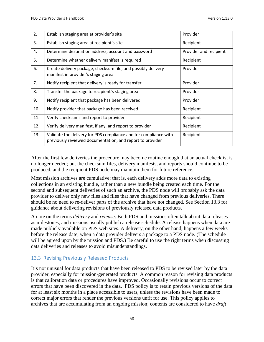| 2.  | Establish staging area at provider's site                                                                                     | Provider               |
|-----|-------------------------------------------------------------------------------------------------------------------------------|------------------------|
| 3.  | Establish staging area at recipient's site                                                                                    | Recipient              |
| 4.  | Determine destination address, account and password                                                                           | Provider and recipient |
| 5.  | Determine whether delivery manifest is required                                                                               | Recipient              |
| 6.  | Create delivery package, checksum file, and possibly delivery<br>manifest in provider's staging area                          | Provider               |
| 7.  | Notify recipient that delivery is ready for transfer                                                                          | Provider               |
| 8.  | Transfer the package to recipient's staging area                                                                              | Provider               |
| 9.  | Notify recipient that package has been delivered                                                                              | Provider               |
| 10. | Notify provider that package has been received                                                                                | Recipient              |
| 11. | Verify checksums and report to provider                                                                                       | Recipient              |
| 12. | Verify delivery manifest, if any, and report to provider                                                                      | Recipient              |
| 13. | Validate the delivery for PDS compliance and for compliance with<br>previously reviewed documentation, and report to provider | Recipient              |

After the first few deliveries the procedure may become routine enough that an actual checklist is no longer needed; but the checksum files, delivery manifests, and reports should continue to be produced, and the recipient PDS node may maintain them for future reference.

Most mission archives are cumulative; that is, each delivery adds more data to existing collections in an existing bundle, rather than a new bundle being created each time. For the second and subsequent deliveries of such an archive, the PDS node will probably ask the data provider to deliver only new files and files that have changed from previous deliveries. There should be no need to re-deliver parts of the archive that have not changed. See Section 13.3 for guidance about delivering revisions of previously released data products.

A note on the terms *delivery* and *release*: Both PDS and missions often talk about data releases as milestones, and missions usually publish a release schedule. A release happens when data are made publicly available on PDS web sites. A delivery, on the other hand, happens a few weeks before the release date, when a data provider delivers a package to a PDS node. (The schedule will be agreed upon by the mission and PDS.) Be careful to use the right terms when discussing data deliveries and releases to avoid misunderstandings.

#### 13.3 Revising Previously Released Products

It's not unusual for data products that have been released to PDS to be revised later by the data provider, especially for mission-generated products. A common reason for revising data products is that calibration data or procedures have improved. Occasionally revisions occur to correct errors that have been discovered in the data. PDS policy is to retain previous versions of the data for at least six months in a place accessible to users, unless the revisions have been made to correct major errors that render the previous versions unfit for use. This policy applies to archives that are accumulating from an ongoing mission; contents are considered to have *draft*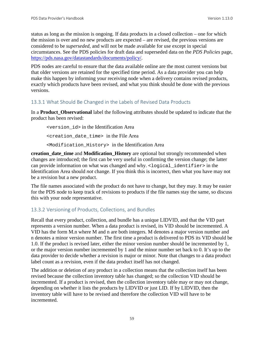status as long as the mission is ongoing. If data products in a closed collection – one for which the mission is over and no new products are expected – are revised, the previous versions are considered to be *superseded*, and will not be made available for use except in special circumstances. See the PDS policies for draft data and superseded data on the *PDS Policies* page, [https://pds.nasa.gov/datastandards/documents/policy/.](https://pds.nasa.gov/datastandards/documents/policy/)

PDS nodes are careful to ensure that the data available online are the most current versions but that older versions are retained for the specified time period. As a data provider you can help make this happen by informing your receiving node when a delivery contains revised products, exactly which products have been revised, and what you think should be done with the previous versions.

#### 13.3.1 What Should Be Changed in the Labels of Revised Data Products

In a **Product\_Observational** label the following attributes should be updated to indicate that the product has been revised:

<version\_id> in the Identification Area <creation\_date\_time> in the File Area <Modification\_History> in the Identification Area

**creation\_date\_time** and **Modification\_History** are optional but strongly recommended when changes are introduced; the first can be very useful in confirming the version change; the latter can provide information on what was changed and why. <logical identifier> in the Identification Area should *not* change. If you think this is incorrect, then what you have may not be a revision but a new product.

The file names associated with the product do not have to change, but they may. It may be easier for the PDS node to keep track of revisions to products if the file names stay the same, so discuss this with your node representative.

#### 13.3.2 Versioning of Products, Collections, and Bundles

Recall that every product, collection, and bundle has a unique LIDVID, and that the VID part represents a version number. When a data product is revised, its VID should be incremented. A VID has the form M.n where M and n are both integers. M denotes a major version number and n denotes a minor version number. The first time a product is delivered to PDS its VID should be 1.0. If the product is revised later, either the minor version number should be incremented by 1, or the major version number incremented by 1 and the minor number set back to 0. It's up to the data provider to decide whether a revision is major or minor. Note that changes to a data product label count as a revision, even if the data product itself has not changed.

The addition or deletion of any product in a collection means that the collection itself has been revised because the collection inventory table has changed; so the collection VID should be incremented. If a product is revised, then the collection inventory table may or may not change, depending on whether it lists the products by LIDVID or just LID. If by LIDVID, then the inventory table will have to be revised and therefore the collection VID will have to be incremented.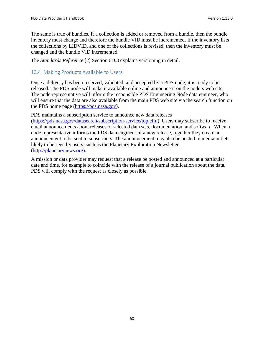The same is true of bundles. If a collection is added or removed from a bundle, then the bundle inventory must change and therefore the bundle VID must be incremented. If the inventory lists the collections by LIDVID, and one of the collections is revised, then the inventory must be changed and the bundle VID incremented.

The *Standards Reference* [2] Section 6D.3 explains versioning in detail.

#### 13.4 Making Products Available to Users

Once a delivery has been received, validated, and accepted by a PDS node, it is ready to be released. The PDS node will make it available online and announce it on the node's web site. The node representative will inform the responsible PDS Engineering Node data engineer, who will ensure that the data are also available from the main PDS web site via the search function on the PDS home page [\(https://pds.nasa.gov\)](http://pds.nasa.gov/).

PDS maintains a subscription service to announce new data releases

[\(https://pds.nasa.gov/datasearch/subscription-service/top.cfm\)](https://pds.nasa.gov/datasearch/subscription-service/top.cfm). Users may subscribe to receive email announcements about releases of selected data sets, documentation, and software. When a node representative informs the PDS data engineer of a new release, together they create an announcement to be sent to subscribers. The announcement may also be posted in media outlets likely to be seen by users, such as the Planetary Exploration Newsletter [\(http://planetarynews.org\)](http://planetarynews.org/).

A mission or data provider may request that a release be posted and announced at a particular date and time, for example to coincide with the release of a journal publication about the data. PDS will comply with the request as closely as possible.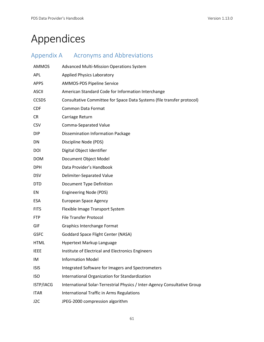# Appendices

| Appendix A      | <b>Acronyms and Abbreviations</b>                                         |
|-----------------|---------------------------------------------------------------------------|
| <b>AMMOS</b>    | <b>Advanced Multi-Mission Operations System</b>                           |
| <b>APL</b>      | <b>Applied Physics Laboratory</b>                                         |
| <b>APPS</b>     | AMMOS-PDS Pipeline Service                                                |
| <b>ASCII</b>    | American Standard Code for Information Interchange                        |
| <b>CCSDS</b>    | Consultative Committee for Space Data Systems (file transfer protocol)    |
| <b>CDF</b>      | <b>Common Data Format</b>                                                 |
| CR.             | Carriage Return                                                           |
| <b>CSV</b>      | Comma-Separated Value                                                     |
| <b>DIP</b>      | <b>Dissemination Information Package</b>                                  |
| DN              | Discipline Node (PDS)                                                     |
| DOI             | Digital Object Identifier                                                 |
| <b>DOM</b>      | Document Object Model                                                     |
| <b>DPH</b>      | Data Provider's Handbook                                                  |
| <b>DSV</b>      | Delimiter-Separated Value                                                 |
| <b>DTD</b>      | Document Type Definition                                                  |
| EN              | <b>Engineering Node (PDS)</b>                                             |
| ESA             | <b>European Space Agency</b>                                              |
| <b>FITS</b>     | Flexible Image Transport System                                           |
| <b>FTP</b>      | <b>File Transfer Protocol</b>                                             |
| GIF             | Graphics Interchange Format                                               |
| <b>GSFC</b>     | Goddard Space Flight Center (NASA)                                        |
| <b>HTML</b>     | <b>Hypertext Markup Language</b>                                          |
| <b>IEEE</b>     | Institute of Electrical and Electronics Engineers                         |
| ΙM              | <b>Information Model</b>                                                  |
| <b>ISIS</b>     | Integrated Software for Imagers and Spectrometers                         |
| <b>ISO</b>      | International Organization for Standardization                            |
| ISTP/IACG       | International Solar-Terrestrial Physics / Inter-Agency Consultative Group |
| <b>ITAR</b>     | <b>International Traffic in Arms Regulations</b>                          |
| J <sub>2C</sub> | JPEG-2000 compression algorithm                                           |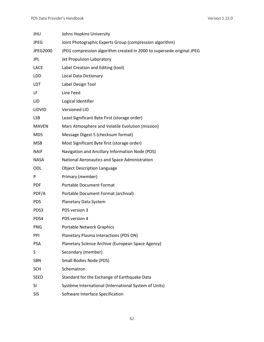| JHU           | Johns Hopkins University                                              |
|---------------|-----------------------------------------------------------------------|
| <b>JPEG</b>   | Joint Photographic Experts Group (compression algorithm)              |
| JPEG2000      | JPEG compression algorithm created in 2000 to supersede original JPEG |
| <b>JPL</b>    | Jet Propulsion Laboratory                                             |
| <b>LACE</b>   | Label Creation and Editing (tool)                                     |
| LDD           | Local Data Dictionary                                                 |
| <b>LDT</b>    | Label Design Tool                                                     |
| LF            | Line Feed                                                             |
| LID           | Logical Identifier                                                    |
| <b>LIDVID</b> | <b>Versioned LID</b>                                                  |
| LSB           | Least Significant Byte First (storage order)                          |
| <b>MAVEN</b>  | Mars Atmosphere and Volatile Evolution (mission)                      |
| MD5           | Message Digest 5 (checksum format)                                    |
| <b>MSB</b>    | Most Significant Byte first (storage order)                           |
| <b>NAIF</b>   | Navigation and Ancillary Information Node (PDS)                       |
| NASA          | National Aeronautics and Space Administration                         |
| ODL           | <b>Object Description Language</b>                                    |
| P             | Primary (member)                                                      |
| <b>PDF</b>    | <b>Portable Document Format</b>                                       |
| PDF/A         | Portable Document Format (archival)                                   |
| <b>PDS</b>    | Planetary Data System                                                 |
| PDS3          | PDS version 3                                                         |
| PDS4          | PDS version 4                                                         |
| <b>PNG</b>    | <b>Portable Network Graphics</b>                                      |
| PPI           | Planetary Plasma Interactions (PDS DN)                                |
| <b>PSA</b>    | Planetary Science Archive (European Space Agency)                     |
| S             | Secondary (member)                                                    |
| <b>SBN</b>    | Small Bodies Node (PDS)                                               |
| <b>SCH</b>    | Schematron                                                            |
| <b>SEED</b>   | Standard for the Exchange of Earthquake Data                          |
| SI            | Système International (International System of Units)                 |
| <b>SIS</b>    | Software Interface Specification                                      |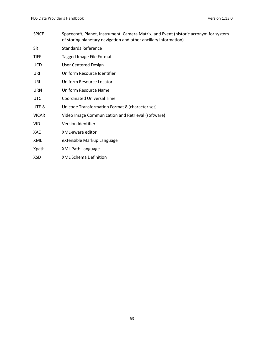SPICE Spacecraft, Planet, Instrument, Camera Matrix, and Event (historic acronym for system of storing planetary navigation and other ancillary information) SR Standards Reference TIFF Tagged Image File Format UCD User Centered Design URI Uniform Resource Identifier URL Uniform Resource Locator URN Uniform Resource Name UTC Coordinated Universal Time UTF-8 Unicode Transformation Format 8 (character set) VICAR Video Image Communication and Retrieval (software) VID Version Identifier XAE XML-aware editor XML eXtensible Markup Language Xpath XML Path Language XSD XML Schema Definition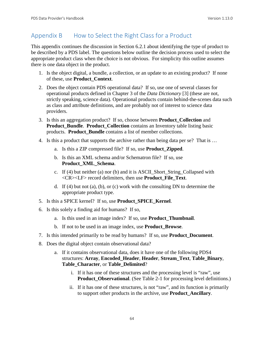# Appendix B How to Select the Right Class for a Product

This appendix continues the discussion in Section 6.2.1 about identifying the type of product to be described by a PDS label. The questions below outline the decision process used to select the appropriate product class when the choice is not obvious. For simplicity this outline assumes there is one data object in the product.

- 1. Is the object digital, a bundle, a collection, or an update to an existing product? If none of these, use **Product\_Context**.
- 2. Does the object contain PDS operational data? If so, use one of several classes for operational products defined in Chapter 3 of the *Data Dictionary* [3] (these are not, strictly speaking, science data). Operational products contain behind-the-scenes data such as class and attribute definitions, and are probably not of interest to science data providers.
- 3. Is this an aggregation product? If so, choose between **Product\_Collection** and **Product\_Bundle**. **Product\_Collection** contains an Inventory table listing basic products. **Product\_Bundle** contains a list of member collections.
- 4. Is this a product that supports the archive rather than being data per se? That is …
	- a. Is this a ZIP compressed file? If so, use **Product\_Zipped**.
	- b. Is this an XML schema and/or Schematron file? If so, use **Product\_XML\_Schema**.
	- c. If (4) but neither (a) nor (b) and it is ASCII\_Short\_String\_Collapsed with <CR><LF> record delimiters, then use **Product\_File\_Text**.
	- d. If (4) but not (a), (b), or (c) work with the consulting DN to determine the appropriate product type.
- 5. Is this a SPICE kernel? If so, use **Product\_SPICE\_Kernel**.
- 6. Is this solely a finding aid for humans? If so,
	- a. Is this used in an image index? If so, use **Product\_Thumbnail**.
	- b. If not to be used in an image index, use **Product\_Browse**.
- 7. Is this intended primarily to be read by humans? If so, use **Product\_Document**.
- 8. Does the digital object contain observational data?
	- a. If it contains observational data, does it have one of the following PDS4 structures: **Array**, **Encoded\_Header**, **Header**, **Stream\_Text**, **Table\_Binary**, **Table\_Character**, or **Table\_Delimited**?
		- i. If it has one of these structures and the processing level is "raw", use **Product Observational.** (See Table 2-1 for processing level definitions.)
		- ii. If it has one of these structures, is not "raw", and its function is primarily to support other products in the archive, use **Product\_Ancillary**.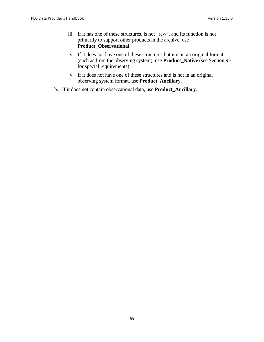- iii. If it has one of these structures, is not "raw", and its function is not primarily to support other products in the archive, use **Product\_Observational**.
- iv. If it does not have one of these structures but it is in an original format (such as from the observing system), use **Product\_Native** (see Section 9E for special requirements)
- v. If it does not have one of these structures and is not in an original observing system format, use **Product\_Ancillary**.
- b. If it does not contain observational data, use **Product\_Ancillary**.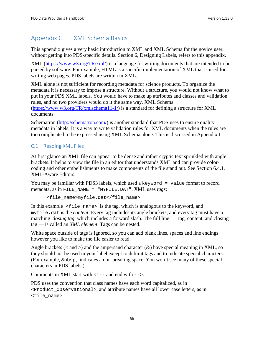# Appendix C XML Schema Basics

This appendix gives a very basic introduction to XML and XML Schema for the novice user, without getting into PDS-specific details. Section 6, Designing Labels, refers to this appendix.

XML [\(https://www.w3.org/TR/xml/\)](https://www.w3.org/TR/xml/) is a language for writing documents that are intended to be parsed by software. For example, HTML is a specific implementation of XML that is used for writing web pages. PDS labels are written in XML.

XML alone is not sufficient for recording metadata for science products. To organize the metadata it is necessary to impose a structure. Without a structure, you would not know what to put in your PDS XML labels. You would have to make up attributes and classes and validation rules, and no two providers would do it the same way. XML Schema [\(https://www.w3.org/TR/xmlschema11-1/\)](https://www.w3.org/TR/xmlschema11-1/) is a standard for defining a structure for XML documents.

Schematron [\(http://schematron.com/\)](http://schematron.com/) is another standard that PDS uses to ensure quality metadata in labels. It is a way to write validation rules for XML documents when the rules are too complicated to be expressed using XML Schema alone. This is discussed in Appendix I.

# C.1 Reading XML Files

At first glance an XML file can appear to be dense and rather cryptic text sprinkled with angle brackets. It helps to view the file in an editor that understands XML and can provide colorcoding and other embellishments to make components of the file stand out. See Section 6.4.1, XML-Aware Editors.

You may be familiar with PDS3 labels, which used a keyword = value format to record metadata, as in FILE\_NAME = "MYFILE.DAT". XML uses *tags*:

<file\_name>myfile.dat</file\_name>

In this example  $\le$  file\_name> is the tag, which is analogous to the keyword, and myfile.dat is the *content*. Every tag includes its angle brackets, and every tag must have a matching *closing tag*, which includes a forward slash. The full line — tag, content, and closing tag — is called an *XML element*. Tags can be nested.

White space outside of tags is ignored, so you can add blank lines, spaces and line endings however you like to make the file easier to read.

Angle brackets ( $\lt$  and  $\gt$ ) and the ampersand character ( $\&$ ) have special meaning in XML, so they should not be used in your label except to delimit tags and to indicate special characters. (For example,  $\epsilon$ nbsp; indicates a non-breaking space. You won't see many of these special characters in PDS labels.)

Comments in XML start with  $\lt$ ! -- and end with  $\lt$  ->.

PDS uses the convention that class names have each word capitalized, as in <Product\_Observational>, and attribute names have all lower case letters, as in <file\_name>.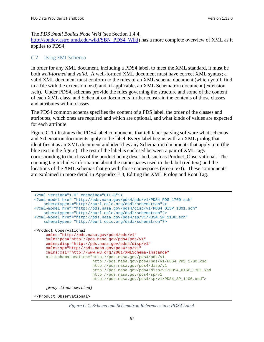#### The *PDS Small Bodies Node Wiki* (see Section 1.4.4,

[http://sbndev.astro.umd.edu/wiki/SBN\\_PDS4\\_Wiki\)](http://sbndev.astro.umd.edu/wiki/SBN_PDS4_Wiki) has a more complete overview of XML as it applies to PDS4.

## C.2 Using XML Schema

In order for any XML document, including a PDS4 label, to meet the XML standard, it must be both *well-formed* and *valid*. A well-formed XML document must have correct XML syntax; a valid XML document must conform to the rules of an XML schema document (which you'll find in a file with the extension .xsd) and, if applicable, an XML Schematron document (extension .sch). Under PDS4, schemas provide the rules governing the structure and some of the content of each XML class, and Schematron documents further constrain the contents of those classes and attributes within classes.

The PDS4 common schema specifies the content of a PDS label, the order of the classes and attributes, which ones are required and which are optional, and what kinds of values are expected for each attribute.

Figure C-1 illustrates the PDS4 label components that tell label-parsing software what schemas and Schematron documents apply to the label. Every label begins with an XML prolog that identifies it as an XML document and identifies any Schematron documents that apply to it (the blue text in the figure). The rest of the label is enclosed between a pair of XML tags corresponding to the class of the product being described, such as Product\_Observational. The opening tag includes information about the namespaces used in the label (red text) and the locations of the XML schemas that go with those namespaces (green text). These components are explained in more detail in Appendix E.3, Editing the XML Prolog and Root Tag.

```
<?xml version="1.0" encoding="UTF-8"?>
<?xml-model href="http://pds.nasa.gov/pds4/pds/v1/PDS4_PDS_1700.sch"
    schematypens="http://purl.oclc.org/dsdl/schematron"?>
<?xml-model href="http://pds.nasa.gov/pds4/disp/v1/PDS4_DISP_1301.sch" 
    schematypens="http://purl.oclc.org/dsdl/schematron"?>
<?xml-model href="http://pds.nasa.gov/pds4/sp/v1/PDS4_SP_1100.sch" 
    schematypens="http://purl.oclc.org/dsdl/schematron"?>
<Product_Observational 
     xmlns="http://pds.nasa.gov/pds4/pds/v1"
      xmlns:pds="http://pds.nasa.gov/pds4/pds/v1"
      xmlns:disp="http://pds.nasa.gov/pds4/disp/v1"
      xmlns:sp="http://pds.nasa.gov/pds4/sp/v1"
     xmlns:xsi="http://www.w3.org/2001/XMLSchema-instance"
      xsi:schemaLocation="http://pds.nasa.gov/pds4/pds/v1
                          http://pds.nasa.gov/pds4/pds/v1/PDS4_PDS_1700.xsd 
                         http://pds.nasa.gov/pds4/disp/v1 
                         http://pds.nasa.gov/pds4/disp/v1/PDS4_DISP_1301.xsd
                         http://pds.nasa.gov/pds4/sp/v1 
                         http://pds.nasa.gov/pds4/sp/v1/PDS4_SP_1100.xsd">
      [many lines omitted]
</Product_Observational>
```
*Figure C-1. Schema and Schematron References in a PDS4 Label*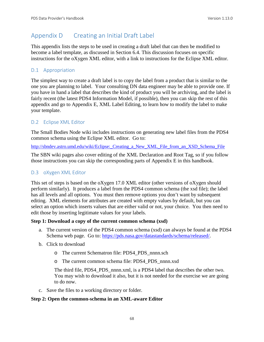# Appendix D Creating an Initial Draft Label

This appendix lists the steps to be used in creating a draft label that can then be modified to become a label template, as discussed in Section 6.4. This discussion focuses on specific instructions for the oXygen XML editor, with a link to instructions for the Eclipse XML editor.

## D.1 Appropriation

The simplest way to create a draft label is to copy the label from a product that is similar to the one you are planning to label. Your consulting DN data engineer may be able to provide one. If you have in hand a label that describes the kind of product you will be archiving, and the label is fairly recent (the latest PDS4 Information Model, if possible), then you can skip the rest of this appendix and go to Appendix E, XML Label Editing, to learn how to modify the label to make your template.

## D.2 Eclipse XML Editor

The Small Bodies Node wiki includes instructions on generating new label files from the PDS4 common schema using the Eclipse XML editor. Go to:

http://sbndev.astro.umd.edu/wiki/Eclipse: Creating a New\_XML\_File\_from\_an\_XSD\_Schema\_File

The SBN wiki pages also cover editing of the XML Declaration and Root Tag, so if you follow those instructions you can skip the corresponding parts of Appendix E in this handbook.

## D.3 oXygen XML Editor

This set of steps is based on the oXygen 17.0 XML editor (other versions of oXygen should perform similarly). It produces a label from the PDS4 common schema (the xsd file); the label has all levels and all options. You must then remove options you don't want by subsequent editing. XML elements for attributes are created with empty values by default, but you can select an option which inserts values that are either valid or not, your choice. You then need to edit those by inserting legitimate values for your labels.

## **Step 1: Download a copy of the current common schema (xsd)**

- a. The current version of the PDS4 common schema (xsd) can always be found at the PDS4 Schema web page. Go to: [https://pds.nasa.gov/datastandards/schema/released/.](https://pds.nasa.gov/datastandards/schema/released/)
- b. Click to download
	- o The current Schematron file: PDS4\_PDS\_nnnn.sch
	- o The current common schema file: PDS4\_PDS\_nnnn.xsd

The third file, PDS4\_PDS\_nnnn.xml, is a PDS4 label that describes the other two. You may wish to download it also, but it is not needed for the exercise we are going to do now.

c. Save the files to a working directory or folder.

## **Step 2: Open the common-schema in an XML-aware Editor**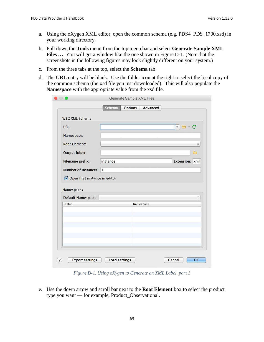- a. Using the oXygen XML editor, open the common schema (e.g. PDS4\_PDS\_1700.xsd) in your working directory.
- b. Pull down the **Tools** menu from the top menu bar and select **Generate Sample XML**  Files ... You will get a window like the one shown in Figure D-1. (Note that the screenshots in the following figures may look slightly different on your system.)
- c. From the three tabs at the top, select the **Schema** tab.
- d. The **URL** entry will be blank. Use the folder icon at the right to select the local copy of the common schema (the xsd file you just downloaded). This will also populate the **Namespace** with the appropriate value from the xsd file.

| URL:                                                       |           | $\cdot c$<br>$\overline{\mathbf v}$ |  |
|------------------------------------------------------------|-----------|-------------------------------------|--|
|                                                            |           |                                     |  |
| Namespace:                                                 |           |                                     |  |
| <b>Root Element:</b>                                       |           | $\hat{\mathbf{v}}$                  |  |
| Output folder:                                             |           |                                     |  |
| Filename prefix:                                           | instance  | Extension: xml                      |  |
|                                                            |           |                                     |  |
|                                                            |           |                                     |  |
| Open first instance in editor                              |           |                                     |  |
|                                                            |           | ÷                                   |  |
|                                                            | Namespace |                                     |  |
| Prefix                                                     |           |                                     |  |
| Number of instances: 1<br>Namespaces<br>Default Namespace: |           |                                     |  |
|                                                            |           |                                     |  |
|                                                            |           |                                     |  |

*Figure D-1. Using oXygen to Generate an XML Label, part 1*

e. Use the down arrow and scroll bar next to the **Root Element** box to select the product type you want — for example, Product\_Observational.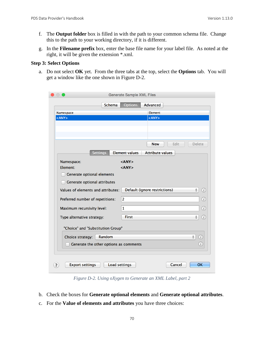- f. The **Output folder** box is filled in with the path to your common schema file. Change this to the path to your working directory, if it is different.
- g. In the **Filename prefix** box, enter the base file name for your label file. As noted at the right, it will be given the extension \*.xml.

#### **Step 3: Select Options**

a. Do not select **OK** yet. From the three tabs at the top, select the **Options** tab. You will get a window like the one shown in Figure D-2.

| <b>Schema</b><br><b>Options</b><br><b>Advanced</b><br>Element<br>Namespace<br>$<$ ANY $>$<br>$<$ ANY $>$<br><b>Delete</b><br>Edit<br><b>New</b><br><b>Settings</b><br>Element values<br><b>Attribute values</b><br>$<$ ANY $>$<br>Namespace:<br>Element:<br>$<$ ANY $>$<br>Generate optional elements<br>Generate optional attributes<br>Default (ignore restrictions)<br>Values of elements and attributes:<br>$\frac{1}{\sqrt{2}}$<br>(i)<br>$\overline{2}$<br>$\circledi$<br>Preferred number of repetitions:<br>(i)<br>Maximum recursivity level:<br>$\mathbf{1}$<br><b>First</b><br>$\frac{4}{7}$<br>$\left( i\right)$<br>Type alternative strategy:<br>"Choice" and "Substitution Group"<br>$\frac{4}{7}$<br>Random<br>$\left( i\right)$<br>Choice strategy:<br>$\left( i\right)$<br>Generate the other options as comments<br>Load settings<br>OK<br><b>Export settings</b><br>Cancel |  | <b>Generate Sample XML Files</b> |  |
|----------------------------------------------------------------------------------------------------------------------------------------------------------------------------------------------------------------------------------------------------------------------------------------------------------------------------------------------------------------------------------------------------------------------------------------------------------------------------------------------------------------------------------------------------------------------------------------------------------------------------------------------------------------------------------------------------------------------------------------------------------------------------------------------------------------------------------------------------------------------------------------------|--|----------------------------------|--|
|                                                                                                                                                                                                                                                                                                                                                                                                                                                                                                                                                                                                                                                                                                                                                                                                                                                                                              |  |                                  |  |
|                                                                                                                                                                                                                                                                                                                                                                                                                                                                                                                                                                                                                                                                                                                                                                                                                                                                                              |  |                                  |  |
|                                                                                                                                                                                                                                                                                                                                                                                                                                                                                                                                                                                                                                                                                                                                                                                                                                                                                              |  |                                  |  |
|                                                                                                                                                                                                                                                                                                                                                                                                                                                                                                                                                                                                                                                                                                                                                                                                                                                                                              |  |                                  |  |
|                                                                                                                                                                                                                                                                                                                                                                                                                                                                                                                                                                                                                                                                                                                                                                                                                                                                                              |  |                                  |  |
|                                                                                                                                                                                                                                                                                                                                                                                                                                                                                                                                                                                                                                                                                                                                                                                                                                                                                              |  |                                  |  |
|                                                                                                                                                                                                                                                                                                                                                                                                                                                                                                                                                                                                                                                                                                                                                                                                                                                                                              |  |                                  |  |
|                                                                                                                                                                                                                                                                                                                                                                                                                                                                                                                                                                                                                                                                                                                                                                                                                                                                                              |  |                                  |  |
|                                                                                                                                                                                                                                                                                                                                                                                                                                                                                                                                                                                                                                                                                                                                                                                                                                                                                              |  |                                  |  |
|                                                                                                                                                                                                                                                                                                                                                                                                                                                                                                                                                                                                                                                                                                                                                                                                                                                                                              |  |                                  |  |
|                                                                                                                                                                                                                                                                                                                                                                                                                                                                                                                                                                                                                                                                                                                                                                                                                                                                                              |  |                                  |  |
|                                                                                                                                                                                                                                                                                                                                                                                                                                                                                                                                                                                                                                                                                                                                                                                                                                                                                              |  |                                  |  |
|                                                                                                                                                                                                                                                                                                                                                                                                                                                                                                                                                                                                                                                                                                                                                                                                                                                                                              |  |                                  |  |
|                                                                                                                                                                                                                                                                                                                                                                                                                                                                                                                                                                                                                                                                                                                                                                                                                                                                                              |  |                                  |  |
|                                                                                                                                                                                                                                                                                                                                                                                                                                                                                                                                                                                                                                                                                                                                                                                                                                                                                              |  |                                  |  |
|                                                                                                                                                                                                                                                                                                                                                                                                                                                                                                                                                                                                                                                                                                                                                                                                                                                                                              |  |                                  |  |
|                                                                                                                                                                                                                                                                                                                                                                                                                                                                                                                                                                                                                                                                                                                                                                                                                                                                                              |  |                                  |  |
|                                                                                                                                                                                                                                                                                                                                                                                                                                                                                                                                                                                                                                                                                                                                                                                                                                                                                              |  |                                  |  |
|                                                                                                                                                                                                                                                                                                                                                                                                                                                                                                                                                                                                                                                                                                                                                                                                                                                                                              |  |                                  |  |
|                                                                                                                                                                                                                                                                                                                                                                                                                                                                                                                                                                                                                                                                                                                                                                                                                                                                                              |  |                                  |  |
|                                                                                                                                                                                                                                                                                                                                                                                                                                                                                                                                                                                                                                                                                                                                                                                                                                                                                              |  |                                  |  |
|                                                                                                                                                                                                                                                                                                                                                                                                                                                                                                                                                                                                                                                                                                                                                                                                                                                                                              |  |                                  |  |
|                                                                                                                                                                                                                                                                                                                                                                                                                                                                                                                                                                                                                                                                                                                                                                                                                                                                                              |  |                                  |  |
|                                                                                                                                                                                                                                                                                                                                                                                                                                                                                                                                                                                                                                                                                                                                                                                                                                                                                              |  |                                  |  |
|                                                                                                                                                                                                                                                                                                                                                                                                                                                                                                                                                                                                                                                                                                                                                                                                                                                                                              |  |                                  |  |
|                                                                                                                                                                                                                                                                                                                                                                                                                                                                                                                                                                                                                                                                                                                                                                                                                                                                                              |  |                                  |  |

*Figure D-2. Using oXygen to Generate an XML Label, part 2*

- b. Check the boxes for **Generate optional elements** and **Generate optional attributes**.
- c. For the **Value of elements and attributes** you have three choices: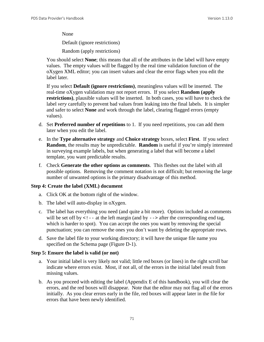None

Default (ignore restrictions)

Random (apply restrictions)

You should select **None**; this means that all of the attributes in the label will have empty values. The empty values will be flagged by the real time validation function of the oXygen XML editor; you can insert values and clear the error flags when you edit the label later.

If you select **Default (ignore restrictions)**, meaningless values will be inserted. The real-time oXygen validation may not report errors. If you select **Random (apply restrictions)**, plausible values will be inserted. In both cases, you will have to check the label *very* carefully to prevent bad values from leaking into the final labels. It is simpler and safer to select **None** and work through the label, clearing flagged errors (empty values).

- d. Set **Preferred number of repetitions** to 1. If you need repetitions, you can add them later when you edit the label.
- e. In the **Type alternative strategy** and **Choice strategy** boxes, select **First**. If you select **Random**, the results may be unpredictable. **Random** is useful if you're simply interested in surveying example labels, but when generating a label that will become a label template, you want predictable results.
- f. Check **Generate the other options as comments**. This fleshes out the label with all possible options. Removing the comment notation is not difficult; but removing the large number of unwanted options is the primary disadvantage of this method.

#### **Step 4: Create the label (XML) document**

- a. Click OK at the bottom right of the window.
- b. The label will auto-display in oXygen.
- c. The label has everything you need (and quite a bit more). Options included as comments will be set off by  $\lt!$ ! -- at the left margin (and by --> after the corresponding end tag, which is harder to spot). You can accept the ones you want by removing the special punctuation; you can remove the ones you don't want by deleting the appropriate rows.
- d. Save the label file to your working directory; it will have the unique file name you specified on the Schema page (Figure D-1).

#### **Step 5: Ensure the label is valid (or not)**

- a. Your initial label is very likely not valid; little red boxes (or lines) in the right scroll bar indicate where errors exist. Most, if not all, of the errors in the initial label result from missing values.
- b. As you proceed with editing the label (Appendix E of this handbook), you will clear the errors, and the red boxes will disappear. Note that the editor may not flag all of the errors initially. As you clear errors early in the file, red boxes will appear later in the file for errors that have been newly identified.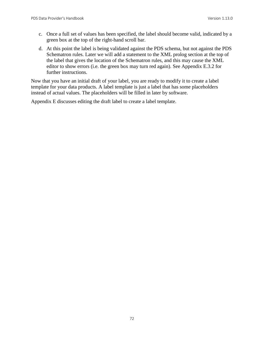- c. Once a full set of values has been specified, the label should become valid, indicated by a green box at the top of the right-hand scroll bar.
- d. At this point the label is being validated against the PDS schema, but not against the PDS Schematron rules. Later we will add a statement to the XML prolog section at the top of the label that gives the location of the Schematron rules, and this may cause the XML editor to show errors (i.e. the green box may turn red again). See Appendix E.3.2 for further instructions.

Now that you have an initial draft of your label, you are ready to modify it to create a label template for your data products. A label template is just a label that has some placeholders instead of actual values. The placeholders will be filled in later by software.

Appendix E discusses editing the draft label to create a label template.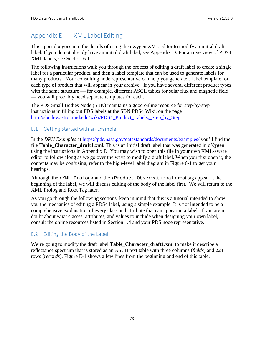# Appendix E XML Label Editing

This appendix goes into the details of using the oXygen XML editor to modify an initial draft label. If you do not already have an initial draft label, see Appendix D. For an overview of PDS4 XML labels, see Section 6.1.

The following instructions walk you through the process of editing a draft label to create a single label for a particular product, and then a label template that can be used to generate labels for many products. Your consulting node representative can help you generate a label template for each type of product that will appear in your archive. If you have several different product types with the same structure — for example, different ASCII tables for solar flux and magnetic field — you will probably need separate templates for each.

The PDS Small Bodies Node (SBN) maintains a good online resource for step-by-step instructions in filling out PDS labels at the SBN PDS4 Wiki, on the page [http://sbndev.astro.umd.edu/wiki/PDS4\\_Product\\_Labels,\\_Step\\_by\\_Step.](http://sbndev.astro.umd.edu/wiki/PDS4_Product_Labels,_Step_by_Step)

# E.1 Getting Started with an Example

In the *DPH Examples* at<https://pds.nasa.gov/datastandards/documents/examples/> you'll find the file **Table Character draft1.xml**. This is an initial draft label that was generated in oXygen using the instructions in Appendix D. You may wish to open this file in your own XML-aware editor to follow along as we go over the ways to modify a draft label. When you first open it, the contents may be confusing; refer to the high-level label diagram in Figure 6-1 to get your bearings.

Although the <XML Prolog> and the <Product\_Observational> root tag appear at the beginning of the label, we will discuss editing of the body of the label first. We will return to the XML Prolog and Root Tag later.

As you go through the following sections, keep in mind that this is a tutorial intended to show you the mechanics of editing a PDS4 label, using a simple example. It is not intended to be a comprehensive explanation of every class and attribute that can appear in a label. If you are in doubt about what classes, attributes, and values to include when designing your own label, consult the online resources listed in Section 1.4 and your PDS node representative.

# E.2 Editing the Body of the Label

We're going to modify the draft label **Table\_Character\_draft1.xml** to make it describe a reflectance spectrum that is stored as an ASCII text table with three columns (*fields*) and 224 rows (*records*). Figure E-1 shows a few lines from the beginning and end of this table.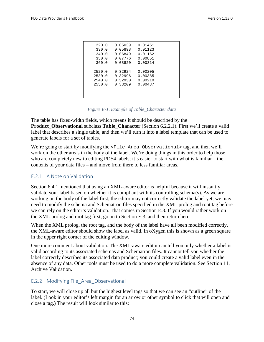| 320.0<br>330.0<br>340.0 | 0.05039<br>0.05898<br>0.06849 | 0.01451<br>0.01123<br>0.01162 |  |
|-------------------------|-------------------------------|-------------------------------|--|
| 350.0                   | 0.07776                       | 0.00851                       |  |
| 360.0                   | 0.08820                       | 0.00314                       |  |
|                         |                               |                               |  |
| 2520.0                  | 0.32924                       | 0.00205                       |  |
| 2530.0                  | 0.32996                       | 0.00385                       |  |
| 2540.0                  | 0.32930                       | 0.00210                       |  |
| 2550.0                  | 0.33209                       | 0.00437                       |  |
|                         |                               |                               |  |
|                         |                               |                               |  |
|                         |                               |                               |  |

*Figure E-1. Example of Table\_Character data*

The table has fixed-width fields, which means it should be described by the **Product\_Observational** subclass **Table\_Character** (Section 6.2.2.1). First we'll create a valid label that describes a single table, and then we'll turn it into a label template that can be used to generate labels for a set of tables.

We're going to start by modifying the <File\_Area\_Observational> tag, and then we'll work on the other areas in the body of the label. We're doing things in this order to help those who are completely new to editing PDS4 labels; it's easier to start with what is familiar – the contents of your data files – and move from there to less familiar areas.

## E.2.1 A Note on Validation

Section 6.4.1 mentioned that using an XML-aware editor is helpful because it will instantly validate your label based on whether it is compliant with its controlling schema(s). As we are working on the body of the label first, the editor may not correctly validate the label yet; we may need to modify the schema and Schematron files specified in the XML prolog and root tag before we can rely on the editor's validation. That comes in Section E.3. If you would rather work on the XML prolog and root tag first, go on to Section E.3, and then return here.

When the XML prolog, the root tag, and the body of the label have all been modified correctly, the XML-aware editor should show the label as valid. In oXygen this is shown as a green square in the upper right corner of the editing window.

One more comment about validation: The XML-aware editor can tell you only whether a label is valid according to its associated schemas and Schematron files. It cannot tell you whether the label correctly describes its associated data product; you could create a valid label even in the absence of any data. Other tools must be used to do a more complete validation. See Section 11, Archive Validation.

## E.2.2 Modifying File\_Area\_Observational

To start, we will close up all but the highest level tags so that we can see an "outline" of the label. (Look in your editor's left margin for an arrow or other symbol to click that will open and close a tag.) The result will look similar to this: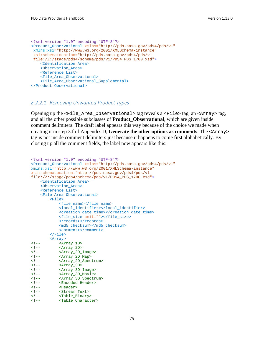```
<?xml version="1.0" encoding="UTF-8"?>
<Product_Observational xmlns="http://pds.nasa.gov/pds4/pds/v1"
xmlns:xsi="http://www.w3.org/2001/XMLSchema-instance"
 xsi:schemaLocation="http://pds.nasa.gov/pds4/pds/v1 
file:/Z:/stage/pds4/schema/pds/v1/PDS4_PDS_1700.xsd">
     <Identification_Area>
     <Observation_Area>
     <Reference_List>
     <File_Area_Observational>
     <File_Area_Observational_Supplemental>
</Product_Observational>
```
## *E.2.2.1 Removing Unwanted Product Types*

Opening up the <File\_Area\_Observational> tag reveals a <File> tag, an <Array> tag, and all the other possible subclasses of **Product\_Observational**, which are given inside comment delimiters. The draft label appears this way because of the choice we made when creating it in step 3.f of Appendix D, **Generate the other options as comments**. The <Array> tag is not inside comment delimiters just because it happens to come first alphabetically. By closing up all the comment fields, the label now appears like this:

```
<?xml version="1.0" encoding="UTF-8"?>
<Product_Observational xmlns="http://pds.nasa.gov/pds4/pds/v1"
xmlns:xsi="http://www.w3.org/2001/XMLSchema-instance"
xsi:schemaLocation="http://pds.nasa.gov/pds4/pds/v1 
file:/Z:/stage/pds4/schema/pds/v1/PDS4_PDS_1700.xsd">
    <Identification_Area>
    <Observation_Area>
    <Reference_List>
    <File_Area_Observational>
        <File>
            <file_name></file_name>
            <local_identifier></local_identifier>
            <creation_date_time></creation_date_time>
            <file_size unit=""></file_size>
           <records></records>
            <md5_checksum></md5_checksum>
            <comment></comment>
        </File>
 <Array>
<!-- <Array_1D><br><!-- <Array 2D>
<!-- <Array_2D><br><!-- <Array_2D_Image>
<!-- <Array_2D_Image>
<!-- <Array_2D_Map>
<!-- <Array_2D_Spectrum>
<!-- <Array_3D>
<!-- <Array_3D_Image>
<!-- <Array_3D_Movie>
<!-- <Array_3D_Spectrum>
<!-- <Encoded_Header>
<!-- <Header>
<!-- <Stream_Text>
<!-- <Table_Binary>
          <Table_Character>
```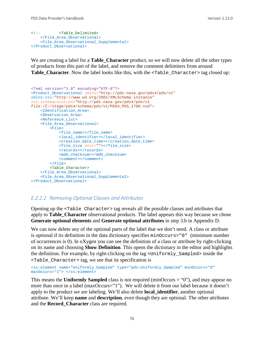```
<!-- <Table_Delimited>
    </File_Area_Observational>
    <File_Area_Observational_Supplemental>
</Product_Observational>
```
We are creating a label for a **Table\_Character** product, so we will now delete all the other types of products from this part of the label, and remove the comment delimiters from around Table\_Character. Now the label looks like this, with the <Table\_Character> tag closed up:

```
<?xml version="1.0" encoding="UTF-8"?>
<Product_Observational xmlns="http://pds.nasa.gov/pds4/pds/v1"
xmlns:xsi="http://www.w3.org/2001/XMLSchema-instance"
xsi:schemaLocation="http://pds.nasa.gov/pds4/pds/v1 
file:/Z:/stage/pds4/schema/pds/v1/PDS4_PDS_1700.xsd">
     <Identification_Area>
     <Observation_Area>
    <Reference_List>
    <File_Area_Observational>
         <File>
             <file_name></file_name>
             <local_identifier></local_identifier>
             <creation_date_time></creation_date_time>
             <file_size unit=""></file_size>
            <records></records>
             <md5_checksum></md5_checksum>
             <comment></comment>
         </File>
        <Table_Character>
     </File_Area_Observational>
     <File_Area_Observational_Supplemental>
</Product_Observational>
```
## *E.2.2.2 Removing Optional Classes and Attributes*

Opening up the <Table Character> tag reveals all the possible classes and attributes that apply to **Table\_Character** observational products. The label appears this way because we chose **Generate optional elements** and **Generate optional attributes** in step 3.b in Appendix D.

We can now delete any of the optional parts of the label that we don't need. A class or attribute is optional if its definition in the data dictionary specifies minOccurs="0" (minimum number of occurrences is 0). In oXygen you can see the definition of a class or attribute by right-clicking on its name and choosing **Show Definition**. This opens the dictionary in the editor and highlights the definition. For example, by right-clicking on the tag <Uniformly\_Sampled> inside the <Table\_Character> tag, we see that its specification is

```
<xs:element name="Uniformly_Sampled" type="pds:Uniformly_Sampled" minOccurs="0" 
maxOccurs="1"> </xs:element>
```
This means the **Uniformly Sampled** class is not required (minOccurs = "0"), and may appear no more than once in a label (maxOccurs="1"). We will delete it from our label because it doesn't apply to the product we are labeling. We'll also delete **local\_identifier**, another optional attribute. We'll keep **name** and **description**, even though they are optional. The other attributes and the **Record\_Character** class are required.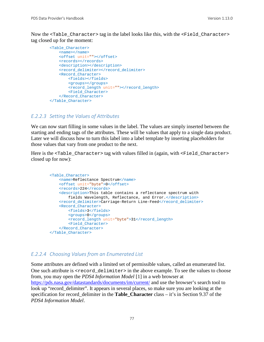Now the <Table Character> tag in the label looks like this, with the <Field Character> tag closed up for the moment:

```
 <Table_Character>
     <name></name>
     <offset unit=""></offset>
    <records></records>
     <description></description>
    <record_delimiter></record_delimiter>
     <Record_Character>
         <fields></fields>
         <groups></groups>
         <record_length unit=""></record_length>
         <Field_Character>
     </Record_Character>
 </Table_Character>
```
## *E.2.2.3 Setting the Values of Attributes*

We can now start filling in some values in the label. The values are simply inserted between the starting and ending tags of the attributes. These will be values that apply to a single data product. Later we will discuss how to turn this label into a label template by inserting placeholders for those values that vary from one product to the next.

Here is the <Table\_Character> tag with values filled in (again, with <Field\_Character> closed up for now):

```
 <Table_Character>
     <name>Reflectance Spectrum</name>
     <offset unit="byte">0</offset>
     <records>224</records>
     <description>This table contains a reflectance spectrum with 
         fields Wavelength, Reflectance, and Error.</description>
    <record_delimiter>Carriage-Return Line-Feed</record_delimiter>
     <Record_Character>
         <fields>3</fields>
         <groups>0</groups>
         <record_length unit="byte">31</record_length>
         <Field_Character>
     </Record_Character>
 </Table_Character>
```
#### *E.2.2.4 Choosing Values from an Enumerated List*

Some attributes are defined with a limited set of permissible values, called an enumerated list. One such attribute is <record\_delimiter> in the above example. To see the values to choose from, you may open the *PDS4 Information Model* [1] in a web browser at <https://pds.nasa.gov/datastandards/documents/im/current/> and use the browser's search tool to look up "record\_delimiter". It appears in several places, so make sure you are looking at the specification for record\_delimiter in the **Table\_Character** class – it's in Section 9.37 of the *PDS4 Information Model*.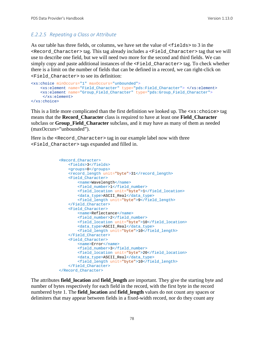# *E.2.2.5 Repeating a Class or Attribute*

As our table has three fields, or columns, we have set the value of  $\le$  fields  $>$  to 3 in the <Record\_Character> tag. This tag already includes a <Field\_Character> tag that we will use to describe one field, but we will need two more for the second and third fields. We can simply copy and paste additional instances of the <Field\_Character> tag. To check whether there is a limit on the number of fields that can be defined in a record, we can right-click on <Field\_Character> to see its definition:

```
<xs:choice minOccurs="1" maxOccurs="unbounded">
     <xs:element name="Field_Character" type="pds:Field_Character"> </xs:element>
     <xs:element name="Group_Field_Character" type="pds:Group_Field_Character">
     </xs:element>
</xs:choice>
```
This is a little more complicated than the first definition we looked up. The  $\langle x \cdot s : \text{choice} \rangle$  tag means that the **Record\_Character** class is required to have at least one **Field\_Character** subclass or **Group\_Field\_Character** subclass, and it may have as many of them as needed (maxOccurs="unbounded").

Here is the <Record Character> tag in our example label now with three <Field\_Character> tags expanded and filled in.

```
 <Record_Character>
    <fields>3</fields>
    <groups>0</groups>
   <record_length unit="byte">31</record_length>
    <Field_Character>
         <name>Wavelength</name>
         <field_number>1</field_number>
         <field_location unit="byte">1</field_location>
         <data_type>ASCII_Real</data_type>
         <field_length unit="byte">9</field_length>
     </Field_Character>
     <Field_Character>
         <name>Reflectance</name>
        <field_number>2</field_number>
        <field_location unit="byte">10</field_location>
        <data_type>ASCII_Real</data_type>
         <field_length unit="byte">10</field_length>
     </Field_Character>
     <Field_Character>
         <name>Error</name>
        <field_number>3</field_number>
        <field_location unit="byte">20</field_location>
         <data_type>ASCII_Real</data_type>
        <field_length unit="byte">10</field_length>
     </Field_Character>
 </Record_Character>
```
The attributes **field\_location** and **field\_length** are important. They give the starting byte and number of bytes respectively for each field in the record, with the first byte in the record numbered byte 1. The **field\_location** and **field\_length** values do not count any spaces or delimiters that may appear between fields in a fixed-width record, nor do they count any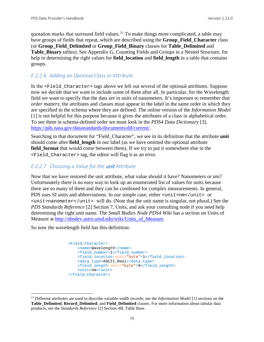quotation marks that surround field values.<sup>[11](#page-85-0)</sup> To make things more complicated, a table may have groups of fields that repeat, which are described using the **Group\_Field\_Character** class (or **Group\_Field\_Delimited** or **Group\_Field\_Binary** classes for **Table\_Delimited** and **Table\_Binary** tables). See Appendix G, Counting Fields and Groups in a Nested Structure, for help in determining the right values for **field\_location** and **field\_length** in a table that contains groups.

# *E.2.2.6 Adding an Optional Class or Attribute*

In the  $\le$ Field Character> tags above we left out several of the optional attributes. Suppose now we decide that we want to include some of them after all. In particular, for the Wavelength field we want to specify that the data are in units of nanometers. It's important to remember that *order matters*; the attributes and classes must appear in the label in the same order in which they are specified in the schema where they are defined. The online version of the *Information Model* [1] is not helpful for this purpose because it gives the attributes of a class in alphabetical order. To see them in schema-defined order we must look in the *PDS4 Data Dictionary* [3], [https://pds.nasa.gov/datastandards/documents/dd/current/.](https://pds.nasa.gov/datastandards/documents/dd/current/)

Searching in that document for "Field\_Character", we see in its definition that the attribute **unit** should come after **field length** in our label (as we have omitted the optional attribute **field\_format** that would come between them). If we try to put it somewhere else in the <Field\_Character> tag, the editor will flag it as an error.

## *E.2.2.7 Choosing a Value for the* unit *Attribute*

Now that we have restored the unit attribute, what value should it have? Nanometers or nm? Unfortunately there is no easy way to look up an enumerated list of values for units because there are so many of them and they can be combined for complex measurements. In general, PDS uses SI units and abbreviations. In our simple case, either <unit>nm</unit> or  $\frac{1}{\sqrt{1-\frac{1}{\sqrt{1-\frac{1}{\sqrt{1-\frac{1}{\sqrt{1-\frac{1}{\sqrt{1-\frac{1}{\sqrt{1-\frac{1}{\sqrt{1-\frac{1}{\sqrt{1-\frac{1}{\sqrt{1-\frac{1}{\sqrt{1-\frac{1}{\sqrt{1-\frac{1}{\sqrt{1-\frac{1}{\sqrt{1-\frac{1}{\sqrt{1-\frac{1}{\sqrt{1-\frac{1}{\sqrt{1-\frac{1}{\sqrt{1-\frac{1}{\sqrt{1-\frac{1}{\sqrt{1-\frac{1}{\sqrt{1-\frac{1}{\sqrt{1-\frac{1}{\sqrt{1-\frac{1}{\sqrt{1-\frac{1}{\sqrt{1-\frac{1$ *PDS Standards Reference* [2] Section 7, Units, and ask your consulting node if you need help determining the right unit name. The *Small Bodies Node PDS4 Wiki* has a section on Units of Measure at [http://sbndev.astro.umd.edu/wiki/Units\\_of\\_Measure.](http://sbndev.astro.umd.edu/wiki/Units_of_Measure)

So now the wavelength field has this definition:

```
 <Field_Character>
     <name>Wavelength</name>
    <field_number>1</field_number>
    <field_location unit="byte">1</field_location>
     <data_type>ASCII_Real</data_type>
    <field_length unit="byte">9</field_length>
     <unit>nm</unit>
 </Field_Character>
```
<span id="page-85-0"></span> <sup>11</sup> Different attributes are used to describe variable-width records; see the *Information Model* [1] sections on the **Table\_Delimited**, **Record\_Delimited**, and **Field\_Delimited** classes. For more information about tabular data products, see the *Standards Reference* [2] Section 4B, Table Base.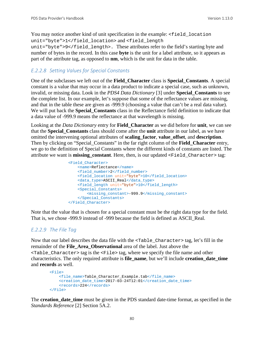You may notice another kind of unit specification in the example:  $\le$  field\_location unit="byte">1</field\_location> and <field\_length unit="byte">9</field\_length>. These attributes refer to the field's starting byte and number of bytes in the record. In this case **byte** is the unit for a label attribute, so it appears as part of the attribute tag, as opposed to **nm**, which is the unit for data in the table.

## *E.2.2.8 Setting Values for Special Constants*

One of the subclasses we left out of the **Field\_Character** class is **Special\_Constants**. A special constant is a value that may occur in a data product to indicate a special case, such as unknown, invalid, or missing data. Look in the *PDS4 Data Dictionary* [3] under **Special\_Constants** to see the complete list. In our example, let's suppose that some of the reflectance values are missing, and that in the table these are given as -999.9 (choosing a value that can't be a real data value). We will put back the **Special\_Constants** class in the Reflectance field definition to indicate that a data value of -999.9 means the reflectance at that wavelength is missing.

Looking at the *Data Dictionary* entry for **Field\_Character** as we did before for **unit**, we can see that the **Special\_Constants** class should come after the **unit** attribute in our label, as we have omitted the intervening optional attributes of **scaling\_factor**, **value\_offset**, and **description**. Then by clicking on "Special\_Constants" in the far right column of the **Field\_Character** entry, we go to the definition of Special Constants where the different kinds of constants are listed. The attribute we want is **missing\_constant**. Here, then, is our updated <Field\_Character> tag:

```
 <Field_Character>
     <name>Reflectance</name>
    <field_number>2</field_number>
    <field_location unit="byte">10</field_location>
     <data_type>ASCII_Real</data_type>
     <field_length unit="byte">10</field_length>
     <Special_Constants>
         <missing_constant>-999.9</missing_constant>
     </Special_Constants>
 </Field_Character>
```
Note that the value that is chosen for a special constant must be the right data type for the field. That is, we chose -999.9 instead of -999 because the field is defined as ASCII\_Real.

## *E.2.2.9 The File Tag*

Now that our label describes the data file with the <Table\_Character> tag, let's fill in the remainder of the **File\_Area\_Observational** area of the label. Just above the  $\epsilon$ Table Character> tag is the  $\epsilon$ File> tag, where we specify the file name and other characteristics. The only required attribute is **file\_name**, but we'll include **creation\_date\_time** and **records** as well.

```
 <File>
     <file_name>Table_Character_Example.tab</file_name>
     <creation_date_time>2017-03-24T12:01</creation_date_time>
     <records>224</records>
 </File>
```
The **creation date time** must be given in the PDS standard date-time format, as specified in the *Standards Reference* [2] Section 5A.2.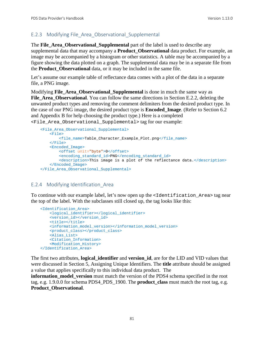## E.2.3 Modifying File\_Area\_Observational\_Supplemental

The **File\_Area\_Observational\_Supplemental** part of the label is used to describe any supplemental data that may accompany a **Product\_Observational** data product. For example, an image may be accompanied by a histogram or other statistics. A table may be accompanied by a figure showing the data plotted on a graph. The supplemental data may be in a separate file from the **Product\_Observational** data, or it may be included in the same file.

Let's assume our example table of reflectance data comes with a plot of the data in a separate file, a PNG image.

Modifying **File\_Area\_Observational\_Supplemental** is done in much the same way as File Area Observational. You can follow the same directions in Section E.2.2, deleting the unwanted product types and removing the comment delimiters from the desired product type. In the case of our PNG image, the desired product type is **Encoded\_Image**. (Refer to Section 6.2 and Appendix B for help choosing the product type.) Here is a completed <File\_Area\_Observational\_Supplemental> tag for our example:

```
 <File_Area_Observational_Supplemental>
    <sub>Fi1e</sub></sub>
         <file_name>Table_Character_Example_Plot.png</file_name>
     </File>
     <Encoded_Image>
         <offset unit="byte">0</offset>
         <encoding_standard_id>PNG</encoding_standard_id>
         <description>This image is a plot of the reflectance data.</description>
     </Encoded_Image>
 </File_Area_Observational_Supplemental>
```
## E.2.4 Modifying Identification\_Area

To continue with our example label, let's now open up the <Identification Area> tag near the top of the label. With the subclasses still closed up, the tag looks like this:

```
 <Identification_Area>
    <logical_identifier></logical_identifier>
    <version_id></version_id>
    <title></title>
    <information_model_version></information_model_version>
    <product_class></product_class>
    <Alias_List>
    <Citation_Information>
    <Modification_History>
 </Identification_Area>
```
The first two attributes, **logical\_identifier** and **version\_id**, are for the LID and VID values that were discussed in Section [5, Assigning Unique Identifiers.](#page-26-0) The **title** attribute should be assigned a value that applies specifically to this individual data product. The

**information\_model\_version** must match the version of the PDS4 schema specified in the root tag, e.g. 1.9.0.0 for schema PDS4\_PDS\_1900. The **product\_class** must match the root tag, e.g. **Product\_Observational**.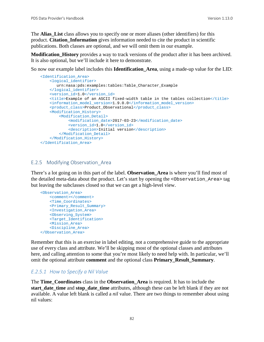The **Alias** List class allows you to specify one or more aliases (other identifiers) for this product. **Citation\_Information** gives information needed to cite the product in scientific publications. Both classes are optional, and we will omit them in our example.

**Modification\_History** provides a way to track versions of the product after it has been archived. It is also optional, but we'll include it here to demonstrate.

So now our example label includes this **Identification\_Area**, using a made-up value for the LID:

```
 <Identification_Area>
     <logical_identifier>
        urn:nasa:pds:examples:tables:Table_Character_Example
     </logical_identifier>
     <version_id>1.0</version_id>
     <title>Example of an ASCII fixed-width table in the tables collection</title>
     <information_model_version>1.9.0.0</information_model_version>
     <product_class>Product_Observational</product_class>
     <Modification_History>
         <Modification_Detail>
             <modification_date>2017-03-23</modification_date>
             <version_id>1.0</version_id>
            <description>Initial version</description>
         </Modification_Detail>
    </Modification_History>
 </Identification_Area>
```
#### E.2.5 Modifying Observation\_Area

There's a lot going on in this part of the label. **Observation\_Area** is where you'll find most of the detailed meta-data about the product. Let's start by opening the <Observation\_Area> tag but leaving the subclasses closed so that we can get a high-level view.

```
 <Observation_Area>
     <comment></comment>
     <Time_Coordinates>
     <Primary_Result_Summary>
    <Investigation_Area>
    <Observing_System>
    <Target_Identification>
    <Mission_Area>
     <Discipline_Area>
 </Observation_Area>
```
Remember that this is an exercise in label editing, not a comprehensive guide to the appropriate use of every class and attribute. We'll be skipping most of the optional classes and attributes here, and calling attention to some that you're most likely to need help with. In particular, we'll omit the optional attribute **comment** and the optional class **Primary\_Result\_Summary**.

#### *E.2.5.1 How to Specify a Nil Value*

The **Time\_Coordinates** class in the **Observation\_Area** is required. It has to include the **start** date time and **stop** date time attributes, although these can be left blank if they are not available. A value left blank is called a *nil* value. There are two things to remember about using nil values: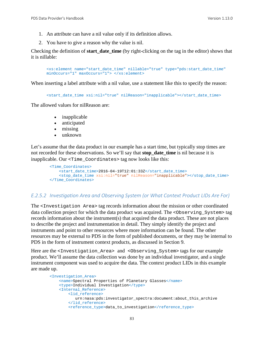- 1. An attribute can have a nil value only if its definition allows.
- 2. You have to give a reason why the value is nil.

Checking the definition of **start\_date\_time** (by right-clicking on the tag in the editor) shows that it is nillable:

```
<xs:element name="start_date_time" nillable="true" type="pds:start_date_time" 
minOccurs="1" maxOccurs="1"> </xs:element>
```
When inserting a label attribute with a nil value, use a statement like this to specify the reason:

<start\_date\_time xsi:nil="true" nilReason="inapplicable"></start\_date\_time>

The allowed values for nilReason are:

- inapplicable
- anticipated
- missing
- unknown

Let's assume that the data product in our example has a start time, but typically stop times are not recorded for these observations. So we'll say that **stop\_date\_time** is nil because it is inapplicable. Our <Time\_Coordinates> tag now looks like this:

```
 <Time_Coordinates>
    <start_date_time>2016-04-19T12:01:33Z</start_date_time>
     <stop_date_time xsi:nil="true" nilReason="inapplicable"></stop_date_time>
 </Time_Coordinates>
```
#### *E.2.5.2 Investigation Area and Observing System (or What Context Product LIDs Are For)*

The <Investigation Area> tag records information about the mission or other coordinated data collection project for which the data product was acquired. The <Observing\_System> tag records information about the instrument(s) that acquired the data product. These are not places to describe the project and instrumentation in detail. They simply identify the project and instruments and point to other resources where more information can be found. The other resources may be external to PDS in the form of published documents, or they may be internal to PDS in the form of instrument context products, as discussed in Section 9.

Here are the <Investigation\_Area> and <Observing\_System> tags for our example product. We'll assume the data collection was done by an individual investigator, and a single instrument component was used to acquire the data. The context product LIDs in this example are made up.

```
 <Investigation_Area>
     <name>Spectral Properties of Planetary Glasses</name>
     <type>Individual Investigation</type>
     <Internal_Reference>
         <lid_reference>
            urn:nasa:pds:investigator_spectra:document:about_this_archive
         </lid_reference>
         <reference_type>data_to_investigation</reference_type>
```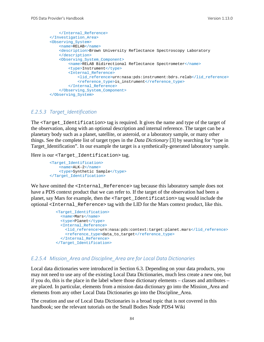```
 </Internal_Reference>
 </Investigation_Area>
 <Observing_System>
    <name>RELAB</name>
     <description>Brown University Reflectance Spectroscopy Laboratory
     </description>
     <Observing_System_Component>
         <name>RELAB Bidirectional Reflectance Spectrometer</name>
         <type>Instrument</type>
         <Internal_Reference>
             <lid_reference>urn:nasa:pds:instrument:bdrs.relab</lid_reference>
            <reference_type>is_instrument</reference_type>
        </Internal_Reference>
     </Observing_System_Component>
 </Observing_System>
```
#### *E.2.5.3 Target\_Identification*

The <Target\_Identification> tag is required. It gives the name and type of the target of the observation, along with an optional description and internal reference. The target can be a planetary body such as a planet, satellite, or asteroid, or a laboratory sample, or many other things. See the complete list of target types in the *Data Dictionary* [3] by searching for "type in Target\_Identification". In our example the target is a synthetically-generated laboratory sample.

Here is our <Target\_Identification> tag.

```
 <Target_Identification>
    <name>ALK-2</name>
     <type>Synthetic Sample</type>
 </Target_Identification>
```
We have omitted the <Internal\_Reference> tag because this laboratory sample does not have a PDS context product that we can refer to. If the target of the observation had been a planet, say Mars for example, then the <Target\_Identification> tag would include the optional <Internal\_Reference> tag with the LID for the Mars context product, like this.

```
 <Target_Identification>
   <name>Mars</name>
   <type>Planet</type>
   <Internal_Reference>
    <lid_reference>urn:nasa:pds:context:target:planet.mars</lid_reference>
    <reference_type>data_to_target</reference_type>
   </Internal_Reference>
 </Target_Identification>
```
#### *E.2.5.4 Mission\_Area and Discipline\_Area are for Local Data Dictionaries*

Local data dictionaries were introduced in Section 6.3. Depending on your data products, you may not need to use any of the existing Local Data Dictionaries, much less create a new one, but if you do, this is the place in the label where those dictionary elements – classes and attributes – are placed. In particular, elements from a mission data dictionary go into the Mission\_Area and elements from any other Local Data Dictionaries go into the Discipline\_Area.

The creation and use of Local Data Dictionaries is a broad topic that is not covered in this handbook; see the relevant tutorials on the Small Bodies Node PDS4 Wiki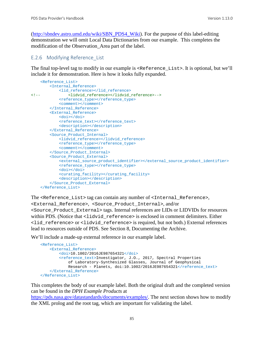[\(http://sbndev.astro.umd.edu/wiki/SBN\\_PDS4\\_Wiki\)](http://sbndev.astro.umd.edu/wiki/SBN_PDS4_Wiki). For the purpose of this label-editing demonstration we will omit Local Data Dictionaries from our example. This completes the modification of the Observation\_Area part of the label.

#### E.2.6 Modifying Reference\_List

The final top-level tag to modify in our example is <Reference\_List>. It is optional, but we'll include it for demonstration. Here is how it looks fully expanded.

```
 <Reference_List>
         <Internal_Reference>
<lid_reference></lid_reference>>>>>>><lidyid
                <!-- <lidvid_reference></lidvid_reference>-->
             <reference_type></reference_type>
             <comment></comment>
         </Internal_Reference>
         <External_Reference>
             <doi></doi>
            <reference_text></reference_text>
             <description></description>
         </External_Reference>
         <Source_Product_Internal>
             <lidvid_reference></lidvid_reference>
            <reference_type></reference_type>
             <comment></comment>
         </Source_Product_Internal>
         <Source_Product_External>
             <external_source_product_identifier></external_source_product_identifier>
            <reference_type></reference_type>
             <doi></doi>
             <curating_facility></curating_facility>
             <description></description>
         </Source_Product_External>
     </Reference_List>
```
The <Reference List> tag can contain any number of <Internal Reference>, <External\_Reference>, <Source\_Product\_Internal>, and/or <Source\_Product\_External> tags. Internal references are LIDs or LIDVIDs for resources within PDS. (Notice that <lidvid\_reference> is enclosed in comment delimiters. Either <lid\_reference> or <lidvid\_reference> is required, but not both.) External references lead to resources outside of PDS. See Section 8, Documenting the Archive.

We'll include a made-up external reference in our example label.

```
 <Reference_List>
    <External_Reference>
         <doi>10.1002/2016JE987654321</doi>
         <reference_text>Investigator, J.O., 2017, Spectral Properties 
             of Laboratory-Synthesized Glasses, Journal of Geophysical 
            Research - Planets, doi:10.1002/2016JE987654321</reference_text>
     </External_Reference>
 </Reference_List>
```
This completes the body of our example label. Both the original draft and the completed version can be found in the *DPH Example Products* at

[https://pds.nasa.gov/datastandards/documents/examples/.](https://pds.nasa.gov/datastandards/documents/examples/) The next section shows how to modify the XML prolog and the root tag, which are important for validating the label.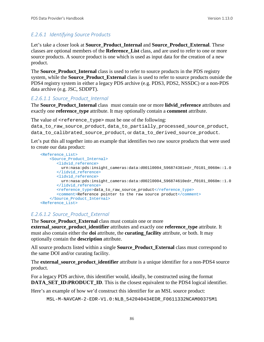## *E.2.6.1 Identifying Source Products*

Let's take a closer look at **Source\_Product\_Internal** and **Source\_Product\_External**. These classes are optional members of the **Reference\_List** class, and are used to refer to one or more source products. A source product is one which is used as input data for the creation of a new product.

The **Source\_Product\_Internal** class is used to refer to source products in the PDS registry system, while the **Source Product External** class is used to refer to source products outside the PDS4 registry system in either a legacy PDS archive (e.g. PDS3, PDS2, NSSDC) or a non-PDS data archive (e.g. JSC, SDDPT).

## *E.2.6.1.1 Source\_Product\_Internal*

The **Source\_Product\_Internal** class must contain one or more **lidvid\_reference** attributes and exactly one **reference\_type** attribute. It may optionally contain a **comment** attribute.

The value of  $\leq$  reference\_type> must be one of the following:

data to raw source product, data to partially processed source product, data\_to\_calibrated\_source\_product, or data\_to\_derived\_source\_product.

Let's put this all together into an example that identifies two raw source products that were used to create our data product:

```
 <Reference_List>
    <Source_Product_Internal>
       <lidvid_reference>
         urn:nasa:pds:insight_cameras:data:d001l0004_596874381edr_f0101_0060m::1.0
       </lidvid_reference>
       <lidvid_reference>
         urn:nasa:pds:insight_cameras:data:d002l0004_596874610edr_f0101_0060m::1.0
       </lidvid_reference>
      <reference_type>data_to_raw_source_product</reference_type>
       <comment>Reference pointer to the raw source product</comment>
    </Source_Product_Internal>
 <Reference_List>
```
## *E.2.6.1.2 Source\_Product\_External*

The **Source Product External** class must contain one or more **external source product identifier** attributes and exactly one **reference** type attribute. It must also contain either the **doi** attribute, the **curating\_facility** attribute, or both. It may optionally contain the **description** attribute.

All source products listed within a single **Source\_Product\_External** class must correspond to the same DOI and/or curating facility.

The **external source product identifier** attribute is a unique identifier for a non-PDS4 source product.

For a legacy PDS archive, this identifier would, ideally, be constructed using the format **DATA\_SET\_ID:PRODUCT\_ID.** This is the closest equivalent to the PDS4 logical identifier.

Here's an example of how we'd construct this identifier for an MSL source product:

MSL-M-NAVCAM-2-EDR-V1.0:NLB\_542040434EDR\_F0611332NCAM00375M1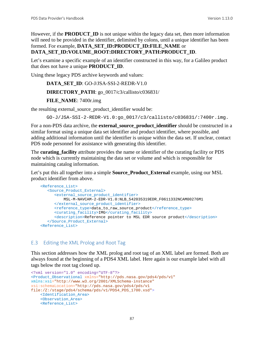However, if the **PRODUCT ID** is not unique within the legacy data set, then more information will need to be provided in the identifier, delimited by colons, until a unique identifier has been formed. For example, **DATA\_SET\_ID:PRODUCT\_ID:FILE\_NAME** or **DATA\_SET\_ID:VOLUME\_ROOT:DIRECTORY\_PATH:PRODUCT\_ID**.

Let's examine a specific example of an identifier constructed in this way, for a Galileo product that does not have a unique **PRODUCT\_ID**.

Using these legacy PDS archive keywords and values:

**DATA\_SET\_ID**: GO-J/JSA-SSI-2-REDR-V1.0

**DIRECTORY\_PATH**: go\_0017/c3/callisto/c036831/

**FILE\_NAME**: 7400r.img

the resulting external\_source\_product\_identifier would be:

GO-J/JSA-SSI-2-REDR-V1.0:qo  $0017/c3/callisto/c036831/:7400r.img.$ 

For a non-PDS data archive, the **external\_source\_product\_identifier** should be constructed in a similar format using a unique data set identifier and product identifier, where possible, and adding additional information until the identifier is unique within the data set. If unclear, contact PDS node personnel for assistance with generating this identifier.

The **curating facility** attribute provides the name or identifier of the curating facility or PDS node which is currently maintaining the data set or volume and which is responsible for maintaining catalog information.

Let's put this all together into a simple **Source\_Product\_External** example, using our MSL product identifier from above.

```
 <Reference_List>
    <Source_Product_External>
      <external_source_product_identifier>
          MSL-M-NAVCAM-2-EDR-V1.0:NLB_542035319EDR_F0611332NCAM00276M1
      </external_source_product_identifier>
     <reference_type>data_to_raw_source_product</reference_type>
      <curating_facility>IMG</curating_facility>
      <description>Reference pointer to MSL EDR source product</description>
    </Source_Product_External>
 <Reference_List>
```
## E.3 Editing the XML Prolog and Root Tag

This section addresses how the XML prolog and root tag of an XML label are formed. Both are always found at the beginning of a PDS4 XML label. Here again is our example label with all tags below the root tag closed up.

```
<?xml version="1.0" encoding="UTF-8"?>
<Product_Observational xmlns="http://pds.nasa.gov/pds4/pds/v1"
xmlns:xsi="http://www.w3.org/2001/XMLSchema-instance"
xsi:schemaLocation="http://pds.nasa.gov/pds4/pds/v1 
file:/Z:/stage/pds4/schema/pds/v1/PDS4_PDS_1700.xsd">
     <Identification_Area>
     <Observation_Area>
     <Reference_List>
```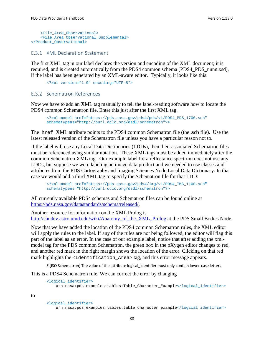```
 <File_Area_Observational>
     <File_Area_Observational_Supplemental>
</Product_Observational>
```
#### E.3.1 XML Declaration Statement

The first XML tag in our label declares the version and encoding of the XML document; it is required, and is created automatically from the PDS4 common schema (PDS4\_PDS\_nnnn.xsd), if the label has been generated by an XML-aware editor. Typically, it looks like this:

```
<?xml version="1.0" encoding="UTF-8">
```
#### E.3.2 Schematron References

Now we have to add an XML tag manually to tell the label-reading software how to locate the PDS4 common Schematron file. Enter this just after the first XML tag.

```
<?xml-model href="https://pds.nasa.gov/pds4/pds/v1/PDS4_PDS_1700.sch"
schematypens="http://purl.oclc.org/dsdl/schematron"?>
```
The href XML attribute points to the PDS4 common Schematron file (the **.sch** file). Use the latest released version of the Schematron file unless you have a particular reason not to.

If the label will use any Local Data Dictionaries (LDDs), then their associated Schematron files must be referenced using similar notation. These XML tags must be added immediately after the common Schematron XML tag. Our example label for a reflectance spectrum does not use any LDDs, but suppose we were labeling an image data product and we needed to use classes and attributes from the PDS Cartography and Imaging Sciences Node Local Data Dictionary. In that case we would add a third XML tag to specify the Schematron file for that LDD:

<?xml-model href="https://pds.nasa.gov/pds4/img/v1/PDS4\_IMG\_1100.sch" schematypens="http://purl.oclc.org/dsdl/schematron"?>

All currently available PDS4 schemas and Schematron files can be found online at [https://pds.nasa.gov/datastandards/schema/released/.](https://pds.nasa.gov/datastandards/schema/released/)

Another resource for information on the XML Prolog is [http://sbndev.astro.umd.edu/wiki/Anatomy\\_of\\_the\\_XML\\_Prolog](http://sbndev.astro.umd.edu/wiki/Anatomy_of_the_XML_Prolog) at the PDS Small Bodies Node.

Now that we have added the location of the PDS4 common Schematron rules, the XML editor will apply the rules to the label. If any of the rules are not being followed, the editor will flag this part of the label as an error. In the case of our example label, notice that after adding the xmlmodel tag for the PDS common Schematron, the green box in the oXygen editor changes to red, and another red mark in the right margin shows the location of the error. Clicking on that red mark highlights the <Identification Area> tag, and this error message appears.

E [ISO Schematron] The value of the attribute logical\_identifier must only contain lower-case letters

This is a PDS4 Schematron rule. We can correct the error by changing

```
<logical_identifier>
   urn:nasa:pds:examples:tables:Table Character Example</logical identifier>
```

```
to
```

```
<logical_identifier>
```
urn:nasa:pds:examples:tables:table\_character\_example</logical\_identifier>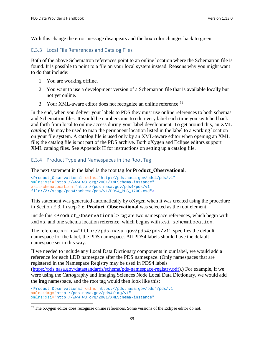With this change the error message disappears and the box color changes back to green.

## E.3.3 Local File References and Catalog Files

Both of the above Schematron references point to an online location where the Schematron file is found. It is possible to point to a file on your local system instead. Reasons why you might want to do that include:

- 1. You are working offline.
- 2. You want to use a development version of a Schematron file that is available locally but not yet online.
- 3. Your XML-aware editor does not recognize an online reference.[12](#page-95-0)

In the end, when you deliver your labels to PDS they must use online references to both schemas and Schematron files. It would be cumbersome to edit every label each time you switched back and forth from local to online access during your label development. To get around this, an XML *catalog file* may be used to map the permanent location listed in the label to a working location on your file system. A catalog file is used only by an XML-aware editor when opening an XML file; the catalog file is not part of the PDS archive. Both oXygen and Eclipse editors support XML catalog files. See Appendix H for instructions on setting up a catalog file.

## E.3.4 Product Type and Namespaces in the Root Tag

The next statement in the label is the root tag for **Product\_Observational**.

```
<Product_Observational xmlns="http://pds.nasa.gov/pds4/pds/v1"
xmlns:xsi="http://www.w3.org/2001/XMLSchema-instance"
xsi:schemaLocation="http://pds.nasa.gov/pds4/pds/v1 
file:/Z:/stage/pds4/schema/pds/v1/PDS4_PDS_1700.xsd">
```
This statement was generated automatically by oXygen when it was created using the procedure in Section E.3. In step 2.e, **Product\_Observational** was selected as the root element.

Inside this <Product\_Observational> tag are two namespace references, which begin with xmlns, and one schema location reference, which begins with xsi:schemaLocation.

The reference xmlns="http://pds.nasa.gov/pds4/pds/v1" specifies the default namespace for the label, the PDS namespace. All PDS4 labels should have the default namespace set in this way.

If we needed to include any Local Data Dictionary components in our label, we would add a reference for each LDD namespace after the PDS namespace. (Only namespaces that are registered in the Namespace Registry may be used in PDS4 labels [\(https://pds.nasa.gov/datastandards/schema/pds-namespace-registry.pdf\)](https://pds.nasa.gov/datastandards/schema/pds-namespace-registry.pdf).) For example, if we were using the Cartography and Imaging Sciences Node Local Data Dictionary, we would add the **img** namespace, and the root tag would then look like this:

```
<Product_Observational xmlns=https://pds.nasa.gov/pds4/pds/v1
xmlns:img="http://pds.nasa.gov/pds4/img/v1"
xmlns:xsi="http://www.w3.org/2001/XMLSchema-instance"
```
<span id="page-95-0"></span><sup>&</sup>lt;sup>12</sup> The oXygen editor does recognize online references. Some versions of the Eclipse editor do not.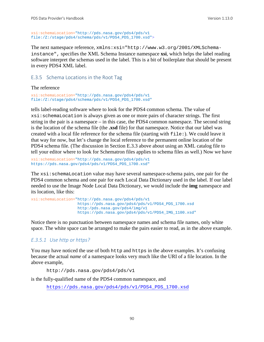xsi:schemaLocation="http://pds.nasa.gov/pds4/pds/v1 file:/Z:/stage/pds4/schema/pds/v1/PDS4\_PDS\_1700.xsd">

The next namespace reference, xmlns:xsi="http://www.w3.org/2001/XMLSchemainstance", specifies the XML Schema Instance namespace **xsi**, which helps the label reading software interpret the schemas used in the label. This is a bit of boilerplate that should be present in every PDS4 XML label.

#### E.3.5 Schema Locations in the Root Tag

The reference

```
xsi:schemaLocation="http://pds.nasa.gov/pds4/pds/v1 
file:/Z:/stage/pds4/schema/pds/v1/PDS4_PDS_1700.xsd"
```
tells label-reading software where to look for the PDS4 common schema. The value of xsi:schemaLocation is always given as one or more pairs of character strings. The first string in the pair is a namespace – in this case, the PDS4 common namespace. The second string is the location of the schema file (the **.xsd** file) for that namespace. Notice that our label was created with a local file reference for the schema file (starting with file:). We could leave it that way for now, but let's change the local reference to the permanent online location of the PDS4 schema file. (The discussion in Section E.3.3 above about using an XML catalog file to tell your editor where to look for Schematron files applies to schema files as well.) Now we have

xsi:schemaLocation="http://pds.nasa.gov/pds4/pds/v1 https://pds.nasa.gov/pds4/pds/v1/PDS4\_PDS\_1700.xsd"

The xsi: schemaLocation value may have several namespace-schema pairs, one pair for the PDS4 common schema and one pair for each Local Data Dictionary used in the label. If our label needed to use the Image Node Local Data Dictionary, we would include the **img** namespace and its location, like this:

```
xsi:schemaLocation="http://pds.nasa.gov/pds4/pds/v1
                    https://pds.nasa.gov/pds4/pds/v1/PDS4_PDS_1700.xsd
                    http:/pds.nasa.gov/pds4/img/v1
                    https://pds.nasa.gov/pds4/pds/v1/PDS4_IMG_1100.xsd"
```
Notice there is no punctuation between namespace names and schema file names, only white space. The white space can be arranged to make the pairs easier to read, as in the above example.

## *E.3.5.1 Use http or https?*

You may have noticed the use of both http and https in the above examples. It's confusing because the actual *name* of a namespace looks very much like the URI of a file location. In the above example,

```
http://pds.nasa.gov/pds4/pds/v1
```
is the fully-qualified name of the PDS4 common namespace, and

[https://pds.nasa.gov/pds4/pds/v1/PDS4\\_PDS\\_1700.xsd](https://pds.nasa.gov/pds4/pds/v1/PDS4_PDS_1700.xsd)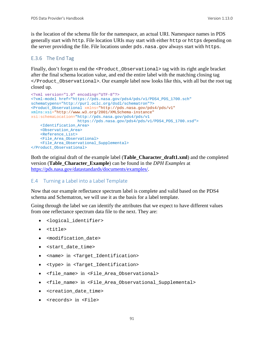is the location of the schema file for the namespace, an actual URI. Namespace names in PDS generally start with http. File location URIs may start with either http or https depending on the server providing the file. File locations under pds.nasa.gov always start with https.

## E.3.6 The End Tag

Finally, don't forget to end the <Product\_Observational> tag with its right angle bracket after the final schema location value, and end the entire label with the matching closing tag </Product\_Observational>. Our example label now looks like this, with all but the root tag closed up.

```
<?xml version="1.0" encoding="UTF-8"?>
<?xml-model href="https://pds.nasa.gov/pds4/pds/v1/PDS4_PDS_1700.sch"
schematypens="http://purl.oclc.org/dsdl/schematron"?>
<Product_Observational xmlns="http://pds.nasa.gov/pds4/pds/v1"
xmlns:xsi="http://www.w3.org/2001/XMLSchema-instance"
xsi:schemaLocation="http://pds.nasa.gov/pds4/pds/v1
                    https://pds.nasa.gov/pds4/pds/v1/PDS4_PDS_1700.xsd">
     <Identification_Area>
     <Observation_Area>
     <Reference_List>
     <File_Area_Observational>
     <File_Area_Observational_Supplemental>
</Product_Observational>
```
Both the original draft of the example label (**Table\_Character\_draft1.xml**) and the completed version (**Table\_Character\_Example**) can be found in the *DPH Examples* at [https://pds.nasa.gov/datastandards/documents/examples/.](https://pds.nasa.gov/datastandards/documents/examples/)

## E.4 Turning a Label into a Label Template

Now that our example reflectance spectrum label is complete and valid based on the PDS4 schema and Schematron, we will use it as the basis for a label template.

Going through the label we can identify the attributes that we expect to have different values from one reflectance spectrum data file to the next. They are:

- <logical\_identifier>
- <title>
- <modification date>
- <start\_date\_time>
- <name> in <Target Identification>
- <type> in <Target\_Identification>
- <file\_name> in <File\_Area\_Observational>
- <file\_name> in <File\_Area\_Observational\_Supplemental>
- <creation\_date\_time>
- <records> in <File>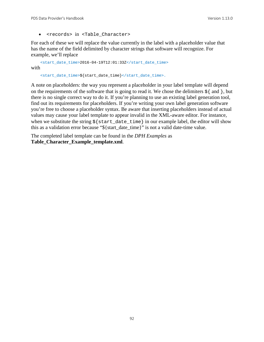• <records> in <Table\_Character>

For each of these we will replace the value currently in the label with a placeholder value that has the name of the field delimited by character strings that software will recognize. For example, we'll replace

```
<start_date_time>2016-04-19T12:01:33Z</start_date_time>
with
```
<start\_date\_time>\${start\_date\_time}</start\_date\_time>.

A note on placeholders: the way you represent a placeholder in your label template will depend on the requirements of the software that is going to read it. We chose the delimiters  $\frac{1}{2}$  and  $\}$ , but there is no single correct way to do it. If you're planning to use an existing label generation tool, find out its requirements for placeholders. If you're writing your own label generation software you're free to choose a placeholder syntax. Be aware that inserting placeholders instead of actual values may cause your label template to appear invalid in the XML-aware editor. For instance, when we substitute the string  $\frac{1}{5}$  start date time in our example label, the editor will show this as a validation error because "\${start\_date\_time}" is not a valid date-time value.

The completed label template can be found in the *DPH Examples* as **Table\_Character\_Example\_template.xml**.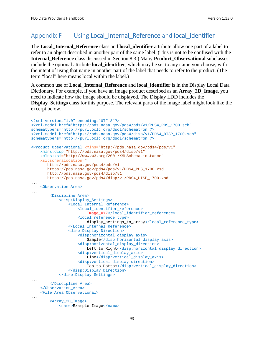# Appendix F Using Local Internal Reference and local identifier

The **Local\_Internal\_Reference** class and **local\_identifier** attribute allow one part of a label to refer to an object described in another part of the same label. (This is not to be confused with the **Internal\_Reference** class discussed in Section 8.3.) Many **Product\_Observational** subclasses include the optional attribute **local\_identifier**, which may be set to any name you choose, with the intent of using that name in another part of the label that needs to refer to the product. (The term "local" here means local within the label.)

A common use of **Local\_Internal\_Reference** and **local\_identifier** is in the Display Local Data Dictionary. For example, if you have an image product described as an **Array\_2D\_Image**, you need to indicate how the image should be displayed. The Display LDD includes the **Display\_Settings** class for this purpose. The relevant parts of the image label might look like the excerpt below.

```
<?xml version="1.0" encoding="UTF-8"?> 
<?xml-model href="https://pds.nasa.gov/pds4/pds/v1/PDS4_PDS_1700.sch" 
schematypens="http://purl.oclc.org/dsdl/schematron"?>
<?xml-model href="https://pds.nasa.gov/pds4/disp/v1/PDS4_DISP_1700.sch" 
schematypens="http://purl.oclc.org/dsdl/schematron"?>
<Product_Observational xmlns="http://pds.nasa.gov/pds4/pds/v1"
     xmlns:disp="http://pds.nasa.gov/pds4/disp/v1"
    xmlns:xsi="http://www.w3.org/2001/XMLSchema-instance"
    xsi:schemaLocation="
       http://pds.nasa.gov/pds4/pds/v1 
       https://pds.nasa.gov/pds4/pds/v1/PDS4_PDS_1700.xsd
        http://pds.nasa.gov/pds4/disp/v1
       https://pds.nasa.gov/pds4/disp/v1/PDS4_DISP_1700.xsd
...
     <Observation_Area>
...
         <Discipline_Area>
             <disp:Display_Settings>
                 <Local_Internal_Reference>
                     <local_identifier_reference>
                         Image_XYZ</local_identifier_reference>
                     <local_reference_type>
                         display_settings_to_array</local_reference_type>
                 </Local_Internal_Reference>
                 <disp:Display_Direction>
                      <disp:horizontal_display_axis>
                          Sample</disp:horizontal_display_axis>
                      <disp:horizontal_display_direction>
                        Left to Right</disp:horizontal_display_direction>
                      <disp:vertical_display_axis>
                         Line</disp:vertical_display_axis>
                     <disp:vertical_display_direction>
                         Top to Bottom</disp:vertical_display_direction>
                 </disp:Display_Direction>
             </disp:Display_Settings>
...
         </Discipline_Area>
    </Observation_Area>
     <File_Area_Observational>
...
         <Array_2D_Image>
             <name>Example Image</name>
```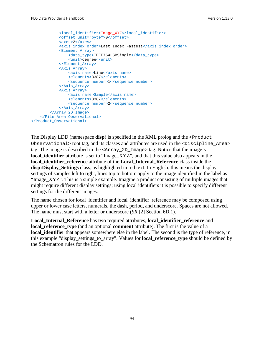```
 <local_identifier>Image_XYZ</local_identifier>
             <offset unit="byte">0</offset>
             <axes>2</axes>
            <axis_index_order>Last Index Fastest</axis_index_order>
             <Element_Array>
                 <data_type>IEEE754LSBSingle</data_type>
                 <unit>degree</unit>
             </Element_Array>
             <Axis_Array>
                 <axis_name>Line</axis_name>
                 <elements>3387</elements>
                 <sequence_number>1</sequence_number>
             </Axis_Array>
             <Axis_Array>
                 <axis_name>Sample</axis_name>
                 <elements>3387</elements>
                 <sequence_number>2</sequence_number>
             </Axis_Array>
         </Array_2D_Image>
     </File_Area_Observational>
</Product_Observational>
```
The Display LDD (namespace **disp**) is specified in the XML prolog and the <Product Observational> root tag, and its classes and attributes are used in the <Discipline\_Area> tag. The image is described in the <Array\_2D\_Image> tag. Notice that the image's **local identifier** attribute is set to "Image XYZ", and that this value also appears in the **local identifier reference** attribute of the **Local Internal Reference** class inside the **disp:Display\_Settings** class, as highlighted in red text. In English, this means the display settings of samples left to right, lines top to bottom apply to the image identified in the label as "Image\_XYZ". This is a simple example. Imagine a product consisting of multiple images that might require different display settings; using local identifiers it is possible to specify different settings for the different images.

The name chosen for local\_identifier and local\_identifier\_reference may be composed using upper or lower case letters, numerals, the dash, period, and underscore. Spaces are not allowed. The name must start with a letter or underscore (*SR* [2] Section 6D.1).

**Local\_Internal\_Reference** has two required attributes, **local\_identifier\_reference** and **local reference type** (and an optional **comment** attribute). The first is the value of a **local\_identifier** that appears somewhere else in the label. The second is the type of reference, in this example "display\_settings\_to\_array". Values for **local\_reference\_type** should be defined by the Schematron rules for the LDD.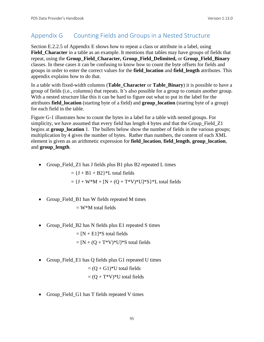# Appendix G Counting Fields and Groups in a Nested Structure

Section E.2.2.5 of Appendix E shows how to repeat a class or attribute in a label, using **Field\_Character** in a table as an example. It mentions that tables may have groups of fields that repeat, using the **Group\_Field\_Character, Group\_Field\_Delimited,** or **Group\_Field\_Binary** classes. In these cases it can be confusing to know how to count the byte offsets for fields and groups in order to enter the correct values for the **field\_location** and **field\_length** attributes. This appendix explains how to do that.

In a table with fixed-width columns (**Table\_Character** or **Table\_Binary**) it is possible to have a group of fields (i.e., columns) that repeats. It's also possible for a group to contain another group. With a nested structure like this it can be hard to figure out what to put in the label for the attributes **field\_location** (starting byte of a field) and **group\_location** (starting byte of a group) for each field in the table.

Figure G-1 illustrates how to count the bytes in a label for a table with nested groups. For simplicity, we have assumed that every field has length 4 bytes and that the Group\_Field\_Z1 begins at **group** location 1. The bullets below show the number of fields in the various groups; multiplication by 4 gives the number of bytes. Rather than numbers, the content of each XML element is given as an arithmetic expression for **field\_location**, **field\_length**, **group\_location**, and **group\_length**.

• Group\_Field\_Z1 has J fields plus B1 plus B2 repeated L times

 $= {J + B1 + B2}$ <sup>\*</sup>L total fields

 $= {J + W^*M + [N + (Q + T^*V)^*U]^*S}^*L$  total fields

• Group\_Field\_B1 has W fields repeated M times

 $=$  W<sup>\*</sup>M total fields

• Group\_Field\_B2 has N fields plus E1 repeated S times

 $=[N + E1]$ <sup>\*</sup>S total fields  $=[N + (Q + T^*V)^*U]^*S$  total fields

• Group\_Field\_E1 has Q fields plus G1 repeated U times

$$
= (Q + G1)^*U \text{ total fields}
$$

- $= (Q + T^*V)^*U$  total fields
- Group\_Field\_G1 has T fields repeated V times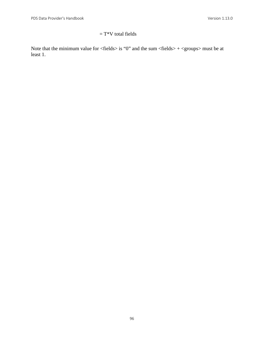# $= T^*V$  total fields

Note that the minimum value for  $\langle$  fields $\rangle$  is "0" and the sum  $\langle$  fields $\rangle$  +  $\langle$  groups $\rangle$  must be at least 1.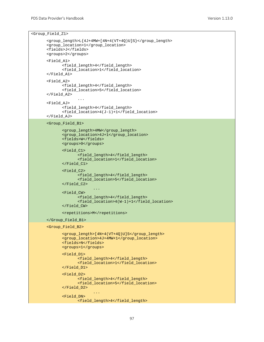<Group\_Field\_Z1>

```
<group_length>L{4J+4MW+[4N+4(VT+4Q)U]S}</group_length>
<group_location>1</group_location>
<fields>J</fields>
<groups>2</groups>
<Field_A1>
       <field_length>4</field_length>
       <field_location>1</field_location>
</Field_A1>
<Field_A2>
       <field_length>4</field_length>
       <field_location>5</field_location>
</Field_A2>
              ...
<Field_AJ>
       <field_length>4</field_length>
       <field_location>4(J-1)+1</field_location>
</Field_AJ>
<Group_Field_B1>
       <group_length>4MW</group_length>
       <group_location>4J+1</group_location>
       <fields>W</fields>
      <groups>0</groups>
      <Field_C1>
             <field_length>4</field_length>
             <field_location>1</field_location>
       </Field_C1>
       <Field_C2>
             <field_length>4</field_length>
             <field_location>5</field_location>
       </Field_C2>
                    ...
       <Field_CW>
             <field_length>4</field_length>
             <field_location>4(W-1)+1</field_location>
       </Field_CW>
       <repetitions>M</repetitions>
</Group_Field_B1>
<Group_Field_B2>
       <group_length>[4N+4(VT+4Q)U]S</group_length>
       <group_location>4J+4MW+1</group_location>
      <fields>N</fields>
      <groups>1</groups>
       <Field_D1>
             <field_length>4</field_length>
             <field_location>1</field_location>
       </Field_D1>
      <Field_D2>
             <field_length>4</field_length>
             <field_location>5</field_location>
      </Field_D2>
                    ...
```

```
<Field_DN>
      <field_length>4</field_length>
```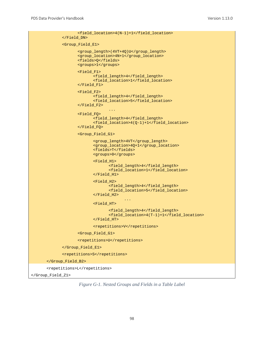```
<field_location>4(N-1)+1</field_location>
             </Field_DN>
             <Group_Field_E1>
                    <group_length>(4VT+4Q)U</group_length>
                    <group_location>4N+1</group_location>
                    <fields>Q</fields>
                    <groups>1</groups>
                    <Field_F1>
                           <field_length>4</field_length>
                           <field_location>1</field_location>
                    </Field_F1>
                    <Field_F2>
                           <field_length>4</field_length>
                           <field_location>5</field_location>
                    </Field_F2>
                                  ...
                    <Field_FQ>
                           <field_length>4</field_length>
                           <field_location>4(Q-1)+1</field_location>
                    </Field_FQ>
                    <Group_Field_G1>
                           <group_length>4VT</group_length>
                           <group_location>4Q+1</group_location>
                           <fields>T</fields>
                           <groups>0</groups>
                           <Field_H1>
                                  <field_length>4</field_length>
                                  <field_location>1</field_location>
                           </Field_H1>
                           <Field_H2>
                                  <field_length>4</field_length>
                                  <field_location>5</field_location>
                           </Field_H2>
                                         ...
                           <Field_HT>
                                  <field_length>4</field_length>
                                  <field_location>4(T-1)+1</field_location>
                           </Field_HT>
                           <repetitions>V</repetitions>
                    <Group_Field_G1>
                    <repetitions>U</repetitions>
             </Group_Field_E1>
             <repetitions>S</repetitions>
      </Group_Field_B2>
      <repetitions>L</repetitions>
</Group_Field_Z1>
```
*Figure G-1. Nested Groups and Fields in a Table Label*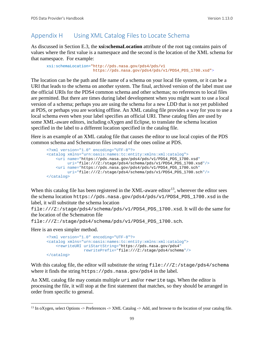# Appendix H Using XML Catalog Files to Locate Schema

As discussed in Section E.3, the **xsi:schemaLocation** attribute of the root tag contains pairs of values where the first value is a namespace and the second is the location of the XML schema for that namespace. For example:

```
xsi:schemaLocation="http://pds.nasa.gov/pds4/pds/v1 
                     https://pds.nasa.gov/pds4/pds/v1/PDS4_PDS_1700.xsd">
```
The location can be the path and file name of a schema on your local file system, or it can be a URI that leads to the schema on another system. The final, archived version of the label must use the official URIs for the PDS4 common schema and other schemas; no references to local files are permitted. But there are times during label development when you might want to use a local version of a schema; perhaps you are using the schema for a new LDD that is not yet published at PDS, or perhaps you are working offline. An XML catalog file provides a way for you to use a local schema even when your label specifies an official URI. These catalog files are used by some XML-aware editors, including oXygen and Eclipse, to translate the schema location specified in the label to a different location specified in the catalog file.

Here is an example of an XML catalog file that causes the editor to use local copies of the PDS common schema and Schematron files instead of the ones online at PDS.

```
<?xml version="1.0" encoding="UTF-8"?>
<catalog xmlns="urn:oasis:names:tc:entity:xmlns:xml:catalog">
    <uri name="https://pds.nasa.gov/pds4/pds/v1/PDS4_PDS_1700.xsd"
         uri="file:///Z:/stage/pds4/schema/pds/v1/PDS4_PDS_1700.xsd"/>
    <uri name="https://pds.nasa.gov/pds4/pds/v1/PDS4_PDS_1700.sch"
         uri="file:///Z:/stage/pds4/schema/pds/v1/PDS4_PDS_1700.sch"/>
</catalog>
```
When this catalog file has been registered in the XML-aware editor<sup>13</sup>, wherever the editor sees the schema location https://pds.nasa.gov/pds4/pds/v1/PDS4\_PDS\_1700.xsd in the label, it will substitute the schema location

file:///Z:/stage/pds4/schema/pds/v1/PDS4\_PDS\_1700.xsd. It will do the same for the location of the Schematron file

```
file:///Z:/stage/pds4/schema/pds/v1/PDS4_PDS_1700.sch.
```
Here is an even simpler method.

```
<?xml version="1.0" encoding="UTF-8"?>
<catalog xmlns="urn:oasis:names:tc:entity:xmlns:xml:catalog">
    <rewriteURI uriStartString="https://pds.nasa.gov/pds4" 
                rewritePrefix="file:///Z:/stage/pds4/schema"/>
</catalog>
```
With this catalog file, the editor will substitute the string file:///Z:/stage/pds4/schema where it finds the string https://pds.nasa.gov/pds4 in the label.

An XML catalog file may contain multiple uri and/or rewrite tags. When the editor is processing the file, it will stop at the first statement that matches, so they should be arranged in order from specific to general.

<span id="page-105-0"></span> $13$  In oXygen, select Options -> Preferences -> XML Catalog -> Add, and browse to the location of your catalog file.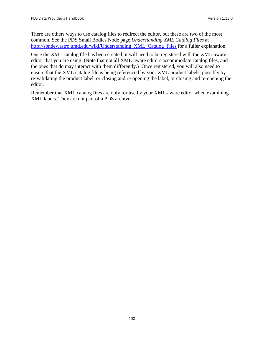There are others ways to use catalog files to redirect the editor, but these are two of the most common. See the PDS Small Bodies Node page *Understanding XML Catalog Files* at [http://sbndev.astro.umd.edu/wiki/Understanding\\_XML\\_Catalog\\_Files](http://sbndev.astro.umd.edu/wiki/Understanding_XML_Catalog_Files) for a fuller explanation.

Once the XML catalog file has been created, it will need to be registered with the XML-aware editor that you are using. (Note that not all XML-aware editors accommodate catalog files, and the ones that do may interact with them differently.) Once registered, you will also need to ensure that the XML catalog file is being referenced by your XML product labels, possibly by re-validating the product label, or closing and re-opening the label, or closing and re-opening the editor.

Remember that XML catalog files are only for use by your XML-aware editor when examining XML labels. They are not part of a PDS archive.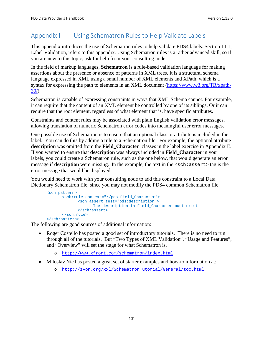# Appendix I Using Schematron Rules to Help Validate Labels

This appendix introduces the use of Schematron rules to help validate PDS4 labels. Section 11.1, Label Validation, refers to this appendix. Using Schematron rules is a rather advanced skill, so if you are new to this topic, ask for help from your consulting node.

In the field of markup languages, **Schematron** is a rule-based validation language for making assertions about the presence or absence of patterns in XML trees. It is a structural schema language expressed in XML using a small number of XML elements and XPath, which is a syntax for expressing the path to elements in an XML document [\(https://www.w3.org/TR/xpath-](https://www.w3.org/TR/xpath-30/) $30/$ ).

Schematron is capable of expressing constraints in ways that XML Schema cannot. For example, it can require that the content of an XML element be controlled by one of its siblings. Or it can require that the root element, regardless of what element that is, have specific attributes.

Constraints and content rules may be associated with plain English validation error messages, allowing translation of numeric Schematron error codes into meaningful user error messages.

One possible use of Schematron is to ensure that an optional class or attribute is included in the label. You can do this by adding a rule to a Schematron file. For example, the optional attribute **description** was omitted from the **Field\_Character** classes in the label exercise in Appendix E. If you wanted to ensure that **description** was always included in **Field\_Character** in your labels, you could create a Schematron rule, such as the one below, that would generate an error message if **description** were missing. In the example, the text in the  $\le$ sch:assert> tag is the error message that would be displayed.

You would need to work with your consulting node to add this constraint to a Local Data Dictionary Schematron file, since you may not modify the PDS4 common Schematron file.

```
<sch:pattern>
      <sch:rule context="//pds:Field_Character">
             <sch:assert test="pds:description">
                   The description in Field_Character must exist.
            </sch:assert>
      </sch:rule>
</sch:pattern>
```
The following are good sources of additional information:

- Roger Costello has posted a good set of introductory tutorials. There is no need to run through all of the tutorials. But "Two Types of XML Validation", "Usage and Features", and "Overview" will set the stage for what Schematron is.
	- o <http://www.xfront.com/schematron/index.html>
- Miloslav Nic has posted a great set of starter examples and how-to information at:
	- o <http://zvon.org/xxl/SchematronTutorial/General/toc.html>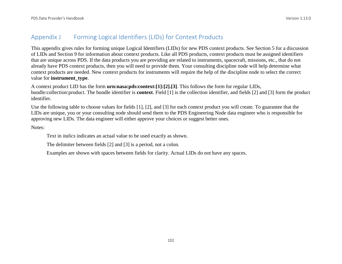## Appendix J Forming Logical Identifiers (LIDs) for Context Products

This appendix gives rules for forming unique Logical Identifiers (LIDs) for new PDS context products. See Section 5 for a discussion of LIDs and Section 9 for information about context products. Like all PDS products, context products must be assigned identifiers that are unique across PDS. If the data products you are providing are related to instruments, spacecraft, missions, etc., that do not already have PDS context products, then you will need to provide them. Your consulting discipline node will help determine what context products are needed. New context products for instruments will require the help of the discipline node to select the correct value for **instrument\_type**.

A context product LID has the form **urn:nasa:pds:context:[1]:[2].[3]**. This follows the form for regular LIDs, bundle:collection:product. The bundle identifier is **context**. Field [1] is the collection identifier, and fields [2] and [3] form the product identifier.

Use the following table to choose values for fields [1], [2], and [3] for each context product you will create. To guarantee that the LIDs are unique, you or your consulting node should send them to the PDS Engineering Node data engineer who is responsible for approving new LIDs. The data engineer will either approve your choices or suggest better ones.

Notes:

Text in *italics* indicates an actual value to be used exactly as shown.

The delimiter between fields [2] and [3] is a period, not a colon.

Examples are shown with spaces between fields for clarity. Actual LIDs do not have any spaces.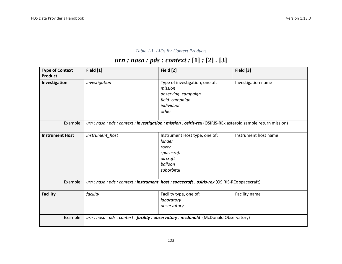## *Table J-1. LIDs for Context Products*

# *urn : nasa : pds : context :* **[1]** *:* **[2]** *.* **[3]**

| <b>Type of Context</b><br><b>Product</b> | Field [1]       | Field [2]                                                                                                     | Field [3]            |
|------------------------------------------|-----------------|---------------------------------------------------------------------------------------------------------------|----------------------|
| Investigation                            | investigation   | Type of investigation, one of:<br>mission<br>observing_campaign<br>field_campaign<br>individual<br>other      | Investigation name   |
| Example:                                 |                 | urn : nasa : pds : context : investigation : mission . osiris-rex (OSIRIS-REx asteroid sample return mission) |                      |
| <b>Instrument Host</b>                   | instrument_host | Instrument Host type, one of:<br>lander<br>rover<br>spacecraft<br>aircraft<br>balloon<br>suborbital           | Instrument host name |
| Example:                                 |                 | urn : nasa : pds : context : instrument_host : spacecraft . osiris-rex (OSIRIS-REx spacecraft)                |                      |
| <b>Facility</b>                          | facility        | Facility type, one of:<br>laboratory<br>observatory                                                           | Facility name        |
| Example:                                 |                 | urn : nasa : pds : context : facility : observatory . mcdonald (McDonald Observatory)                         |                      |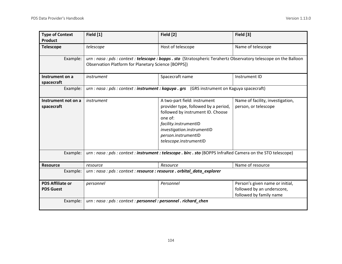| <b>Type of Context</b><br><b>Product</b>    | Field [1]                                                                                                                                                                 | Field [2]                                                                                                                                                                                                                    | Field [3]                                                                                |  |  |
|---------------------------------------------|---------------------------------------------------------------------------------------------------------------------------------------------------------------------------|------------------------------------------------------------------------------------------------------------------------------------------------------------------------------------------------------------------------------|------------------------------------------------------------------------------------------|--|--|
| <b>Telescope</b>                            | telescope                                                                                                                                                                 | Host of telescope                                                                                                                                                                                                            | Name of telescope                                                                        |  |  |
| Example:                                    | urn : nasa : pds : context : telescope : bopps . sto (Stratospheric Terahertz Observatory telescope on the Balloon<br>Observation Platform for Planetary Science [BOPPS]) |                                                                                                                                                                                                                              |                                                                                          |  |  |
| Instrument on a<br>spacecraft               | instrument                                                                                                                                                                | Spacecraft name                                                                                                                                                                                                              | Instrument ID                                                                            |  |  |
| Example:                                    |                                                                                                                                                                           | urn : nasa : pds : context : instrument : kaguya . grs (GRS instrument on Kaguya spacecraft)                                                                                                                                 |                                                                                          |  |  |
| Instrument not on a<br>spacecraft           | instrument                                                                                                                                                                | A two-part field: instrument<br>provider type, followed by a period,<br>followed by instrument ID. Choose<br>one of:<br>facility.instrumentID<br>investigation.instrumentID<br>person.instrumentID<br>telescope.instrumentID | Name of facility, investigation,<br>person, or telescope                                 |  |  |
| Example:                                    |                                                                                                                                                                           | urn : nasa : pds : context : instrument : telescope . birc . sto (BOPPS InfraRed Camera on the STO telescope)                                                                                                                |                                                                                          |  |  |
| <b>Resource</b>                             | resource                                                                                                                                                                  | Resource                                                                                                                                                                                                                     | Name of resource                                                                         |  |  |
| Example:                                    | urn : nasa : pds : context : resource : resource . orbital_data_explorer                                                                                                  |                                                                                                                                                                                                                              |                                                                                          |  |  |
| <b>PDS Affiliate or</b><br><b>PDS Guest</b> | personnel                                                                                                                                                                 | Personnel                                                                                                                                                                                                                    | Person's given name or initial,<br>followed by an underscore,<br>followed by family name |  |  |
| Example:                                    | urn : nasa : pds : context : personnel : personnel . richard_chen                                                                                                         |                                                                                                                                                                                                                              |                                                                                          |  |  |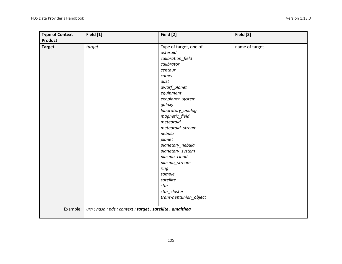| <b>Type of Context</b><br>Product | Field [1]                                                  | Field [2]                                                                                                                                                                                                                                                                                                                                                                                                           | Field [3]      |
|-----------------------------------|------------------------------------------------------------|---------------------------------------------------------------------------------------------------------------------------------------------------------------------------------------------------------------------------------------------------------------------------------------------------------------------------------------------------------------------------------------------------------------------|----------------|
| <b>Target</b>                     | target                                                     | Type of target, one of:<br>asteroid<br>calibration_field<br>calibrator<br>centaur<br>comet<br>dust<br>dwarf_planet<br>equipment<br>exoplanet_system<br>galaxy<br>laboratory_analog<br>magnetic_field<br>meteoroid<br>meteoroid_stream<br>nebula<br>planet<br>planetary_nebula<br>planetary_system<br>plasma_cloud<br>plasma_stream<br>ring<br>sample<br>satellite<br>star<br>star_cluster<br>trans-neptunian_object | name of target |
| Example:                          | urn : nasa : pds : context : target : satellite . amalthea |                                                                                                                                                                                                                                                                                                                                                                                                                     |                |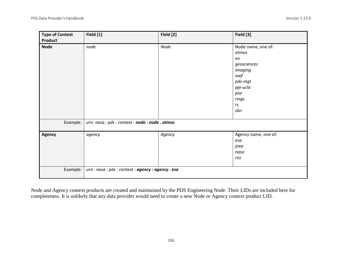| <b>Type of Context</b><br>Product | Field [1]                                          | Field [2] | Field [3]                                                                                                               |
|-----------------------------------|----------------------------------------------------|-----------|-------------------------------------------------------------------------------------------------------------------------|
| <b>Node</b>                       | node                                               | Node      | Node name, one of:<br>atmos<br>en<br>geosciences<br>imaging<br>naif<br>pds-mgt<br>ppi-ucla<br>psa<br>rings<br>rs<br>sbn |
| Example:                          | urn: nasa : pds : context : node : node . atmos    |           |                                                                                                                         |
| Agency                            | agency                                             | Agency    | Agency name, one of:<br>esa<br>jaxa<br>nasa<br>ros                                                                      |
| Example:                          | urn : nasa : pds : context : agency : agency . esa |           |                                                                                                                         |

Node and Agency context products are created and maintained by the PDS Engineering Node. Their LIDs are included here for completeness. It is unlikely that any data provider would need to create a new Node or Agency context product LID.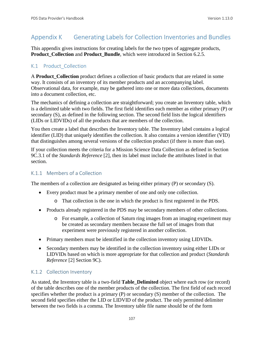## Appendix K Generating Labels for Collection Inventories and Bundles

This appendix gives instructions for creating labels for the two types of aggregate products, **Product Collection** and **Product Bundle**, which were introduced in Section 6.2.5.

## K.1 Product Collection

A **Product Collection** product defines a collection of basic products that are related in some way. It consists of an inventory of its member products and an accompanying label. Observational data, for example, may be gathered into one or more data collections, documents into a document collection, etc.

The mechanics of defining a collection are straightforward; you create an Inventory table, which is a delimited table with two fields. The first field identifies each member as either primary (P) or secondary (S), as defined in the following section. The second field lists the logical identifiers (LIDs or LIDVIDs) of all the products that are members of the collection.

You then create a label that describes the Inventory table. The Inventory label contains a logical identifier (LID) that uniquely identifies the collection. It also contains a version identifier (VID) that distinguishes among several versions of the collection product (if there is more than one).

If your collection meets the criteria for a Mission Science Data Collection as defined in Section 9C.3.1 of the *Standards Reference* [2], then its label must include the attributes listed in that section.

## K.1.1 Members of a Collection

The members of a collection are designated as being either primary (P) or secondary (S).

- Every product must be a primary member of one and only one collection.
	- o That collection is the one in which the product is first registered in the PDS.
- Products already registered in the PDS may be secondary members of other collections.
	- o For example, a collection of Saturn ring images from an imaging experiment may be created as secondary members because the full set of images from that experiment were previously registered in another collection.
- Primary members must be identified in the collection inventory using LIDVIDs.
- Secondary members may be identified in the collection inventory using either LIDs or LIDVIDs based on which is more appropriate for that collection and product (*Standards Reference* [2] Section 9C).

## K.1.2 Collection Inventory

As stated, the Inventory table is a two-field **Table\_Delimited** object where each row (or record) of the table describes one of the member products of the collection. The first field of each record specifies whether the product is a primary (P) or secondary (S) member of the collection. The second field specifies either the LID or LIDVID of the product. The only permitted delimiter between the two fields is a comma. The Inventory table file name should be of the form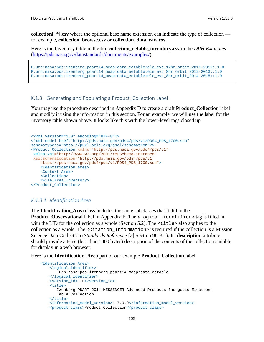**collection**  $*$ **].csv** where the optional base name extension can indicate the type of collection for example, **collection\_browse.csv** or **collection\_data\_raw.csv**.

Here is the Inventory table in the file **collection\_eetable\_inventory.csv** in the *DPH Examples*  [\(https://pds.nasa.gov/datastandards/documents/examples/\)](https://pds.nasa.gov/datastandards/documents/examples/).

```
P,urn:nasa:pds:izenberg_pdart14_meap:data_eetable:ele_evt_12hr_orbit_2011-2012::1.0
P,urn:nasa:pds:izenberg_pdart14_meap:data_eetable:ele_evt_8hr_orbit_2012-2013::1.0
P,urn:nasa:pds:izenberg_pdart14_meap:data_eetable:ele_evt_8hr_orbit_2014-2015::1.0
```
#### K.1.3 Generating and Populating a Product Collection Label

You may use the procedure described in Appendix D to create a draft **Product\_Collection** label and modify it using the information in this section. For an example, we will use the label for the Inventory table shown above. It looks like this with the lower-level tags closed up.

```
<?xml version="1.0" encoding="UTF-8"?>
<?xml-model href="http://pds.nasa.gov/pds4/pds/v1/PDS4_PDS_1700.sch" 
schematypens="http://purl.oclc.org/dsdl/schematron"?>
<Product_Collection xmlns="http://pds.nasa.gov/pds4/pds/v1"
xmlns:xsi="http://www.w3.org/2001/XMLSchema-instance"
xsi:schemaLocation="http://pds.nasa.gov/pds4/pds/v1 
    https://pds.nasa.gov/pds4/pds/v1/PDS4_PDS_1700.xsd">
     <Identification_Area>
     <Context_Area>
     <Collection>
     <File_Area_Inventory>
</Product_Collection>
```
#### *K.1.3.1 Identification Area*

The **Identification\_Area** class includes the same subclasses that it did in the **Product Observational** label in Appendix E. The <logical identifier> tag is filled in with the LID for the collection as a whole (Section 5.2). The  $\lt$ title> also applies to the collection as a whole. The <Citation\_Information> is required if the collection is a Mission Science Data Collection (*Standards Reference* [2] Section 9C.3.1). Its **description** attribute should provide a terse (less than 5000 bytes) description of the contents of the collection suitable for display in a web browser.

Here is the **Identification\_Area** part of our example **Product\_Collection** label.

```
 <Identification_Area>
     <logical_identifier>
         urn:nasa:pds:izenberg_pdart14_meap:data_eetable
     </logical_identifier>
     <version_id>1.0</version_id>
    <sub>right</sub></sub>
        Izenberg PDART 2014 MESSENGER Advanced Products Energetic Electrons 
        Table Collection
    \frac{1}{2} <information_model_version>1.7.0.0</information_model_version>
     <product_class>Product_Collection</product_class>
```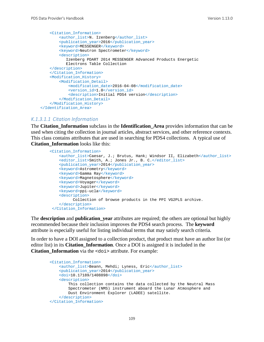```
 <Citation_Information>
         <author_list>N. Izenberg</author_list>
         <publication_year>2016</publication_year>
        <keyword>MESSENGER</keyword>
         <keyword>Neutron Spectrometer</keyword>
         <description>
            Izenberg PDART 2014 MESSENGER Advanced Products Energetic 
            Electrons Table Collection
    </description>
     </Citation_Information>
    <Modification_History>
         <Modification_Detail>
             <modification_date>2016-04-08</modification_date>
             <version_id>1.0</version_id>
             <description>Initial PDS4 version</description>
         </Modification_Detail>
     </Modification_History>
 </Identification_Area>
```
#### *K.1.3.1.1 Citation Information*

The **Citation\_Information** subclass in the **Identification\_Area** provides information that can be used when citing the collection in journal articles, abstract services, and other reference contexts. This class contains attributes that are used in searching for PDS4 collections. A typical use of **Citation\_Information** looks like this:

```
 <Citation_Information>
   <author_list>Caesar, J.; Brutus, Hank; Windsor II, Elizabeth</author_list>
    <editor_list>Smith, A.; Jones Jr., B. C.</editor_list>
     <publication_year>2014</publication_year>
    <keyword>Astrometry</keyword>
   <keyword>Gamma Ray</keyword>
   <keyword>Magnetosphere</keyword>
   <keyword>Voyager</keyword>
   <keyword>Jupiter</keyword>
    <keyword>ppi-ucla</keyword>
    <description>
          Collection of browse products in the PPI VG2PLS archive.
    </description>
 </Citation_Information>
```
The **description** and **publication\_year** attributes are required; the others are optional but highly recommended because their inclusion improves the PDS4 search process. The **keyword** attribute is especially useful for listing individual terms that may satisfy search criteria.

In order to have a DOI assigned to a collection product, that product must have an author list (or editor list) in its **Citation\_Information**. Once a DOI is assigned it is included in the **Citation\_Information** via the <doi> attribute. For example:

```
 <Citation_Information>
     <author_list>Beann, Mehdi; Lyness, Eric</author_list>
     <publication_year>2014</publication_year>
     <doi>10.17189/1408898</doi>
     <description>
         This collection contains the data collected by the Neutral Mass 
         Spectrometer (NMS) instrument aboard the Lunar Atmosphere and 
         Dust Environment Explorer (LADEE) satellite.
     </description>
 </Citation_Information>
```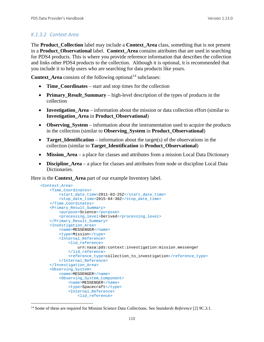## *K.1.3.2 Context Area*

The **Product\_Collection** label may include a **Context\_Area** class, something that is not present in a **Product** Observational label. Context Area contains attributes that are used in searching for PDS4 products. This is where you provide reference information that describes the collection and links other PDS4 products to the collection. Although it is optional, it is recommended that you include it to help users who are searching for data products like yours.

**Context\_Area** consists of the following optional<sup>[14](#page-116-0)</sup> subclasses:

- **Time\_Coordinates** start and stop times for the collection
- **Primary Result Summary** high-level description of the types of products in the collection
- **Investigation Area** information about the mission or data collection effort (similar to **Investigation\_Area** in **Product\_Observational**)
- **Observing System** information about the instrumentation used to acquire the products in the collection (similar to **Observing\_System** in **Product\_Observational**)
- **Target Identification** information about the target(s) of the observations in the collection (similar to **Target\_Identification** in **Product\_Observational**)
- **Mission Area** a place for classes and attributes from a mission Local Data Dictionary
- **Discipline\_Area** a place for classes and attributes from node or discipline Local Data Dictionaries.

Here is the **Context\_Area** part of our example Inventory label.

```
 <Context_Area>
     <Time_Coordinates>
         <start_date_time>2011-03-25Z</start_date_time>
         <stop_date_time>2015-04-30Z</stop_date_time>
     </Time_Coordinates>
     <Primary_Result_Summary>
         <purpose>Science</purpose>
         <processing_level>Derived</processing_level>
     </Primary_Result_Summary>
     <Investigation_Area>
         <name>MESSENGER</name>
         <type>Mission</type>
         <Internal_Reference>
             <lid_reference>
                 urn:nasa:pds:context:investigation:mission.messenger
             </lid_reference>
             <reference_type>collection_to_investigation</reference_type>
         </Internal_Reference>
     </Investigation_Area>
     <Observing_System>
         <name>MESSENGER</name>
         <Observing_System_Component>
             <name>MESSENGER</name>
             <type>Spacecraft</type>
             <Internal_Reference>
                 <lid_reference>
```
<span id="page-116-0"></span> <sup>14</sup> Some of these are required for Mission Science Data Collections. See *Standards Reference* [2] 9C.3.1.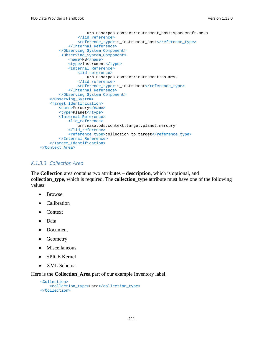```
 urn:nasa:pds:context:instrument_host:spacecraft.mess
                 </lid_reference>
                <reference_type>is_instrument_host</reference_type>
             </Internal_Reference>
         </Observing_System_Component>
          <Observing_System_Component>
             <name>NS</name>
             <type>Instrument</type>
             <Internal_Reference>
                 <lid_reference>
                     urn:nasa:pds:context:instrument:ns.mess
                 </lid_reference>
                <reference_type>is_instrument</reference_type>
             </Internal_Reference>
         </Observing_System_Component>
     </Observing_System>
     <Target_Identification>
         <name>Mercury</name>
         <type>Planet</type>
         <Internal_Reference>
             <lid_reference>
                 urn:nasa:pds:context:target:planet.mercury
             </lid_reference>
             <reference_type>collection_to_target</reference_type>
         </Internal_Reference>
     </Target_Identification>
 </Context_Area>
```
#### *K.1.3.3 Collection Area*

The **Collection** area contains two attributes – **description**, which is optional, and **collection\_type**, which is required. The **collection\_type** attribute must have one of the following values:

- Browse
- Calibration
- Context
- Data
- Document
- Geometry
- Miscellaneous
- SPICE Kernel
- XML Schema

Here is the **Collection\_Area** part of our example Inventory label.

```
 <Collection>
    <collection_type>Data</collection_type>
 </Collection>
```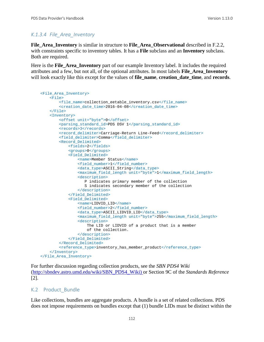## *K.1.3.4 File\_Area\_Inventory*

**File\_Area\_Inventory** is similar in structure to **File\_Area\_Observational** described in F.2.2, with constraints specific to inventory tables. It has a **File** subclass and an **Inventory** subclass. Both are required.

Here is the **File\_Area\_Inventory** part of our example Inventory label. It includes the required attributes and a few, but not all, of the optional attributes. In most labels **File\_Area\_Inventory** will look exactly like this except for the values of **file\_name**, **creation\_date\_time**, and **records**.

```
 <File_Area_Inventory>
     <File>
         <file_name>collection_eetable_inventory.csv</file_name>
         <creation_date_time>2016-04-08</creation_date_time>
    \epsilon/File>
     <Inventory>
         <offset unit="byte">0</offset>
         <parsing_standard_id>PDS DSV 1</parsing_standard_id>
        <records>3</records>
        <record_delimiter>Carriage-Return Line-Feed</record_delimiter>
         <field_delimiter>Comma</field_delimiter>
         <Record_Delimited>
             <fields>2</fields>
             <groups>0</groups>
             <Field_Delimited>
                 <name>Member Status</name>
                 <field_number>1</field_number>
                <data_type>ASCII_String</data_type>
                <maximum_field_length unit="byte">1</maximum_field_length>
                <description>
                    P indicates primary member of the collection
                   S indicates secondary member of the collection
                 </description>
             </Field_Delimited>
             <Field_Delimited>
                 <name>LIDVID_LID</name>
                <field_number>2</field_number>
                <data_type>ASCII_LIDVID_LID</data_type>
                <maximum_field_length unit="byte">255</maximum_field_length>
                <description>
                     The LID or LIDVID of a product that is a member
                    of the collection.
                 </description> 
             </Field_Delimited>
         </Record_Delimited>
         <reference_type>inventory_has_member_product</reference_type>
     </Inventory>
 </File_Area_Inventory>
```
For further discussion regarding collection products, see the *SBN PDS4 Wiki* [\(http://sbndev.astro.umd.edu/wiki/SBN\\_PDS4\\_Wiki\)](http://sbndev.astro.umd.edu/wiki/SBN_PDS4_Wiki) or Section 9C of the *Standards Reference* [2].

#### K.2 Product\_Bundle

Like collections, bundles are aggregate products. A bundle is a set of related collections. PDS does not impose requirements on bundles except that (1) bundle LIDs must be distinct within the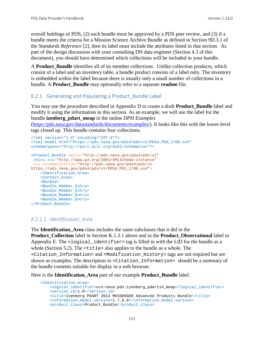overall holdings of PDS, (2) each bundle must be approved by a PDS peer review, and (3) if a bundle meets the criteria for a Mission Science Archive Bundle as defined in Section 9D.3.1 of the *Standards Reference* [2], then its label must include the attributes listed in that section. As part of the design discussion with your consulting DN data engineer (Section 4.3 of this document), you should have determined which collections will be included in your bundle.

A **Product\_Bundle** identifies all of its member collections. Unlike collection products, which consist of a label and an inventory table, a bundle product consists of a label only. The inventory is embedded within the label because there is usually only a small number of collections in a bundle. A **Product\_Bundle** may optionally refer to a separate **readme** file.

#### K.2.1 Generating and Populating a Product Bundle Label

You may use the procedure described in Appendix D to create a draft **Product\_Bundle** label and modify it using the information in this section. As an example, we will use the label for the bundle **izenberg\_pdart\_meap** in the online *DPH Examples*

[\(https://pds.nasa.gov/datastandards/documents/examples/\)](https://pds.nasa.gov/datastandards/documents/examples/). It looks like this with the lower-level tags closed up. This bundle contains four collections.

```
<?xml version="1.0" encoding="UTF-8"?>
<?xml-model href="https://pds.nasa.gov/pds4/pds/v1/PDS4_PDS_1700.sch" 
schematypens="http://purl.oclc.org/dsdl/schematron"?>
<Product_Bundle xmlns="http://pds.nasa.gov/pds4/pds/v1"
xmlns:xsi="http://www.w3.org/2001/XMLSchema-instance"
xsi:schemaLocation="http://pds.nasa.gov/pds4/pds/v1 
https://pds.nasa.gov/pds4/pds/v1/PDS4_PDS_1700.xsd">
     <Identification_Area>
     <Context_Area>
    <Bundle>
    <Bundle_Member_Entry>
    <Bundle_Member_Entry>
    <Bundle_Member_Entry>
    <Bundle_Member_Entry>
</Product_Bundle>
```
#### *K.2.1.1 Identification\_Area*

The **Identification\_Area** class includes the same subclasses that it did in the **Product Collection** label in Section K.1.3.1 above and in the **Product Observational** label in Appendix E. The <logical\_identifier> tag is filled in with the LID for the bundle as a whole (Section 5.2). The <title> also applies to the bundle as a whole. The <Citation\_Information> and <Modification\_History> tags are not required but are shown as examples. The description in <Citation\_Information> should be a summary of the bundle contents suitable for display in a web browser.

Here is the **Identification\_Area** part of our example **Product\_Bundle** label.

```
 <Identification_Area>
    <logical_identifier>urn:nasa:pds:izenberg_pdart14_meap</logical_identifier>
     <version_id>1.0</version_id>
     <title>Izenberg PDART 2014 MESSENGER Advanced Products Bundle</title>
    <information_model_version>1.7.0.0</information_model_version>
     <product_class>Product_Bundle</product_class>
```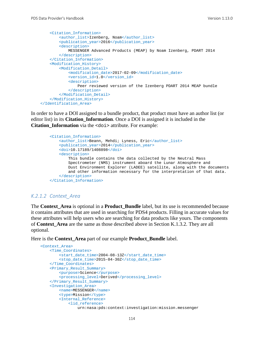```
 <Citation_Information>
         <author_list>Izenberg, Noam</author_list>
         <publication_year>2016</publication_year>
         <description>
             MESSENGER Advanced Products (MEAP) by Noam Izenberg, PDART 2014
         </description>
     </Citation_Information>
     <Modification_History>
         <Modification_Detail>
             <modification_date>2017-02-09</modification_date>
             <version_id>1.0</version_id>
             <description>
                 Peer reviewed version of the Izenberg PDART 2014 MEAP bundle
             </description>
         </Modification_Detail>
     </Modification_History>
 </Identification_Area>
```
In order to have a DOI assigned to a bundle product, that product must have an author list (or editor list) in its **Citation\_Information**. Once a DOI is assigned it is included in the **Citation\_Information** via the <doi> attribute. For example:

```
 <Citation_Information>
     <author_list>Beann, Mehdi; Lyness, Eric</author_list>
     <publication_year>2014</publication_year>
     <doi>10.17189/1408898</doi>
     <description>
         This bundle contains the data collected by the Neutral Mass 
         Spectrometer (NMS) instrument aboard the Lunar Atmosphere and 
         Dust Environment Explorer (LADEE) satellite, along with the documents 
         and other information necessary for the interpretation of that data.
     </description>
 </Citation_Information>
```
#### *K.2.1.2 Context\_Area*

The **Context\_Area** is optional in a **Product\_Bundle** label, but its use is recommended because it contains attributes that are used in searching for PDS4 products. Filling in accurate values for these attributes will help users who are searching for data products like yours. The components of **Context\_Area** are the same as those described above in Section K.1.3.2. They are all optional.

Here is the **Context\_Area** part of our example **Product\_Bundle** label.

```
 <Context_Area>
    <Time_Coordinates>
         <start_date_time>2004-08-13Z</start_date_time>
         <stop_date_time>2015-04-30Z</stop_date_time>
     </Time_Coordinates>
     <Primary_Result_Summary>
         <purpose>Science</purpose>
         <processing_level>Derived</processing_level>
     </Primary_Result_Summary>
     <Investigation_Area>
         <name>MESSENGER</name>
         <type>Mission</type>
         <Internal_Reference>
             <lid_reference>
                 urn:nasa:pds:context:investigation:mission.messenger
```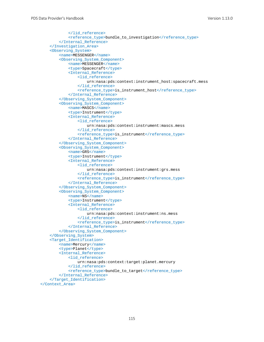```
 </lid_reference>
            <reference_type>bundle_to_investigation</reference_type>
         </Internal_Reference>
     </Investigation_Area>
     <Observing_System>
         <name>MESSENGER</name>
         <Observing_System_Component>
             <name>MESSENGER</name>
            <type>Spacecraft</type>
             <Internal_Reference>
                 <lid_reference>
                     urn:nasa:pds:context:instrument_host:spacecraft.mess
                 </lid_reference>
                <reference_type>is_instrument_host</reference_type>
             </Internal_Reference>
         </Observing_System_Component>
         <Observing_System_Component>
             <name>MASCS</name>
             <type>Instrument</type>
             <Internal_Reference>
                 <lid_reference>
                      urn:nasa:pds:context:instrument:mascs.mess
                 </lid_reference>
                <reference_type>is_instrument</reference_type>
             </Internal_Reference>
         </Observing_System_Component>
         <Observing_System_Component>
             <name>GRS</name>
            <type>Instrument</type>
             <Internal_Reference>
                 <lid_reference>
                     urn:nasa:pds:context:instrument:grs.mess
                 </lid_reference>
                <reference_type>is_instrument</reference_type>
             </Internal_Reference>
         </Observing_System_Component>
         <Observing_System_Component>
             <name>NS</name>
            <type>Instrument</type>
            <Internal_Reference>
                 <lid_reference>
                     urn:nasa:pds:context:instrument:ns.mess
                 </lid_reference>
                <reference_type>is_instrument</reference_type>
             </Internal_Reference>
         </Observing_System_Component>
     </Observing_System>
     <Target_Identification>
         <name>Mercury</name>
         <type>Planet</type>
         <Internal_Reference>
             <lid_reference>
                 urn:nasa:pds:context:target:planet.mercury
             </lid_reference>
             <reference_type>bundle_to_target</reference_type>
         </Internal_Reference>
     </Target_Identification>
 </Context_Area>
```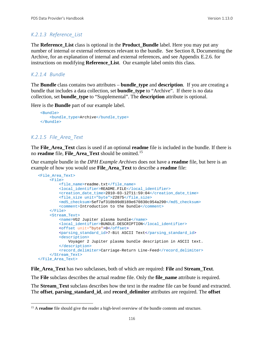## *K.2.1.3 Reference\_List*

The **Reference\_List** class is optional in the **Product\_Bundle** label. Here you may put any number of internal or external references relevant to the bundle. See Section 8, Documenting the Archive, for an explanation of internal and external references, and see Appendix E.2.6. for instructions on modifying **Reference\_List**. Our example label omits this class.

#### *K.2.1.4 Bundle*

The **Bundle** class contains two attributes – **bundle\_type** and **description**. If you are creating a bundle that includes a data collection, set **bundle\_type** to "Archive". If there is no data collection, set **bundle\_type** to "Supplemental". The **description** attribute is optional.

Here is the **Bundle** part of our example label.

```
 <Bundle>
    <bundle_type>Archive</bundle_type>
 </Bundle>
```
#### *K.2.1.5 File\_Area\_Text*

The **File\_Area\_Text** class is used if an optional **readme** file is included in the bundle. If there is no **readme** file, **File\_Area\_Text** should be omitted.[15](#page-122-0)

Our example bundle in the *DPH Example Archives* does not have a **readme** file, but here is an example of how you would use **File\_Area\_Text** to describe a **readme** file:

```
 <File_Area_Text>
     <sub>Fi1e</sub></sub>
          <file_name>readme.txt</file_name>
          <local_identifier>README.FILE</local_identifier>
          <creation_date_time>2010-03-12T11:59:04</creation_date_time>
          <file_size unit="byte">22875</file_size>
          <md5_checksum>5ef7af310b99d8189e670830c954a290</md5_checksum>
          <comment>Introduction to the bundle</comment>
      </File>
      <Stream_Text>
          <name>VG2 Jupiter plasma bundle</name>
          <local_identifier>BUNDLE.DESCRIPTION</local_identifier>
          <offset unit="byte">0</offset>
          <parsing_standard_id>7-Bit ASCII Text</parsing_standard_id>
          <description>
              Voyager 2 Jupiter plasma bundle description in ASCII text.
          </description>
         <record_delimiter>Carriage-Return Line-Feed</record_delimiter>
      </Stream_Text> 
 </File_Area_Text>
```
**File\_Area\_Text** has two subclasses, both of which are required: **File** and **Stream\_Text**.

The **File** subclass describes the actual readme file. Only the **file\_name** attribute is required.

The **Stream\_Text** subclass describes how the text in the readme file can be found and extracted. The **offset**, **parsing\_standard\_id**, and **record\_delimiter** attributes are required. The **offset**

<span id="page-122-0"></span><sup>&</sup>lt;sup>15</sup> A **readme** file should give the reader a high-level overview of the bundle contents and structure.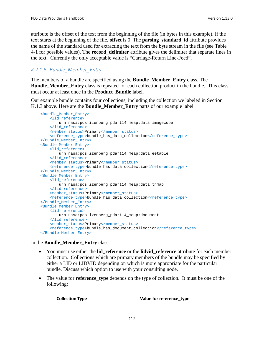attribute is the offset of the text from the beginning of the file (in bytes in this example). If the text starts at the beginning of the file, **offset** is 0. The **parsing\_standard\_id** attribute provides the name of the standard used for extracting the text from the byte stream in the file (see Table 4-1 for possible values). The **record\_delimiter** attribute gives the delimiter that separate lines in the text. Currently the only acceptable value is "Carriage-Return Line-Feed".

## *K.2.1.6 Bundle\_Member\_Entry*

The members of a bundle are specified using the **Bundle\_Member\_Entry** class. The **Bundle Member Entry** class is repeated for each collection product in the bundle. This class must occur at least once in the **Product\_Bundle** label.

Our example bundle contains four collections, including the collection we labeled in Section K.1.3 above. Here are the **Bundle\_Member\_Entry** parts of our example label.

```
 <Bundle_Member_Entry>
    <lid_reference>
        urn:nasa:pds:izenberg_pdart14_meap:data_imagecube
    </lid_reference>
    <member_status>Primary</member_status>
    <reference_type>bundle_has_data_collection</reference_type>
 </Bundle_Member_Entry>
 <Bundle_Member_Entry>
    <lid_reference>
        urn:nasa:pds:izenberg_pdart14_meap:data_eetable
    </lid_reference>
    <member_status>Primary</member_status>
    <reference_type>bundle_has_data_collection</reference_type>
 </Bundle_Member_Entry>
 <Bundle_Member_Entry>
    <lid_reference>
         urn:nasa:pds:izenberg_pdart14_meap:data_tnmap
    </lid_reference>
    <member_status>Primary</member_status>
    <reference_type>bundle_has_data_collection</reference_type>
 </Bundle_Member_Entry>
 <Bundle_Member_Entry>
    <lid_reference>
        urn:nasa:pds:izenberg_pdart14_meap:document
    </lid_reference>
    <member_status>Primary</member_status>
    <reference_type>bundle_has_document_collection</reference_type>
 </Bundle_Member_Entry>
```
#### In the **Bundle\_Member\_Entry** class:

- You must use either the **lid\_reference** or the **lidvid\_reference** attribute for each member collection. Collections which are primary members of the bundle may be specified by either a LID or LIDVID depending on which is more appropriate for the particular bundle. Discuss which option to use with your consulting node.
- The value for **reference** type depends on the type of collection. It must be one of the following:

**Collection Type Value for reference type**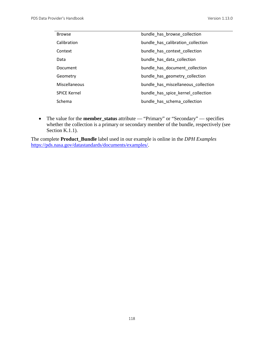| <b>Browse</b>       | bundle_has_browse_collection        |
|---------------------|-------------------------------------|
| Calibration         | bundle_has_calibration_collection   |
| Context             | bundle has context collection       |
| Data                | bundle_has_data_collection          |
| Document            | bundle_has_document_collection      |
| Geometry            | bundle has geometry collection      |
| Miscellaneous       | bundle_has_miscellaneous_collection |
| <b>SPICE Kernel</b> | bundle_has_spice_kernel_collection  |
| Schema              | bundle has schema collection        |
|                     |                                     |

• The value for the **member\_status** attribute — "Primary" or "Secondary" — specifies whether the collection is a primary or secondary member of the bundle, respectively (see Section K.1.1).

The complete **Product\_Bundle** label used in our example is online in the *DPH Examples* [https://pds.nasa.gov/datastandards/documents/examples/.](https://pds.nasa.gov/datastandards/documents/examples/)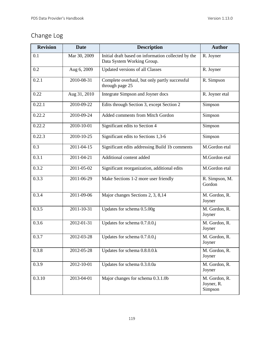# Change Log

| <b>Revision</b> | <b>Date</b>      | <b>Description</b>                                                                | <b>Author</b>                          |
|-----------------|------------------|-----------------------------------------------------------------------------------|----------------------------------------|
| 0.1             | Mar 30, 2009     | Initial draft based on information collected by the<br>Data System Working Group. | R. Joyner                              |
| 0.2             | Aug 6, 2009      | <b>Updated versions of all Classes</b>                                            | R. Joyner                              |
| 0.2.1           | 2010-08-31       | Complete overhaul, but only partly successful<br>through page 25                  | R. Simpson                             |
| 0.22            | Aug 31, 2010     | Integrate Simpson and Joyner docs                                                 | R. Joyner etal                         |
| 0.22.1          | 2010-09-22       | Edits through Section 3, except Section 2                                         | Simpson                                |
| 0.22.2          | 2010-09-24       | Added comments from Mitch Gordon                                                  | Simpson                                |
| 0.22.2          | 2010-10-01       | Significant edits to Section 4                                                    | Simpson                                |
| 0.22.3          | 2010-10-25       | Significant edits to Sections 1,3-6                                               | Simpson                                |
| 0.3             | 2011-04-15       | Significant edits addressing Build 1b comments                                    | M.Gordon etal                          |
| 0.3.1           | 2011-04-21       | Additional content added                                                          | M.Gordon etal                          |
| 0.3.2           | 2011-05-02       | Significant reorganization, additional edits                                      | M.Gordon etal                          |
| 0.3.3           | 2011-06-29       | Make Sections 1-2 more user friendly                                              | R. Simpson, M.<br>Gordon               |
| 0.3.4           | 2011-09-06       | Major changes Sections 2, 3, 8,14                                                 | M. Gordon, R.<br>Joyner                |
| 0.3.5           | 2011-10-31       | Updates for schema 0.5.00g                                                        | M. Gordon, R.<br>Joyner                |
| 0.3.6           | $2012 - 01 - 31$ | Updates for schema 0.7.0.0.j                                                      | M. Gordon, R.<br>Joyner                |
| 0.3.7           | 2012-03-28       | Updates for schema 0.7.0.0.j                                                      | M. Gordon, R.<br>Joyner                |
| 0.3.8           | 2012-05-28       | Updates for schema 0.8.0.0.k                                                      | M. Gordon, R.<br>Joyner                |
| 0.3.9           | 2012-10-01       | Updates for schema 0.3.0.0a                                                       | M. Gordon, R.<br>Joyner                |
| 0.3.10          | 2013-04-01       | Major changes for schema 0.3.1.0b                                                 | M. Gordon, R.<br>Joyner, R.<br>Simpson |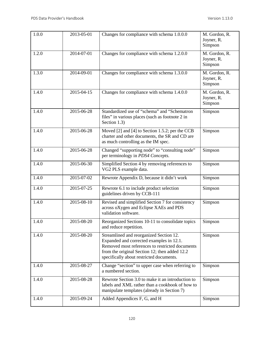| 1.0.0 | 2013-05-01 | Changes for compliance with schema 1.0.0.0                                                                                                                                                                                          | M. Gordon, R.<br>Joyner, R.<br>Simpson |
|-------|------------|-------------------------------------------------------------------------------------------------------------------------------------------------------------------------------------------------------------------------------------|----------------------------------------|
| 1.2.0 | 2014-07-01 | Changes for compliance with schema 1.2.0.0                                                                                                                                                                                          | M. Gordon, R.<br>Joyner, R.<br>Simpson |
| 1.3.0 | 2014-09-01 | Changes for compliance with schema 1.3.0.0                                                                                                                                                                                          | M. Gordon, R.<br>Joyner, R.<br>Simpson |
| 1.4.0 | 2015-04-15 | Changes for compliance with schema 1.4.0.0                                                                                                                                                                                          | M. Gordon, R.<br>Joyner, R.<br>Simpson |
| 1.4.0 | 2015-06-28 | Standardized use of "schema" and "Schematron<br>files" in various places (such as footnote 2 in<br>Section 1.3)                                                                                                                     | Simpson                                |
| 1.4.0 | 2015-06-28 | Moved [2] and [4] to Section 1.5.2; per the CCB<br>charter and other documents, the SR and CD are<br>as much controlling as the IM spec.                                                                                            | Simpson                                |
| 1.4.0 | 2015-06-28 | Changed "supporting node" to "consulting node"<br>per terminology in PDS4 Concepts.                                                                                                                                                 | Simpson                                |
| 1.4.0 | 2015-06-30 | Simplified Section 4 by removing references to<br>VG2 PLS example data.                                                                                                                                                             | Simpson                                |
| 1.4.0 | 2015-07-02 | Rewrote Appendix D, because it didn't work                                                                                                                                                                                          | Simpson                                |
| 1.4.0 | 2015-07-25 | Rewrote 6.1 to include product selection<br>guidelines driven by CCB-111                                                                                                                                                            | Simpson                                |
| 1.4.0 | 2015-08-10 | Revised and simplified Section 7 for consistency<br>across oXygen and Eclipse XAEs and PDS<br>validation software.                                                                                                                  | Simpson                                |
| 1.4.0 | 2015-08-20 | Reorganized Sections 10-11 to consolidate topics<br>and reduce repetition.                                                                                                                                                          | Simpson                                |
| 1.4.0 | 2015-08-20 | Streamlined and reorganized Section 12.<br>Expanded and corrected examples in 12.1.<br>Removed most references to restricted documents<br>from the original Section 12; then added 12.2<br>specifically about restricted documents. | Simpson                                |
| 1.4.0 | 2015-08-27 | Change "section" to upper case when referring to<br>a numbered section.                                                                                                                                                             | Simpson                                |
| 1.4.0 | 2015-08-28 | Rewrote Section 3.0 to make it an introduction to<br>labels and XML rather than a cookbook of how to<br>manipulate templates (already in Section 7)                                                                                 | Simpson                                |
| 1.4.0 | 2015-09-24 | Added Appendices F, G, and H                                                                                                                                                                                                        | Simpson                                |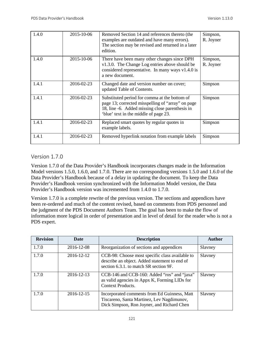| 1.4.0 | 2015-10-06 | Removed Section 14 and references thereto (the<br>examples are outdated and have many errors).<br>The section may be revised and returned in a later<br>edition.                               | Simpson,<br>R. Joyner |
|-------|------------|------------------------------------------------------------------------------------------------------------------------------------------------------------------------------------------------|-----------------------|
| 1.4.0 | 2015-10-06 | There have been many other changes since DPH<br>v1.3.0. The Change Log entries above should be<br>considered representative. In many ways $v1.4.0$ is<br>a new document.                       | Simpson,<br>R. Joyner |
| 1.4.1 | 2016-02-23 | Changed date and version number on cover;<br>updated Table of Contents.                                                                                                                        | Simpson               |
| 1.4.1 | 2016-02-23 | Substituted period for comma at the bottom of<br>page 13; corrected misspelling of "array" on page<br>18, line -6. Added missing close parenthesis in<br>'blue' text in the middle of page 23. | Simpson               |
| 1.4.1 | 2016-02-23 | Replaced smart quotes by regular quotes in<br>example labels.                                                                                                                                  | Simpson               |
| 1.4.1 | 2016-02-23 | Removed hyperlink notation from example labels                                                                                                                                                 | Simpson               |

## Version 1.7.0

Version 1.7.0 of the Data Provider's Handbook incorporates changes made in the Information Model versions 1.5.0, 1.6.0, and 1.7.0. There are no corresponding versions 1.5.0 and 1.6.0 of the Data Provider's Handbook because of a delay in updating the document. To keep the Data Provider's Handbook version synchronized with the Information Model version, the Data Provider's Handbook version was incremented from 1.4.0 to 1.7.0.

Version 1.7.0 is a complete rewrite of the previous version. The sections and appendices have been re-ordered and much of the content revised, based on comments from PDS personnel and the judgment of the PDS Document Authors Team. The goal has been to make the flow of information more logical in order of presentation and in level of detail for the reader who is not a PDS expert.

| <b>Revision</b> | <b>Date</b> | <b>Description</b>                                                                                                                         | <b>Author</b> |
|-----------------|-------------|--------------------------------------------------------------------------------------------------------------------------------------------|---------------|
| 1.7.0           | 2016-12-08  | Reorganization of sections and appendices                                                                                                  | Slavney       |
| 1.7.0           | 2016-12-12  | CCB-98: Choose most specific class available to<br>describe an object. Added statement to end of<br>section 6.3.1, to match SR section 9F. | Slavney       |
| 1.7.0           | 2016-12-13  | CCB-146 and CCB-160: Added "ros" and "jaxa"<br>as valid agencies in Appx K, Forming LIDs for<br><b>Context Products.</b>                   | Slavney       |
| 1.7.0           | 2016-12-15  | Incorporated comments from Ed Guinness, Matt<br>Tiscareno, Santa Martinez, Lev Nagdimunov,<br>Dick Simpson, Ron Joyner, and Richard Chen   | Slavney       |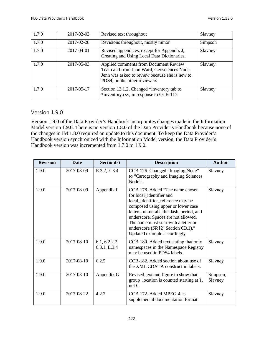| 1.7.0 | 2017-02-03 | Revised text throughout                                                                                                                                                | Slavney |
|-------|------------|------------------------------------------------------------------------------------------------------------------------------------------------------------------------|---------|
| 1.7.0 | 2017-02-28 | Revisions throughout, mostly minor                                                                                                                                     | Simpson |
| 1.7.0 | 2017-04-01 | Revised appendices, except for Appendix J,<br>Creating and Using Local Data Dictionaries.                                                                              | Slavney |
| 1.7.0 | 2017-05-03 | Applied comments from Document Review<br>Team and from Jenn Ward, Geosciences Node.<br>Jenn was asked to review because she is new to<br>PDS4, unlike other reviewers. | Slavney |
| 1.7.0 | 2017-05-17 | Section 13.1.2, Changed *inventory.tab to<br>*inventory.csv, in response to CCB-117.                                                                                   | Slavney |

## Version 1.9.0

Version 1.9.0 of the Data Provider's Handbook incorporates changes made in the Information Model version 1.9.0. There is no version 1.8.0 of the Data Provider's Handbook because none of the changes in IM 1.8.0 required an update to this document. To keep the Data Provider's Handbook version synchronized with the Information Model version, the Data Provider's Handbook version was incremented from 1.7.0 to 1.9.0.

| <b>Revision</b> | <b>Date</b> | Section(s)                    | <b>Description</b>                                                                                                                                                                                                                                                                                                                        | <b>Author</b>       |
|-----------------|-------------|-------------------------------|-------------------------------------------------------------------------------------------------------------------------------------------------------------------------------------------------------------------------------------------------------------------------------------------------------------------------------------------|---------------------|
| 1.9.0           | 2017-08-09  | E.3.2, E.3.4                  | CCB-176. Changed "Imaging Node"<br>to "Cartography and Imaging Sciences"<br>Node".                                                                                                                                                                                                                                                        | Slavney             |
| 1.9.0           | 2017-08-09  | Appendix F                    | CCB-178. Added "The name chosen<br>for local_identifier and<br>local_identifier_reference may be<br>composed using upper or lower case<br>letters, numerals, the dash, period, and<br>underscore. Spaces are not allowed.<br>The name must start with a letter or<br>underscore $(SR [2]$ Section 6D.1)."<br>Updated example accordingly. | Slavney             |
| 1.9.0           | 2017-08-10  | 6.1, 6.2.2.2,<br>6.3.1, E.3.4 | CCB-180. Added text stating that only<br>namespaces in the Namespace Registry<br>may be used in PDS4 labels.                                                                                                                                                                                                                              | Slavney             |
| 1.9.0           | 2017-08-10  | 6.2.5                         | CCB-182. Added section about use of<br>the XML CDATA construct in labels.                                                                                                                                                                                                                                                                 | Slavney             |
| 1.9.0           | 2017-08-10  | Appendix G                    | Revised text and figure to show that<br>group_location is counted starting at 1,<br>not 0.                                                                                                                                                                                                                                                | Simpson,<br>Slavney |
| 1.9.0           | 2017-08-22  | 4.2.2                         | CCB-172. Added MPEG-4 as<br>supplemental documentation format.                                                                                                                                                                                                                                                                            | Slavney             |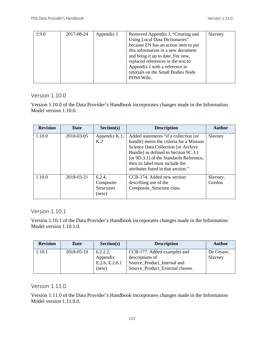| 1.9.0 | 2017-08-24 | Appendix J | Removed Appendix J, "Creating and    | Slavney |
|-------|------------|------------|--------------------------------------|---------|
|       |            |            | Using Local Data Dictionaries"       |         |
|       |            |            | because EN has an action item to put |         |
|       |            |            | this information in a new document   |         |
|       |            |            | and bring it up to date. For now,    |         |
|       |            |            | replaced references in the text to   |         |
|       |            |            | Appendix J with a reference to       |         |
|       |            |            | tutorials on the Small Bodies Node   |         |
|       |            |            | PDS4 Wiki.                           |         |
|       |            |            |                                      |         |

## Version 1.10.0

Version 1.10.0 of the Data Provider's Handbook incorporates changes made in the Information Model version 1.10.0.

| <b>Revision</b> | <b>Date</b> | Section(s)                                        | <b>Description</b>                                                                                                                                                                                                                                                                    | <b>Author</b>      |
|-----------------|-------------|---------------------------------------------------|---------------------------------------------------------------------------------------------------------------------------------------------------------------------------------------------------------------------------------------------------------------------------------------|--------------------|
| 1.10.0          | 2018-03-05  | Appendix K.1,<br>K <sub>0</sub>                   | Added statements "if a collection [or<br>bundle] meets the criteria for a Mission<br>Science Data Collection [or Archive<br>Bundle] as defined in Section 9C.3.1<br>[or 9D.3.1] of the Standards Reference,<br>then its label must include the<br>attributes listed in that section." | Slavney            |
| 1.10.0          | 2018-03-21  | 6.2.4,<br>Composite<br><b>Structures</b><br>(new) | CCB-174. Added new section<br>describing use of the<br>Composite_Structure class.                                                                                                                                                                                                     | Slavney,<br>Gordon |

Version 1.10.1

Version 1.10.1 of the Data Provider's Handbook incorporates changes made in the Information Model version 1.10.1.0.

|        | <b>Revision</b> | Date       | Section(s)                                     | <b>Description</b>                                                                                                | <b>Author</b>         |
|--------|-----------------|------------|------------------------------------------------|-------------------------------------------------------------------------------------------------------------------|-----------------------|
| 1.10.1 |                 | 2018-05-10 | 6.2.2.2<br>Appendix<br>E.2.6, E.2.6.1<br>(new) | CCB-177. Added examples and<br>descriptions of<br>Source Product Internal and<br>Source Product External classes. | De Cesare,<br>Slavney |

## Version 1.11.0

Version 1.11.0 of the Data Provider's Handbook incorporates changes made in the Information Model version 1.11.0.0.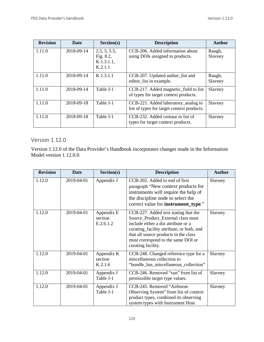| <b>Revision</b> | <b>Date</b> | Section(s)                                            | <b>Description</b>                                                                | <b>Author</b>     |
|-----------------|-------------|-------------------------------------------------------|-----------------------------------------------------------------------------------|-------------------|
| 1.11.0          | 2018-09-14  | 2.5, 5, 5.5,<br>Fig. 8.2,<br>$K.1.3.1.1$ ,<br>K.2.1.1 | CCB-206. Added information about<br>using DOIs assigned to products.              | Raugh,<br>Slavney |
| 1.11.0          | 2018-09-14  | K.1.3.1.1                                             | CCB-207. Updated author_list and<br>editor list in example.                       | Raugh,<br>Slavney |
| 1.11.0          | 2018-09-14  | Table J-1                                             | CCB-217. Added magnetic_field to list<br>of types for target context products.    | Slavney           |
| 1.11.0          | 2018-09-18  | Table J-1                                             | CCB-221. Added laboratory_analog to<br>list of types for target context products. | Slavney           |
| 1.11.0          | 2018-09-18  | Table J-1                                             | CCB-232. Added centaur to list of<br>types for target context products.           | Slavney           |

## Version 1.12.0

Version 1.12.0 of the Data Provider's Handbook incorporates changes made in the Information Model version 1.12.0.0.

| <b>Revision</b> | <b>Date</b> | Section(s)                         | <b>Description</b>                                                                                                                                                                                                                                                  | <b>Author</b> |
|-----------------|-------------|------------------------------------|---------------------------------------------------------------------------------------------------------------------------------------------------------------------------------------------------------------------------------------------------------------------|---------------|
| 1.12.0          | 2019-04-01  | Appendix J                         | CCB-202. Added to end of first<br>paragraph "New context products for<br>instruments will require the help of<br>the discipline node to select the<br>correct value for <b>instrument_type.</b> "                                                                   | Slavney       |
| 1.12.0          | 2019-04-01  | Appendix E<br>section<br>E.2.6.1.2 | CCB-227. Added text stating that the<br>Source_Product_External class must<br>include either a doi attribute or a<br>curating_facility attribute, or both, and<br>that all source products in the class<br>must correspond to the same DOI or<br>curating facility. | Slavney       |
| 1.12.0          | 2019-04-01  | Appendix K<br>section<br>K.2.1.6   | CCB-248. Changed reference type for a<br>miscellaneous collection to<br>"bundle_has_miscellaneous_collection"                                                                                                                                                       | Slavney       |
| 1.12.0          | 2019-04-01  | Appendix J<br>Table J-1            | CCB-246. Removed "sun" from list of<br>permissible target type values.                                                                                                                                                                                              | Slavney       |
| 1.12.0          | 2019-04-01  | Appendix J<br>Table J-1            | CCB-245. Removed "Airborne<br>Observing System" from list of context<br>product types, combined its observing<br>system types with Instrument Host                                                                                                                  | Slavney       |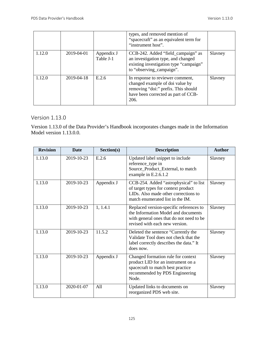|        |            |                         | types, and removed mention of<br>"spacecraft" as an equivalent term for<br>"instrument host".                                                             |         |
|--------|------------|-------------------------|-----------------------------------------------------------------------------------------------------------------------------------------------------------|---------|
| 1.12.0 | 2019-04-01 | Appendix J<br>Table J-1 | CCB-242. Added "field_campaign" as<br>an investigation type, and changed<br>existing investigation type "campaign"<br>to "observing_campaign".            | Slavney |
| 1.12.0 | 2019-04-18 | E.2.6                   | In response to reviewer comment,<br>changed example of doi value by<br>removing "doi:" prefix. This should<br>have been corrected as part of CCB-<br>206. | Slavney |

## Version 1.13.0

Version 1.13.0 of the Data Provider's Handbook incorporates changes made in the Information Model version 1.13.0.0.

| <b>Revision</b> | Date       | Section(s) | <b>Description</b>                                                                                                                                           | <b>Author</b> |
|-----------------|------------|------------|--------------------------------------------------------------------------------------------------------------------------------------------------------------|---------------|
| 1.13.0          | 2019-10-23 | E.2.6      | Updated label snippet to include<br>reference_type in<br>Source_Product_External, to match<br>example in E.2.6.1.2                                           | Slavney       |
| 1.13.0          | 2019-10-23 | Appendix J | CCB-254. Added "astrophysical" to list<br>of target types for context product<br>LIDs. Also made other corrections to<br>match enumerated list in the IM.    | Slavney       |
| 1.13.0          | 2019-10-23 | 1, 1.4.1   | Replaced version-specific references to<br>the Information Model and documents<br>with general ones that do not need to be<br>revised with each new version. | Slavney       |
| 1.13.0          | 2019-10-23 | 11.5.2     | Deleted the sentence "Currently the<br>Validate Tool does not check that the<br>label correctly describes the data." It<br>does now.                         | Slavney       |
| 1.13.0          | 2019-10-23 | Appendix J | Changed formation rule for context<br>product LID for an instrument on a<br>spacecraft to match best practice<br>recommended by PDS Engineering<br>Node.     | Slavney       |
| 1.13.0          | 2020-01-07 | All        | Updated links to documents on<br>reorganized PDS web site.                                                                                                   | Slavney       |